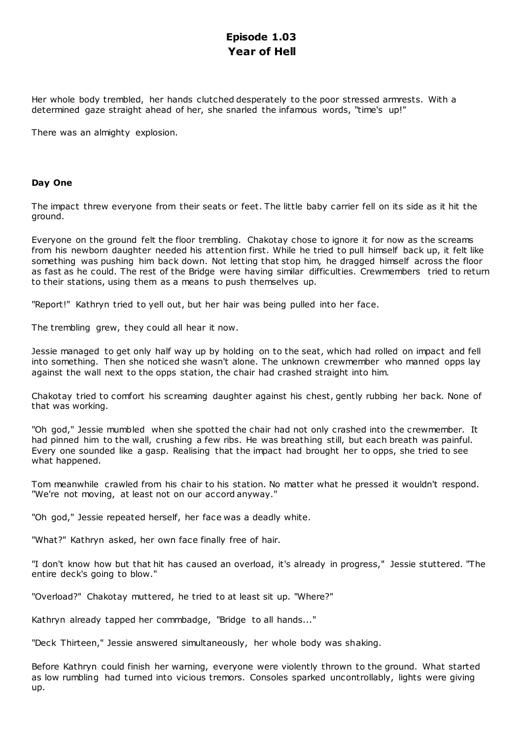# **Episode 1.03 Year of Hell**

Her whole body trembled, her hands clutched desperately to the poor stressed armrests. With a determined gaze straight ahead of her, she snarled the infamous words, "time's up!"

There was an almighty explosion.

## **Day One**

The impact threw everyone from their seats or feet. The little baby carrier fell on its side as it hit the ground.

Everyone on the ground felt the floor trembling. Chakotay chose to ignore it for now as the screams from his newborn daughter needed his attention first. While he tried to pull himself back up, it felt like something was pushing him back down. Not letting that stop him, he dragged himself across the floor as fast as he could. The rest of the Bridge were having similar difficulties. Crewmembers tried to return to their stations, using them as a means to push themselves up.

"Report!" Kathryn tried to yell out, but her hair was being pulled into her face.

The trembling grew, they could all hear it now.

Jessie managed to get only half way up by holding on to the seat, which had rolled on impact and fell into something. Then she noticed she wasn't alone. The unknown crewmember who manned opps lay against the wall next to the opps station, the chair had crashed straight into him.

Chakotay tried to comfort his screaming daughter against his chest, gently rubbing her back. None of that was working.

"Oh god," Jessie mumbled when she spotted the chair had not only crashed into the crewmember. It had pinned him to the wall, crushing a few ribs. He was breathing still, but each breath was painful. Every one sounded like a gasp. Realising that the impact had brought her to opps, she tried to see what happened.

Tom meanwhile crawled from his chair to his station. No matter what he pressed it wouldn't respond. "We're not moving, at least not on our accord anyway."

"Oh god," Jessie repeated herself, her face was a deadly white.

"What?" Kathryn asked, her own face finally free of hair.

"I don't know how but that hit has caused an overload, it's already in progress," Jessie stuttered. "The entire deck's going to blow."

"Overload?" Chakotay muttered, he tried to at least sit up. "Where?"

Kathryn already tapped her commbadge, "Bridge to all hands..."

"Deck Thirteen," Jessie answered simultaneously, her whole body was shaking.

Before Kathryn could finish her warning, everyone were violently thrown to the ground. What started as low rumbling had turned into vicious tremors. Consoles sparked uncontrollably, lights were giving up.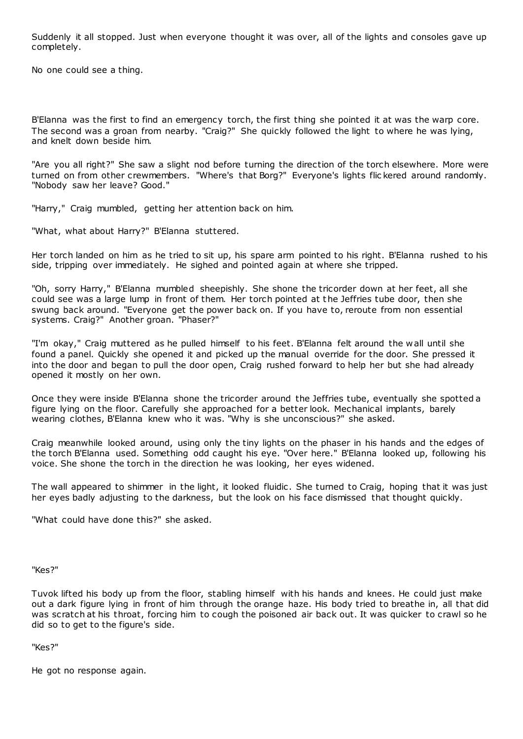Suddenly it all stopped. Just when everyone thought it was over, all of the lights and consoles gave up completely.

No one could see a thing.

B'Elanna was the first to find an emergency torch, the first thing she pointed it at was the warp core. The second was a groan from nearby. "Craig?" She quickly followed the light to where he was lying, and knelt down beside him.

"Are you all right?" She saw a slight nod before turning the direction of the torch elsewhere. More were turned on from other crewmembers. "Where's that Borg?" Everyone's lights flic kered around randomly. "Nobody saw her leave? Good."

"Harry," Craig mumbled, getting her attention back on him.

"What, what about Harry?" B'Elanna stuttered.

Her torch landed on him as he tried to sit up, his spare arm pointed to his right. B'Elanna rushed to his side, tripping over immediately. He sighed and pointed again at where she tripped.

"Oh, sorry Harry," B'Elanna mumbled sheepishly. She shone the tricorder down at her feet, all she could see was a large lump in front of them. Her torch pointed at the Jeffries tube door, then she swung back around. "Everyone get the power back on. If you have to, reroute from non essential systems. Craig?" Another groan. "Phaser?"

"I'm okay," Craig muttered as he pulled himself to his feet. B'Elanna felt around the wall until she found a panel. Quickly she opened it and picked up the manual override for the door. She pressed it into the door and began to pull the door open, Craig rushed forward to help her but she had already opened it mostly on her own.

Once they were inside B'Elanna shone the tricorder around the Jeffries tube, eventually she spotted a figure lying on the floor. Carefully she approached for a better look. Mechanical implants, barely wearing clothes, B'Elanna knew who it was. "Why is she unconscious?" she asked.

Craig meanwhile looked around, using only the tiny lights on the phaser in his hands and the edges of the torch B'Elanna used. Something odd caught his eye. "Over here." B'Elanna looked up, following his voice. She shone the torch in the direction he was looking, her eyes widened.

The wall appeared to shimmer in the light, it looked fluidic . She turned to Craig, hoping that it was just her eyes badly adjusting to the darkness, but the look on his face dismissed that thought quickly.

"What could have done this?" she asked.

"Kes?"

Tuvok lifted his body up from the floor, stabling himself with his hands and knees. He could just make out a dark figure lying in front of him through the orange haze. His body tried to breathe in, all that did was scratch at his throat, forcing him to cough the poisoned air back out. It was quicker to crawl so he did so to get to the figure's side.

"Kes?"

He got no response again.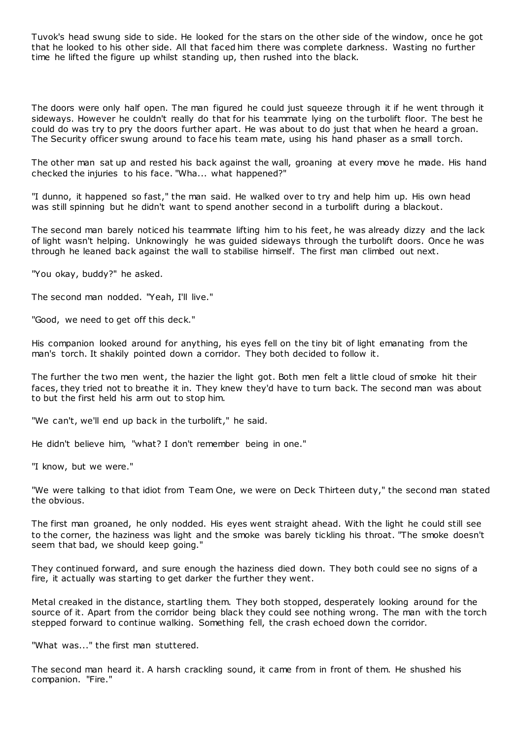Tuvok's head swung side to side. He looked for the stars on the other side of the window, once he got that he looked to his other side. All that faced him there was complete darkness. Wasting no further time he lifted the figure up whilst standing up, then rushed into the black.

The doors were only half open. The man figured he could just squeeze through it if he went through it sideways. However he couldn't really do that for his teammate lying on the turbolift floor. The best he could do was try to pry the doors further apart. He was about to do just that when he heard a groan. The Security officer swung around to face his team mate, using his hand phaser as a small torch.

The other man sat up and rested his back against the wall, groaning at every move he made. His hand checked the injuries to his face. "Wha... what happened?"

"I dunno, it happened so fast," the man said. He walked over to try and help him up. His own head was still spinning but he didn't want to spend another second in a turbolift during a blackout.

The second man barely noticed his teammate lifting him to his feet, he was already dizzy and the lack of light wasn't helping. Unknowingly he was guided sideways through the turbolift doors. Once he was through he leaned back against the wall to stabilise himself. The first man climbed out next.

"You okay, buddy?" he asked.

The second man nodded. "Yeah, I'll live."

"Good, we need to get off this deck."

His companion looked around for anything, his eyes fell on the tiny bit of light emanating from the man's torch. It shakily pointed down a corridor. They both decided to follow it.

The further the two men went, the hazier the light got. Both men felt a little cloud of smoke hit their faces, they tried not to breathe it in. They knew they'd have to turn back. The second man was about to but the first held his arm out to stop him.

"We can't, we'll end up back in the turbolift," he said.

He didn't believe him, "what? I don't remember being in one."

"I know, but we were."

"We were talking to that idiot from Team One, we were on Deck Thirteen duty," the second man stated the obvious.

The first man groaned, he only nodded. His eyes went straight ahead. With the light he could still see to the corner, the haziness was light and the smoke was barely tickling his throat. "The smoke doesn't seem that bad, we should keep going."

They continued forward, and sure enough the haziness died down. They both could see no signs of a fire, it actually was starting to get darker the further they went.

Metal creaked in the distance, startling them. They both stopped, desperately looking around for the source of it. Apart from the corridor being black they could see nothing wrong. The man with the torch stepped forward to continue walking. Something fell, the crash echoed down the corridor.

"What was..." the first man stuttered.

The second man heard it. A harsh crackling sound, it came from in front of them. He shushed his companion. "Fire."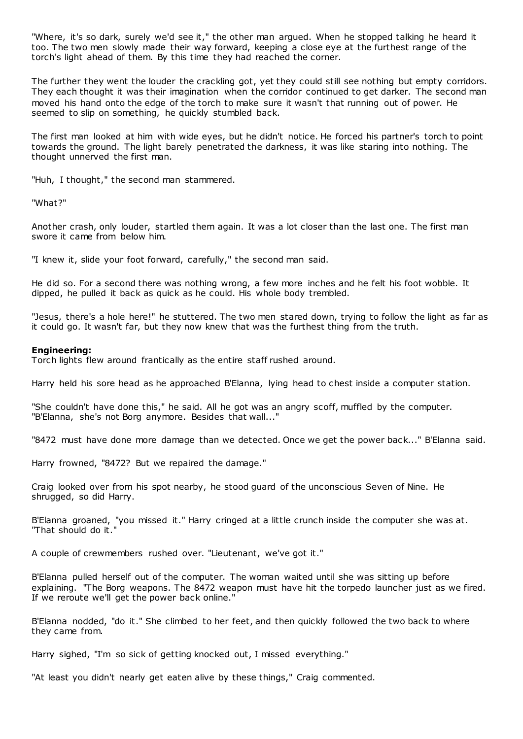"Where, it's so dark, surely we'd see it," the other man argued. When he stopped talking he heard it too. The two men slowly made their way forward, keeping a close eye at the furthest range of the torch's light ahead of them. By this time they had reached the corner.

The further they went the louder the crackling got, yet they could still see nothing but empty corridors. They each thought it was their imagination when the corridor continued to get darker. The second man moved his hand onto the edge of the torch to make sure it wasn't that running out of power. He seemed to slip on something, he quickly stumbled back.

The first man looked at him with wide eyes, but he didn't notice. He forced his partner's torch to point towards the ground. The light barely penetrated the darkness, it was like staring into nothing. The thought unnerved the first man.

"Huh, I thought," the second man stammered.

"What?"

Another crash, only louder, startled them again. It was a lot closer than the last one. The first man swore it came from below him.

"I knew it, slide your foot forward, carefully," the second man said.

He did so. For a second there was nothing wrong, a few more inches and he felt his foot wobble. It dipped, he pulled it back as quick as he could. His whole body trembled.

"Jesus, there's a hole here!" he stuttered. The two men stared down, trying to follow the light as far as it could go. It wasn't far, but they now knew that was the furthest thing from the truth.

#### **Engineering:**

Torch lights flew around frantically as the entire staff rushed around.

Harry held his sore head as he approached B'Elanna, lying head to chest inside a computer station.

"She couldn't have done this," he said. All he got was an angry scoff, muffled by the computer. "B'Elanna, she's not Borg anymore. Besides that wall..."

"8472 must have done more damage than we detected. Once we get the power back..." B'Elanna said.

Harry frowned, "8472? But we repaired the damage."

Craig looked over from his spot nearby, he stood guard of the unconscious Seven of Nine. He shrugged, so did Harry.

B'Elanna groaned, "you missed it." Harry cringed at a little crunch inside the computer she was at. "That should do it."

A couple of crewmembers rushed over. "Lieutenant, we've got it."

B'Elanna pulled herself out of the computer. The woman waited until she was sitting up before explaining. "The Borg weapons. The 8472 weapon must have hit the torpedo launcher just as we fired. If we reroute we'll get the power back online."

B'Elanna nodded, "do it." She climbed to her feet, and then quickly followed the two back to where they came from.

Harry sighed, "I'm so sick of getting knocked out, I missed everything."

"At least you didn't nearly get eaten alive by these things," Craig commented.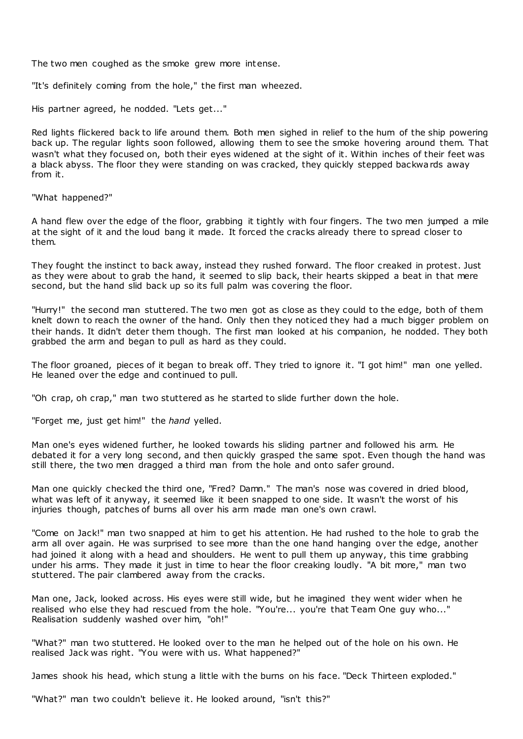The two men coughed as the smoke grew more intense.

"It's definitely coming from the hole," the first man wheezed.

His partner agreed, he nodded. "Lets get..."

Red lights flickered back to life around them. Both men sighed in relief to the hum of the ship powering back up. The regular lights soon followed, allowing them to see the smoke hovering around them. That wasn't what they focused on, both their eyes widened at the sight of it. Within inches of their feet was a black abyss. The floor they were standing on was cracked, they quickly stepped backwards away from it.

"What happened?"

A hand flew over the edge of the floor, grabbing it tightly with four fingers. The two men jumped a mile at the sight of it and the loud bang it made. It forced the cracks already there to spread closer to them.

They fought the instinct to back away, instead they rushed forward. The floor creaked in protest. Just as they were about to grab the hand, it seemed to slip back, their hearts skipped a beat in that mere second, but the hand slid back up so its full palm was covering the floor.

"Hurry!" the second man stuttered. The two men got as close as they could to the edge, both of them knelt down to reach the owner of the hand. Only then they noticed they had a much bigger problem on their hands. It didn't deter them though. The first man looked at his companion, he nodded. They both grabbed the arm and began to pull as hard as they could.

The floor groaned, pieces of it began to break off. They tried to ignore it. "I got him!" man one yelled. He leaned over the edge and continued to pull.

"Oh crap, oh crap," man two stuttered as he started to slide further down the hole.

"Forget me, just get him!" the *hand* yelled.

Man one's eyes widened further, he looked towards his sliding partner and followed his arm. He debated it for a very long second, and then quickly grasped the same spot. Even though the hand was still there, the two men dragged a third man from the hole and onto safer ground.

Man one quickly checked the third one, "Fred? Damn." The man's nose was covered in dried blood, what was left of it anyway, it seemed like it been snapped to one side. It wasn't the worst of his injuries though, patches of burns all over his arm made man one's own crawl.

"Come on Jack!" man two snapped at him to get his attention. He had rushed to the hole to grab the arm all over again. He was surprised to see more than the one hand hanging over the edge, another had joined it along with a head and shoulders. He went to pull them up anyway, this time grabbing under his arms. They made it just in time to hear the floor creaking loudly. "A bit more," man two stuttered. The pair clambered away from the cracks.

Man one, Jack, looked across. His eyes were still wide, but he imagined they went wider when he realised who else they had rescued from the hole. "You're... you're that Team One guy who..." Realisation suddenly washed over him, "oh!"

"What?" man two stuttered. He looked over to the man he helped out of the hole on his own. He realised Jack was right. "You were with us. What happened?"

James shook his head, which stung a little with the burns on his face. "Deck Thirteen exploded."

"What?" man two couldn't believe it. He looked around, "isn't this?"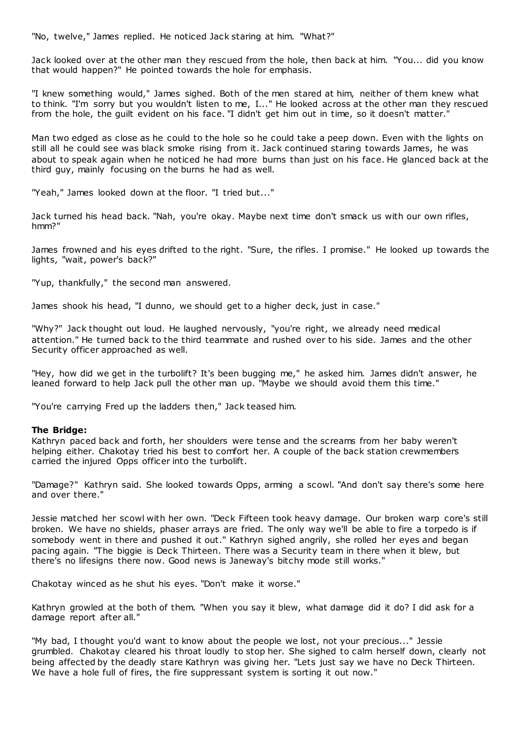"No, twelve," James replied. He noticed Jack staring at him. "What?"

Jack looked over at the other man they rescued from the hole, then back at him. "You... did you know that would happen?" He pointed towards the hole for emphasis.

"I knew something would," James sighed. Both of the men stared at him, neither of them knew what to think. "I'm sorry but you wouldn't listen to me, I..." He looked across at the other man they rescued from the hole, the guilt evident on his face. "I didn't get him out in time, so it doesn't matter."

Man two edged as close as he could to the hole so he could take a peep down. Even with the lights on still all he could see was black smoke rising from it. Jack continued staring towards James, he was about to speak again when he noticed he had more burns than just on his face. He glanced back at the third guy, mainly focusing on the burns he had as well.

"Yeah," James looked down at the floor. "I tried but..."

Jack turned his head back. "Nah, you're okay. Maybe next time don't smack us with our own rifles, hmm?"

James frowned and his eyes drifted to the right. "Sure, the rifles. I promise." He looked up towards the lights, "wait, power's back?"

"Yup, thankfully," the second man answered.

James shook his head, "I dunno, we should get to a higher deck, just in case."

"Why?" Jack thought out loud. He laughed nervously, "you're right, we already need medical attention." He turned back to the third teammate and rushed over to his side. James and the other Security officer approached as well.

"Hey, how did we get in the turbolift? It's been bugging me," he asked him. James didn't answer, he leaned forward to help Jack pull the other man up. "Maybe we should avoid them this time."

"You're carrying Fred up the ladders then," Jack teased him.

#### **The Bridge:**

Kathryn paced back and forth, her shoulders were tense and the screams from her baby weren't helping either. Chakotay tried his best to comfort her. A couple of the back station crewmembers carried the injured Opps officer into the turbolift.

"Damage?" Kathryn said. She looked towards Opps, arming a scowl. "And don't say there's some here and over there."

Jessie matched her scowl with her own. "Deck Fifteen took heavy damage. Our broken warp core's still broken. We have no shields, phaser arrays are fried. The only way we'll be able to fire a torpedo is if somebody went in there and pushed it out." Kathryn sighed angrily, she rolled her eyes and began pacing again. "The biggie is Deck Thirteen. There was a Security team in there when it blew, but there's no lifesigns there now. Good news is Janeway's bitchy mode still works."

Chakotay winced as he shut his eyes. "Don't make it worse."

Kathryn growled at the both of them. "When you say it blew, what damage did it do? I did ask for a damage report after all."

"My bad, I thought you'd want to know about the people we lost, not your precious..." Jessie grumbled. Chakotay cleared his throat loudly to stop her. She sighed to calm herself down, clearly not being affected by the deadly stare Kathryn was giving her. "Lets just say we have no Deck Thirteen. We have a hole full of fires, the fire suppressant system is sorting it out now."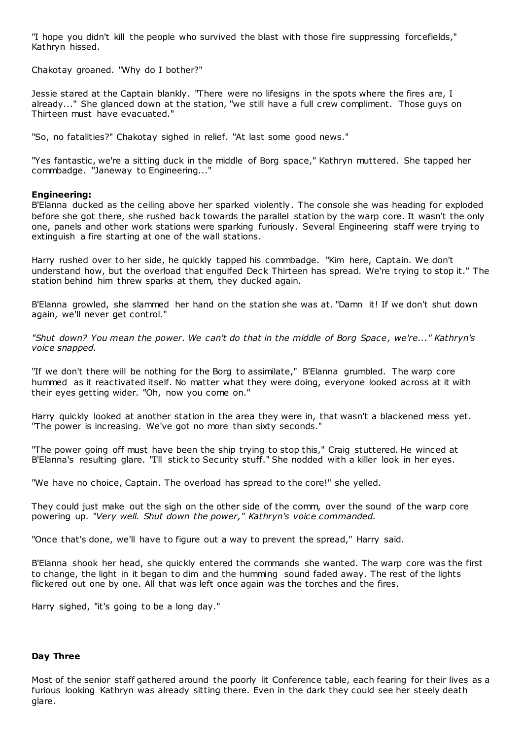"I hope you didn't kill the people who survived the blast with those fire suppressing forcefields," Kathryn hissed.

Chakotay groaned. "Why do I bother?"

Jessie stared at the Captain blankly. "There were no lifesigns in the spots where the fires are, I already..." She glanced down at the station, "we still have a full crew compliment. Those guys on Thirteen must have evacuated."

"So, no fatalities?" Chakotay sighed in relief. "At last some good news."

"Yes fantastic, we're a sitting duck in the middle of Borg space," Kathryn muttered. She tapped her commbadge. "Janeway to Engineering..."

#### **Engineering:**

B'Elanna ducked as the ceiling above her sparked violently. The console she was heading for exploded before she got there, she rushed back towards the parallel station by the warp core. It wasn't the only one, panels and other work stations were sparking furiously. Several Engineering staff were trying to extinguish a fire starting at one of the wall stations.

Harry rushed over to her side, he quickly tapped his commbadge. "Kim here, Captain. We don't understand how, but the overload that engulfed Deck Thirteen has spread. We're trying to stop it." The station behind him threw sparks at them, they ducked again.

B'Elanna growled, she slammed her hand on the station she was at. "Damn it! If we don't shut down again, we'll never get control."

*"Shut down? You mean the power. We can't do that in the middle of Borg Space, we're..." Kathryn's voice snapped.*

"If we don't there will be nothing for the Borg to assimilate," B'Elanna grumbled. The warp core hummed as it reactivated itself. No matter what they were doing, everyone looked across at it with their eyes getting wider. "Oh, now you come on."

Harry quickly looked at another station in the area they were in, that wasn't a blackened mess yet. "The power is increasing. We've got no more than sixty seconds."

"The power going off must have been the ship trying to stop this," Craig stuttered. He winced at B'Elanna's resulting glare. "I'll stick to Security stuff." She nodded with a killer look in her eyes.

"We have no choice, Captain. The overload has spread to the core!" she yelled.

They could just make out the sigh on the other side of the comm, over the sound of the warp core powering up. *"Very well. Shut down the power," Kathryn's voice commanded.*

"Once that's done, we'll have to figure out a way to prevent the spread," Harry said.

B'Elanna shook her head, she quickly entered the commands she wanted. The warp core was the first to change, the light in it began to dim and the humming sound faded away. The rest of the lights flickered out one by one. All that was left once again was the torches and the fires.

Harry sighed, "it's going to be a long day."

## **Day Three**

Most of the senior staff gathered around the poorly lit Conference table, each fearing for their lives as a furious looking Kathryn was already sitting there. Even in the dark they could see her steely death glare.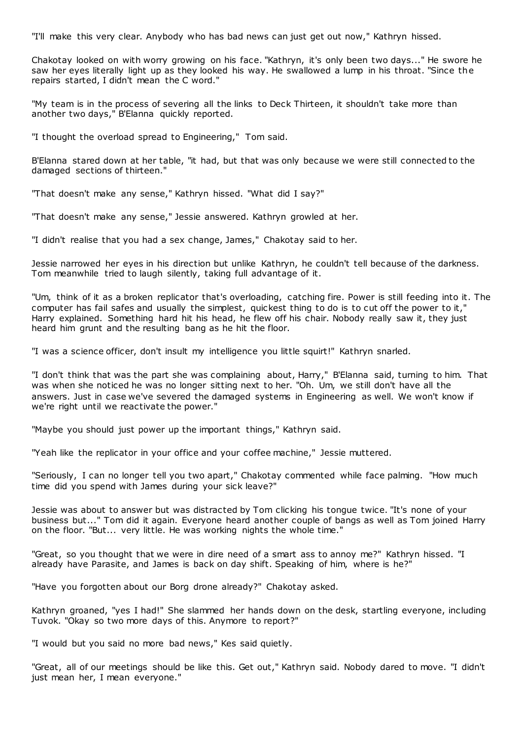"I'll make this very clear. Anybody who has bad news can just get out now," Kathryn hissed.

Chakotay looked on with worry growing on his face. "Kathryn, it's only been two days..." He swore he saw her eyes literally light up as they looked his way. He swallowed a lump in his throat. "Since the repairs started, I didn't mean the C word."

"My team is in the process of severing all the links to Deck Thirteen, it shouldn't take more than another two days," B'Elanna quickly reported.

"I thought the overload spread to Engineering," Tom said.

B'Elanna stared down at her table, "it had, but that was only because we were still connected to the damaged sections of thirteen."

"That doesn't make any sense," Kathryn hissed. "What did I say?"

"That doesn't make any sense," Jessie answered. Kathryn growled at her.

"I didn't realise that you had a sex change, James," Chakotay said to her.

Jessie narrowed her eyes in his direction but unlike Kathryn, he couldn't tell because of the darkness. Tom meanwhile tried to laugh silently, taking full advantage of it.

"Um, think of it as a broken replicator that's overloading, catching fire. Power is still feeding into it. The computer has fail safes and usually the simplest, quickest thing to do is to cut off the power to it," Harry explained. Something hard hit his head, he flew off his chair. Nobody really saw it, they just heard him grunt and the resulting bang as he hit the floor.

"I was a science officer, don't insult my intelligence you little squirt!" Kathryn snarled.

"I don't think that was the part she was complaining about, Harry," B'Elanna said, turning to him. That was when she noticed he was no longer sitting next to her. "Oh. Um, we still don't have all the answers. Just in case we've severed the damaged systems in Engineering as well. We won't know if we're right until we reactivate the power."

"Maybe you should just power up the important things," Kathryn said.

"Yeah like the replicator in your office and your coffee machine," Jessie muttered.

"Seriously, I can no longer tell you two apart," Chakotay commented while face palming. "How much time did you spend with James during your sick leave?"

Jessie was about to answer but was distracted by Tom clicking his tongue twice. "It's none of your business but..." Tom did it again. Everyone heard another couple of bangs as well as Tom joined Harry on the floor. "But... very little. He was working nights the whole time."

"Great, so you thought that we were in dire need of a smart ass to annoy me?" Kathryn hissed. "I already have Parasite, and James is back on day shift. Speaking of him, where is he?"

"Have you forgotten about our Borg drone already?" Chakotay asked.

Kathryn groaned, "yes I had!" She slammed her hands down on the desk, startling everyone, including Tuvok. "Okay so two more days of this. Anymore to report?"

"I would but you said no more bad news," Kes said quietly.

"Great, all of our meetings should be like this. Get out," Kathryn said. Nobody dared to move. "I didn't just mean her, I mean everyone."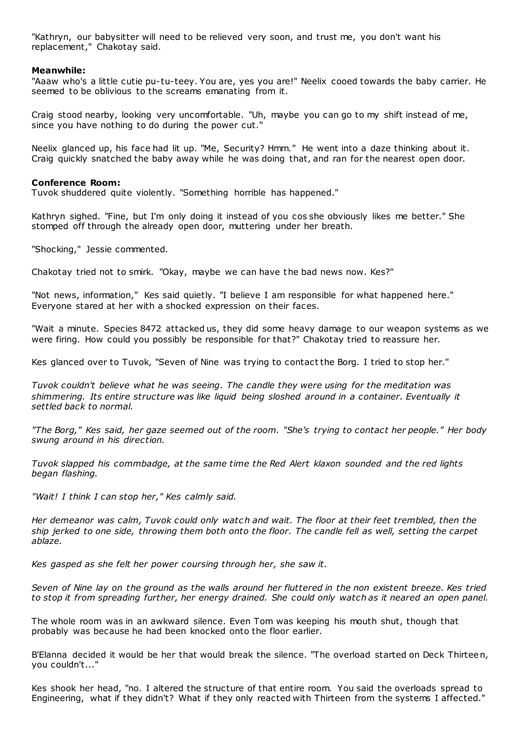"Kathryn, our babysitter will need to be relieved very soon, and trust me, you don't want his replacement," Chakotay said.

## **Meanwhile:**

"Aaaw who's a little cutie pu-tu-teey. You are, yes you are!" Neelix cooed towards the baby carrier. He seemed to be oblivious to the screams emanating from it.

Craig stood nearby, looking very uncomfortable. "Uh, maybe you can go to my shift instead of me, since you have nothing to do during the power cut."

Neelix glanced up, his face had lit up. "Me, Security? Hmm." He went into a daze thinking about it. Craig quickly snatched the baby away while he was doing that, and ran for the nearest open door.

#### **Conference Room:**

Tuvok shuddered quite violently. "Something horrible has happened."

Kathryn sighed. "Fine, but I'm only doing it instead of you cos she obviously likes me better." She stomped off through the already open door, muttering under her breath.

"Shocking," Jessie commented.

Chakotay tried not to smirk. "Okay, maybe we can have the bad news now. Kes?"

"Not news, information," Kes said quietly. "I believe I am responsible for what happened here." Everyone stared at her with a shocked expression on their faces.

"Wait a minute. Species 8472 attacked us, they did some heavy damage to our weapon systems as we were firing. How could you possibly be responsible for that?" Chakotay tried to reassure her.

Kes glanced over to Tuvok, "Seven of Nine was trying to contact the Borg. I tried to stop her."

*Tuvok couldn't believe what he was seeing. The candle they were using for the meditation was shimmering. Its entire structure was like liquid being sloshed around in a container. Eventually it settled back to normal.*

*"The Borg," Kes said, her gaze seemed out of the room. "She's trying to contact her people." Her body swung around in his direction.*

*Tuvok slapped his commbadge, at the same time the Red Alert klaxon sounded and the red lights began flashing.*

*"Wait! I think I can stop her," Kes calmly said.*

*Her demeanor was calm, Tuvok could only watc h and wait. The floor at their feet trembled, then the ship jerked to one side, throwing them both onto the floor. The candle fell as well, setting the carpet ablaze.*

*Kes gasped as she felt her power coursing through her, she saw it.*

*Seven of Nine lay on the ground as the walls around her fluttered in the non existent breeze. Kes tried to stop it from spreading further, her energy drained. She could only watch as it neared an open panel.*

The whole room was in an awkward silence. Even Tom was keeping his mouth shut, though that probably was because he had been knocked onto the floor earlier.

B'Elanna decided it would be her that would break the silence. "The overload started on Deck Thirteen, you couldn't..."

Kes shook her head, "no. I altered the structure of that entire room. You said the overloads spread to Engineering, what if they didn't? What if they only reacted with Thirteen from the systems I affected."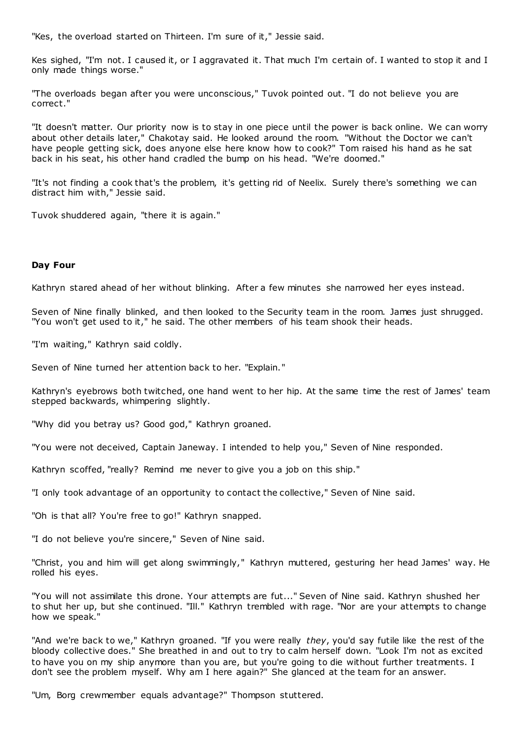"Kes, the overload started on Thirteen. I'm sure of it," Jessie said.

Kes sighed, "I'm not. I caused it, or I aggravated it. That much I'm certain of. I wanted to stop it and I only made things worse."

"The overloads began after you were unconscious," Tuvok pointed out. "I do not believe you are correct."

"It doesn't matter. Our priority now is to stay in one piece until the power is back online. We can worry about other details later," Chakotay said. He looked around the room. "Without the Doctor we can't have people getting sick, does anyone else here know how to cook?" Tom raised his hand as he sat back in his seat, his other hand cradled the bump on his head. "We're doomed."

"It's not finding a cook that's the problem, it's getting rid of Neelix. Surely there's something we can distract him with," Jessie said.

Tuvok shuddered again, "there it is again."

# **Day Four**

Kathryn stared ahead of her without blinking. After a few minutes she narrowed her eyes instead.

Seven of Nine finally blinked, and then looked to the Security team in the room. James just shrugged. "You won't get used to it," he said. The other members of his team shook their heads.

"I'm waiting," Kathryn said coldly.

Seven of Nine turned her attention back to her. "Explain."

Kathryn's eyebrows both twitched, one hand went to her hip. At the same time the rest of James' team stepped backwards, whimpering slightly.

"Why did you betray us? Good god," Kathryn groaned.

"You were not deceived, Captain Janeway. I intended to help you," Seven of Nine responded.

Kathryn scoffed, "really? Remind me never to give you a job on this ship."

"I only took advantage of an opportunity to contact the collective," Seven of Nine said.

"Oh is that all? You're free to go!" Kathryn snapped.

"I do not believe you're sincere," Seven of Nine said.

"Christ, you and him will get along swimmingly," Kathryn muttered, gesturing her head James' way. He rolled his eyes.

"You will not assimilate this drone. Your attempts are fut..." Seven of Nine said. Kathryn shushed her to shut her up, but she continued. "Ill." Kathryn trembled with rage. "Nor are your attempts to change how we speak."

"And we're back to we," Kathryn groaned. "If you were really *they*, you'd say futile like the rest of the bloody collective does." She breathed in and out to try to calm herself down. "Look I'm not as excited to have you on my ship anymore than you are, but you're going to die without further treatments. I don't see the problem myself. Why am I here again?" She glanced at the team for an answer.

"Um, Borg crewmember equals advantage?" Thompson stuttered.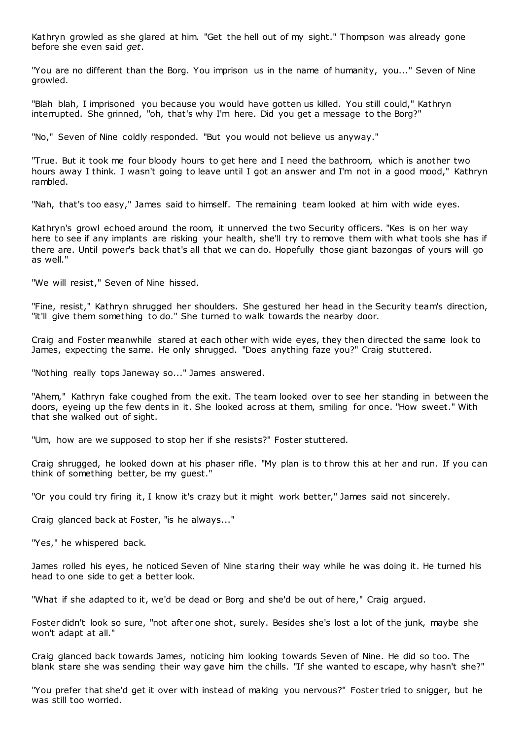Kathryn growled as she glared at him. "Get the hell out of my sight." Thompson was already gone before she even said *get*.

"You are no different than the Borg. You imprison us in the name of humanity, you..." Seven of Nine growled.

"Blah blah, I imprisoned you because you would have gotten us killed. You still could," Kathryn interrupted. She grinned, "oh, that's why I'm here. Did you get a message to the Borg?"

"No," Seven of Nine coldly responded. "But you would not believe us anyway."

"True. But it took me four bloody hours to get here and I need the bathroom, which is another two hours away I think. I wasn't going to leave until I got an answer and I'm not in a good mood," Kathryn rambled.

"Nah, that's too easy," James said to himself. The remaining team looked at him with wide eyes.

Kathryn's growl echoed around the room, it unnerved the two Security officers. "Kes is on her way here to see if any implants are risking your health, she'll try to remove them with what tools she has if there are. Until power's back that's all that we can do. Hopefully those giant bazongas of yours will go as well."

"We will resist," Seven of Nine hissed.

"Fine, resist," Kathryn shrugged her shoulders. She gestured her head in the Security team's direction, "it'll give them something to do." She turned to walk towards the nearby door.

Craig and Foster meanwhile stared at each other with wide eyes, they then directed the same look to James, expecting the same. He only shrugged. "Does anything faze you?" Craig stuttered.

"Nothing really tops Janeway so..." James answered.

"Ahem," Kathryn fake coughed from the exit. The team looked over to see her standing in between the doors, eyeing up the few dents in it. She looked across at them, smiling for once. "How sweet." With that she walked out of sight.

"Um, how are we supposed to stop her if she resists?" Foster stuttered.

Craig shrugged, he looked down at his phaser rifle. "My plan is to throw this at her and run. If you can think of something better, be my guest."

"Or you could try firing it, I know it's crazy but it might work better," James said not sincerely.

Craig glanced back at Foster, "is he always..."

"Yes," he whispered back.

James rolled his eyes, he noticed Seven of Nine staring their way while he was doing it. He turned his head to one side to get a better look.

"What if she adapted to it, we'd be dead or Borg and she'd be out of here," Craig argued.

Foster didn't look so sure, "not after one shot, surely. Besides she's lost a lot of the junk, maybe she won't adapt at all."

Craig glanced back towards James, noticing him looking towards Seven of Nine. He did so too. The blank stare she was sending their way gave him the chills. "If she wanted to escape, why hasn't she?"

"You prefer that she'd get it over with instead of making you nervous?" Foster tried to snigger, but he was still too worried.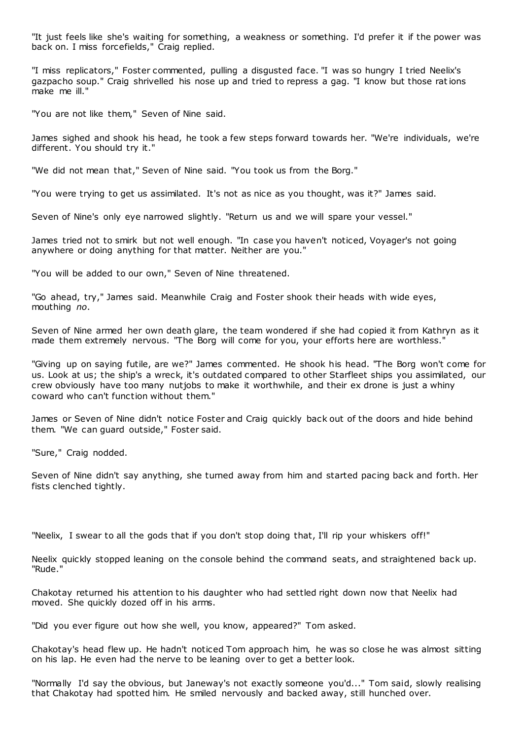"It just feels like she's waiting for something, a weakness or something. I'd prefer it if the power was back on. I miss forcefields," Craig replied.

"I miss replicators," Foster commented, pulling a disgusted face. "I was so hungry I tried Neelix's gazpacho soup." Craig shrivelled his nose up and tried to repress a gag. "I know but those rations make me ill."

"You are not like them," Seven of Nine said.

James sighed and shook his head, he took a few steps forward towards her. "We're individuals, we're different. You should try it."

"We did not mean that," Seven of Nine said. "You took us from the Borg."

"You were trying to get us assimilated. It's not as nice as you thought, was it?" James said.

Seven of Nine's only eye narrowed slightly. "Return us and we will spare your vessel."

James tried not to smirk but not well enough. "In case you haven't noticed, Voyager's not going anywhere or doing anything for that matter. Neither are you."

"You will be added to our own," Seven of Nine threatened.

"Go ahead, try," James said. Meanwhile Craig and Foster shook their heads with wide eyes, mouthing *no*.

Seven of Nine armed her own death glare, the team wondered if she had copied it from Kathryn as it made them extremely nervous. "The Borg will come for you, your efforts here are worthless."

"Giving up on saying futile, are we?" James commented. He shook his head. "The Borg won't come for us. Look at us; the ship's a wreck, it's outdated compared to other Starfleet ships you assimilated, our crew obviously have too many nutjobs to make it worthwhile, and their ex drone is just a whiny coward who can't function without them."

James or Seven of Nine didn't notice Foster and Craig quickly back out of the doors and hide behind them. "We can guard outside," Foster said.

"Sure," Craig nodded.

Seven of Nine didn't say anything, she turned away from him and started pacing back and forth. Her fists clenched tightly.

"Neelix, I swear to all the gods that if you don't stop doing that, I'll rip your whiskers off!"

Neelix quickly stopped leaning on the console behind the command seats, and straightened back up. "Rude."

Chakotay returned his attention to his daughter who had settled right down now that Neelix had moved. She quickly dozed off in his arms.

"Did you ever figure out how she well, you know, appeared?" Tom asked.

Chakotay's head flew up. He hadn't noticed Tom approach him, he was so close he was almost sitting on his lap. He even had the nerve to be leaning over to get a better look.

"Normally I'd say the obvious, but Janeway's not exactly someone you'd..." Tom said, slowly realising that Chakotay had spotted him. He smiled nervously and backed away, still hunched over.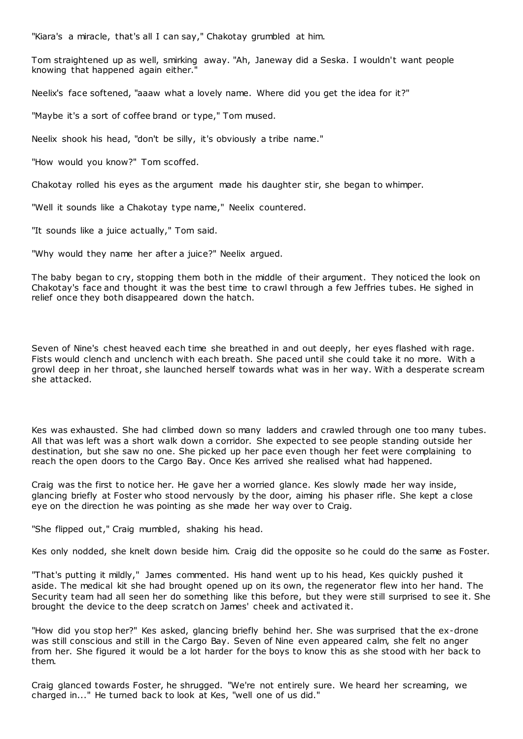"Kiara's a miracle, that's all I can say," Chakotay grumbled at him.

Tom straightened up as well, smirking away. "Ah, Janeway did a Seska. I wouldn't want people knowing that happened again either."

Neelix's face softened, "aaaw what a lovely name. Where did you get the idea for it?"

"Maybe it's a sort of coffee brand or type," Tom mused.

Neelix shook his head, "don't be silly, it's obviously a tribe name."

"How would you know?" Tom scoffed.

Chakotay rolled his eyes as the argument made his daughter stir, she began to whimper.

"Well it sounds like a Chakotay type name," Neelix countered.

"It sounds like a juice actually," Tom said.

"Why would they name her after a juice?" Neelix argued.

The baby began to cry, stopping them both in the middle of their argument. They noticed the look on Chakotay's face and thought it was the best time to crawl through a few Jeffries tubes. He sighed in relief once they both disappeared down the hatch.

Seven of Nine's chest heaved each time she breathed in and out deeply, her eyes flashed with rage. Fists would clench and unclench with each breath. She paced until she could take it no more. With a growl deep in her throat, she launched herself towards what was in her way. With a desperate scream she attacked.

Kes was exhausted. She had climbed down so many ladders and crawled through one too many tubes. All that was left was a short walk down a corridor. She expected to see people standing outside her destination, but she saw no one. She picked up her pace even though her feet were complaining to reach the open doors to the Cargo Bay. Once Kes arrived she realised what had happened.

Craig was the first to notice her. He gave her a worried glance. Kes slowly made her way inside, glancing briefly at Foster who stood nervously by the door, aiming his phaser rifle. She kept a close eye on the direction he was pointing as she made her way over to Craig.

"She flipped out," Craig mumbled, shaking his head.

Kes only nodded, she knelt down beside him. Craig did the opposite so he could do the same as Foster.

"That's putting it mildly," James commented. His hand went up to his head, Kes quickly pushed it aside. The medical kit she had brought opened up on its own, the regenerator flew into her hand. The Security team had all seen her do something like this before, but they were still surprised to see it. She brought the device to the deep scratch on James' cheek and activated it.

"How did you stop her?" Kes asked, glancing briefly behind her. She was surprised that the ex-drone was still conscious and still in the Cargo Bay. Seven of Nine even appeared calm, she felt no anger from her. She figured it would be a lot harder for the boys to know this as she stood with her back to them.

Craig glanced towards Foster, he shrugged. "We're not entirely sure. We heard her screaming, we charged in..." He turned back to look at Kes, "well one of us did."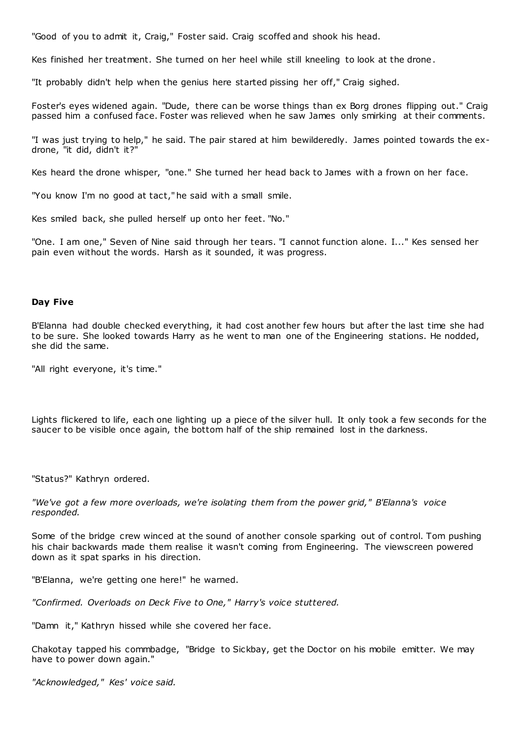"Good of you to admit it, Craig," Foster said. Craig scoffed and shook his head.

Kes finished her treatment. She turned on her heel while still kneeling to look at the drone.

"It probably didn't help when the genius here started pissing her off," Craig sighed.

Foster's eyes widened again. "Dude, there can be worse things than ex Borg drones flipping out." Craig passed him a confused face. Foster was relieved when he saw James only smirking at their comments.

"I was just trying to help," he said. The pair stared at him bewilderedly. James pointed towards the exdrone, "it did, didn't it?"

Kes heard the drone whisper, "one." She turned her head back to James with a frown on her face.

"You know I'm no good at tact," he said with a small smile.

Kes smiled back, she pulled herself up onto her feet. "No."

"One. I am one," Seven of Nine said through her tears. "I cannot function alone. I..." Kes sensed her pain even without the words. Harsh as it sounded, it was progress.

#### **Day Five**

B'Elanna had double checked everything, it had cost another few hours but after the last time she had to be sure. She looked towards Harry as he went to man one of the Engineering stations. He nodded, she did the same.

"All right everyone, it's time."

Lights flickered to life, each one lighting up a piece of the silver hull. It only took a few seconds for the saucer to be visible once again, the bottom half of the ship remained lost in the darkness.

"Status?" Kathryn ordered.

*"We've got a few more overloads, we're isolating them from the power grid," B'Elanna's voice responded.*

Some of the bridge crew winced at the sound of another console sparking out of control. Tom pushing his chair backwards made them realise it wasn't coming from Engineering. The viewscreen powered down as it spat sparks in his direction.

"B'Elanna, we're getting one here!" he warned.

*"Confirmed. Overloads on Deck Five to One," Harry's voice stuttered.*

"Damn it," Kathryn hissed while she covered her face.

Chakotay tapped his commbadge, "Bridge to Sickbay, get the Doctor on his mobile emitter. We may have to power down again."

*"Acknowledged," Kes' voice said.*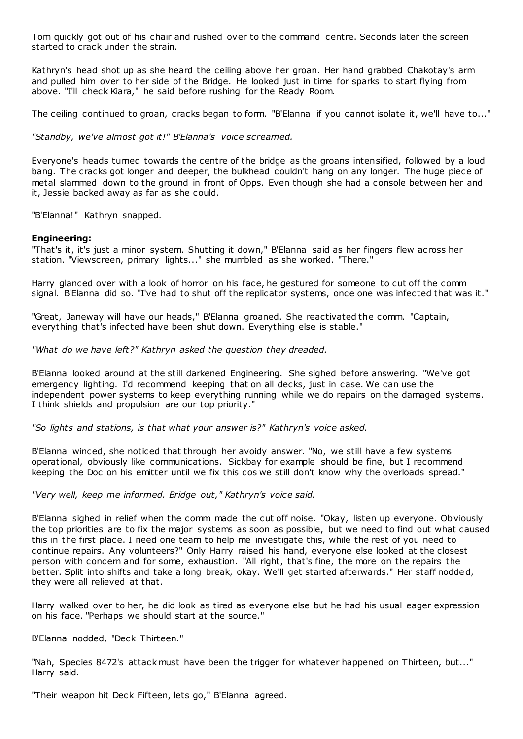Tom quickly got out of his chair and rushed over to the command centre. Seconds later the screen started to crack under the strain.

Kathryn's head shot up as she heard the ceiling above her groan. Her hand grabbed Chakotay's arm and pulled him over to her side of the Bridge. He looked just in time for sparks to start flying from above. "I'll check Kiara," he said before rushing for the Ready Room.

The ceiling continued to groan, cracks began to form. "B'Elanna if you cannot isolate it, we'll have to..."

*"Standby, we've almost got it!" B'Elanna's voice screamed.*

Everyone's heads turned towards the centre of the bridge as the groans intensified, followed by a loud bang. The cracks got longer and deeper, the bulkhead couldn't hang on any longer. The huge piece of metal slammed down to the ground in front of Opps. Even though she had a console between her and it, Jessie backed away as far as she could.

"B'Elanna!" Kathryn snapped.

# **Engineering:**

"That's it, it's just a minor system. Shutting it down," B'Elanna said as her fingers flew across her station. "Viewscreen, primary lights..." she mumbled as she worked. "There."

Harry glanced over with a look of horror on his face, he gestured for someone to cut off the comm signal. B'Elanna did so. "I've had to shut off the replicator systems, once one was infected that was it."

"Great, Janeway will have our heads," B'Elanna groaned. She reactivated the comm. "Captain, everything that's infected have been shut down. Everything else is stable."

*"What do we have left?" Kathryn asked the question they dreaded.*

B'Elanna looked around at the still darkened Engineering. She sighed before answering. "We've got emergency lighting. I'd recommend keeping that on all decks, just in case. We can use the independent power systems to keep everything running while we do repairs on the damaged systems. I think shields and propulsion are our top priority."

*"So lights and stations, is that what your answer is?" Kathryn's voice asked.*

B'Elanna winced, she noticed that through her avoidy answer. "No, we still have a few systems operational, obviously like communications. Sickbay for example should be fine, but I recommend keeping the Doc on his emitter until we fix this cos we still don't know why the overloads spread."

*"Very well, keep me informed. Bridge out," Kathryn's voice said.*

B'Elanna sighed in relief when the comm made the cut off noise. "Okay, listen up everyone. Obviously the top priorities are to fix the major systems as soon as possible, but we need to find out what caused this in the first place. I need one team to help me investigate this, while the rest of you need to continue repairs. Any volunteers?" Only Harry raised his hand, everyone else looked at the closest person with concern and for some, exhaustion. "All right, that's fine, the more on the repairs the better. Split into shifts and take a long break, okay. We'll get started afterwards." Her staff nodded, they were all relieved at that.

Harry walked over to her, he did look as tired as everyone else but he had his usual eager expression on his face. "Perhaps we should start at the source."

B'Elanna nodded, "Deck Thirteen."

"Nah, Species 8472's attack must have been the trigger for whatever happened on Thirteen, but..." Harry said.

"Their weapon hit Deck Fifteen, lets go," B'Elanna agreed.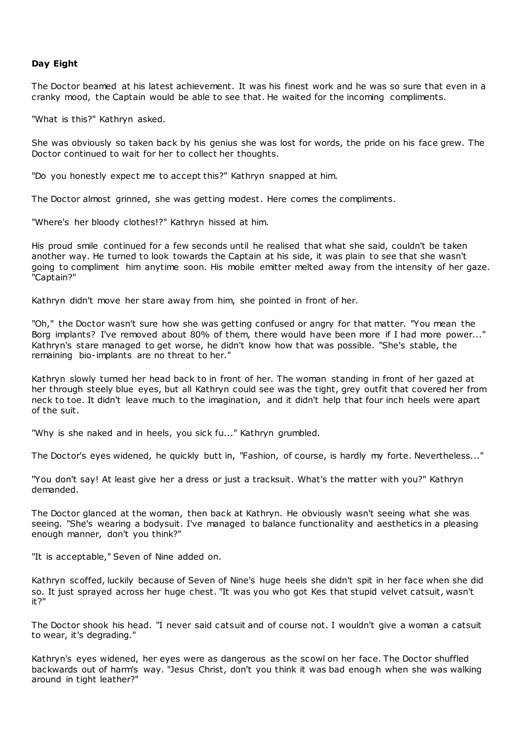# **Day Eight**

The Doctor beamed at his latest achievement. It was his finest work and he was so sure that even in a cranky mood, the Captain would be able to see that. He waited for the incoming compliments.

"What is this?" Kathryn asked.

She was obviously so taken back by his genius she was lost for words, the pride on his face grew. The Doctor continued to wait for her to collect her thoughts.

"Do you honestly expect me to accept this?" Kathryn snapped at him.

The Doctor almost grinned, she was getting modest. Here comes the compliments.

"Where's her bloody clothes!?" Kathryn hissed at him.

His proud smile continued for a few seconds until he realised that what she said, couldn't be taken another way. He turned to look towards the Captain at his side, it was plain to see that she wasn't going to compliment him anytime soon. His mobile emitter melted away from the intensity of her gaze. "Captain?"

Kathryn didn't move her stare away from him, she pointed in front of her.

"Oh," the Doctor wasn't sure how she was getting confused or angry for that matter. "You mean the Borg implants? I've removed about 80% of them, there would have been more if I had more power..." Kathryn's stare managed to get worse, he didn't know how that was possible. "She's stable, the remaining bio-implants are no threat to her."

Kathryn slowly turned her head back to in front of her. The woman standing in front of her gazed at her through steely blue eyes, but all Kathryn could see was the tight, grey outfit that covered her from neck to toe. It didn't leave much to the imagination, and it didn't help that four inch heels were apart of the suit.

"Why is she naked and in heels, you sick fu..." Kathryn grumbled.

The Doctor's eyes widened, he quickly butt in, "Fashion, of course, is hardly my forte. Nevertheless..."

"You don't say! At least give her a dress or just a tracksuit. What's the matter with you?" Kathryn demanded.

The Doctor glanced at the woman, then back at Kathryn. He obviously wasn't seeing what she was seeing. "She's wearing a bodysuit. I've managed to balance functionality and aesthetics in a pleasing enough manner, don't you think?"

"It is acceptable," Seven of Nine added on.

Kathryn scoffed, luckily because of Seven of Nine's huge heels she didn't spit in her face when she did so. It just sprayed across her huge chest. "It was you who got Kes that stupid velvet catsuit, wasn't it?"

The Doctor shook his head. "I never said catsuit and of course not. I wouldn't give a woman a catsuit to wear, it's degrading."

Kathryn's eyes widened, her eyes were as dangerous as the scowl on her face. The Doctor shuffled backwards out of harm's way. "Jesus Christ, don't you think it was bad enough when she was walking around in tight leather?"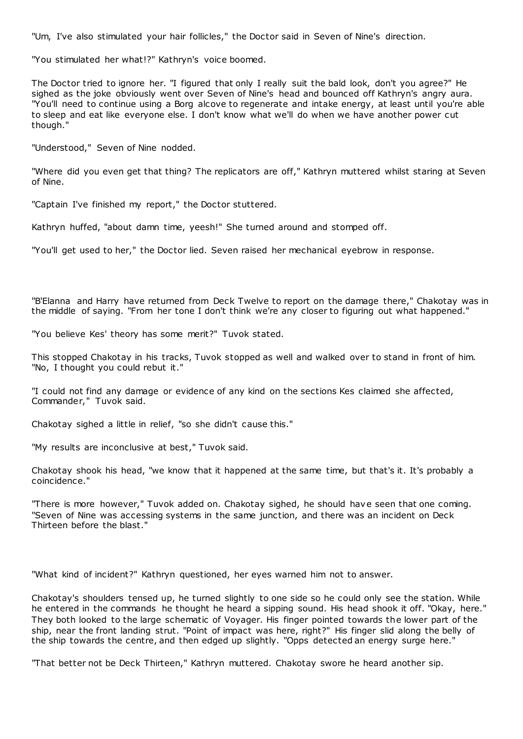"Um, I've also stimulated your hair follicles," the Doctor said in Seven of Nine's direction.

"You stimulated her what!?" Kathryn's voice boomed.

The Doctor tried to ignore her. "I figured that only I really suit the bald look, don't you agree?" He sighed as the joke obviously went over Seven of Nine's head and bounced off Kathryn's angry aura. "You'll need to continue using a Borg alcove to regenerate and intake energy, at least until you're able to sleep and eat like everyone else. I don't know what we'll do when we have another power cut though."

"Understood," Seven of Nine nodded.

"Where did you even get that thing? The replicators are off," Kathryn muttered whilst staring at Seven of Nine.

"Captain I've finished my report," the Doctor stuttered.

Kathryn huffed, "about damn time, yeesh!" She turned around and stomped off.

"You'll get used to her," the Doctor lied. Seven raised her mechanical eyebrow in response.

"B'Elanna and Harry have returned from Deck Twelve to report on the damage there," Chakotay was in the middle of saying. "From her tone I don't think we're any closer to figuring out what happened."

"You believe Kes' theory has some merit?" Tuvok stated.

This stopped Chakotay in his tracks, Tuvok stopped as well and walked over to stand in front of him. "No, I thought you could rebut it."

"I could not find any damage or evidence of any kind on the sections Kes claimed she affected, Commander," Tuvok said.

Chakotay sighed a little in relief, "so she didn't cause this."

"My results are inconclusive at best," Tuvok said.

Chakotay shook his head, "we know that it happened at the same time, but that's it. It's probably a coincidence."

"There is more however," Tuvok added on. Chakotay sighed, he should have seen that one coming. "Seven of Nine was accessing systems in the same junction, and there was an incident on Deck Thirteen before the blast."

"What kind of incident?" Kathryn questioned, her eyes warned him not to answer.

Chakotay's shoulders tensed up, he turned slightly to one side so he could only see the station. While he entered in the commands he thought he heard a sipping sound. His head shook it off. "Okay, here." They both looked to the large schematic of Voyager. His finger pointed towards the lower part of the ship, near the front landing strut. "Point of impact was here, right?" His finger slid along the belly of the ship towards the centre, and then edged up slightly. "Opps detected an energy surge here."

"That better not be Deck Thirteen," Kathryn muttered. Chakotay swore he heard another sip.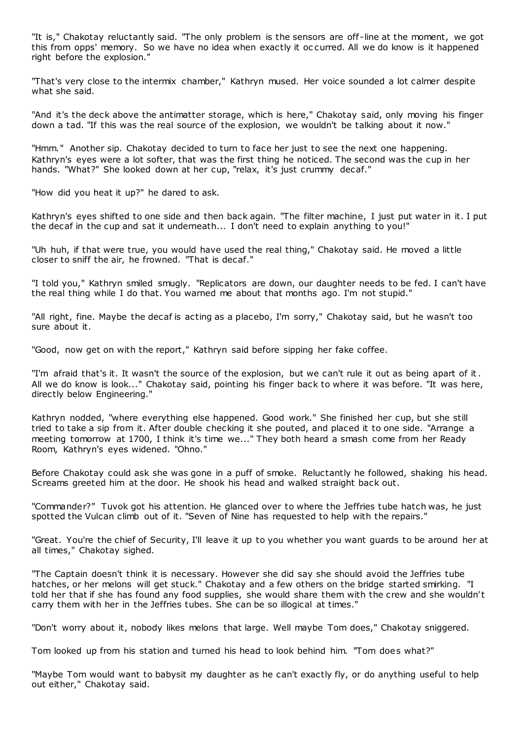"It is," Chakotay reluctantly said. "The only problem is the sensors are off -line at the moment, we got this from opps' memory. So we have no idea when exactly it oc curred. All we do know is it happened right before the explosion."

"That's very close to the intermix chamber," Kathryn mused. Her voice sounded a lot calmer despite what she said.

"And it's the deck above the antimatter storage, which is here," Chakotay said, only moving his finger down a tad. "If this was the real source of the explosion, we wouldn't be talking about it now."

"Hmm." Another sip. Chakotay decided to turn to face her just to see the next one happening. Kathryn's eyes were a lot softer, that was the first thing he noticed. The second was the cup in her hands. "What?" She looked down at her cup, "relax, it's just crummy decaf."

"How did you heat it up?" he dared to ask.

Kathryn's eyes shifted to one side and then back again. "The filter machine, I just put water in it. I put the decaf in the cup and sat it underneath... I don't need to explain anything to you!"

"Uh huh, if that were true, you would have used the real thing," Chakotay said. He moved a little closer to sniff the air, he frowned. "That is decaf."

"I told you," Kathryn smiled smugly. "Replicators are down, our daughter needs to be fed. I can't have the real thing while I do that. You warned me about that months ago. I'm not stupid."

"All right, fine. Maybe the decaf is acting as a placebo, I'm sorry," Chakotay said, but he wasn't too sure about it.

"Good, now get on with the report," Kathryn said before sipping her fake coffee.

"I'm afraid that's it. It wasn't the source of the explosion, but we can't rule it out as being apart of it. All we do know is look..." Chakotay said, pointing his finger back to where it was before. "It was here, directly below Engineering."

Kathryn nodded, "where everything else happened. Good work." She finished her cup, but she still tried to take a sip from it. After double checking it she pouted, and placed it to one side. "Arrange a meeting tomorrow at 1700, I think it's time we..." They both heard a smash come from her Ready Room, Kathryn's eyes widened. "Ohno."

Before Chakotay could ask she was gone in a puff of smoke. Reluctantly he followed, shaking his head. Screams greeted him at the door. He shook his head and walked straight back out.

"Commander?" Tuvok got his attention. He glanced over to where the Jeffries tube hatch was, he just spotted the Vulcan climb out of it. "Seven of Nine has requested to help with the repairs."

"Great. You're the chief of Security, I'll leave it up to you whether you want guards to be around her at all times," Chakotay sighed.

"The Captain doesn't think it is necessary. However she did say she should avoid the Jeffries tube hatches, or her melons will get stuck." Chakotay and a few others on the bridge started smirking. "I told her that if she has found any food supplies, she would share them with the crew and she wouldn't carry them with her in the Jeffries tubes. She can be so illogical at times."

"Don't worry about it, nobody likes melons that large. Well maybe Tom does," Chakotay sniggered.

Tom looked up from his station and turned his head to look behind him. "Tom does what?"

"Maybe Tom would want to babysit my daughter as he can't exactly fly, or do anything useful to help out either," Chakotay said.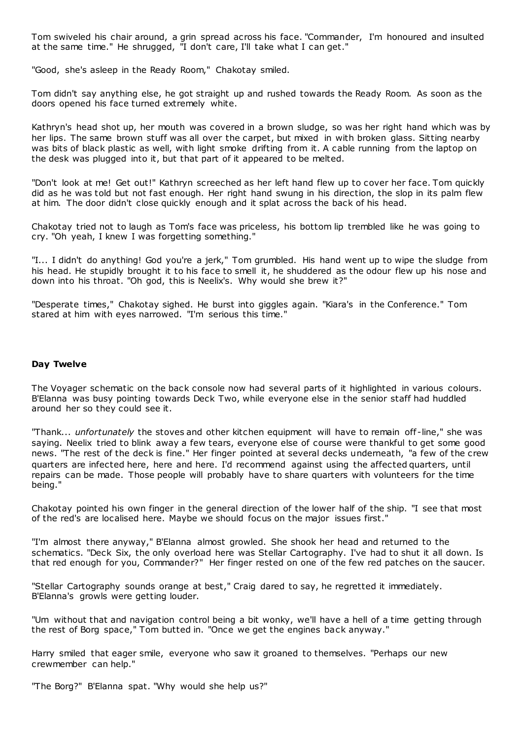Tom swiveled his chair around, a grin spread across his face. "Commander, I'm honoured and insulted at the same time." He shrugged, "I don't care, I'll take what I can get."

"Good, she's asleep in the Ready Room," Chakotay smiled.

Tom didn't say anything else, he got straight up and rushed towards the Ready Room. As soon as the doors opened his face turned extremely white.

Kathryn's head shot up, her mouth was covered in a brown sludge, so was her right hand which was by her lips. The same brown stuff was all over the carpet, but mixed in with broken glass. Sitting nearby was bits of black plastic as well, with light smoke drifting from it. A cable running from the laptop on the desk was plugged into it, but that part of it appeared to be melted.

"Don't look at me! Get out!" Kathryn screeched as her left hand flew up to cover her face. Tom quickly did as he was told but not fast enough. Her right hand swung in his direction, the slop in its palm flew at him. The door didn't close quickly enough and it splat across the back of his head.

Chakotay tried not to laugh as Tom's face was priceless, his bottom lip trembled like he was going to cry. "Oh yeah, I knew I was forgetting something."

"I... I didn't do anything! God you're a jerk," Tom grumbled. His hand went up to wipe the sludge from his head. He stupidly brought it to his face to smell it, he shuddered as the odour flew up his nose and down into his throat. "Oh god, this is Neelix's. Why would she brew it?"

"Desperate times," Chakotay sighed. He burst into giggles again. "Kiara's in the Conference." Tom stared at him with eyes narrowed. "I'm serious this time."

## **Day Twelve**

The Voyager schematic on the back console now had several parts of it highlighted in various colours. B'Elanna was busy pointing towards Deck Two, while everyone else in the senior staff had huddled around her so they could see it.

"Thank... *unfortunately* the stoves and other kitchen equipment will have to remain off -line," she was saying. Neelix tried to blink away a few tears, everyone else of course were thankful to get some good news. "The rest of the deck is fine." Her finger pointed at several decks underneath, "a few of the crew quarters are infected here, here and here. I'd recommend against using the affected quarters, until repairs can be made. Those people will probably have to share quarters with volunteers for the time being."

Chakotay pointed his own finger in the general direction of the lower half of the ship. "I see that most of the red's are localised here. Maybe we should focus on the major issues first."

"I'm almost there anyway," B'Elanna almost growled. She shook her head and returned to the schematics. "Deck Six, the only overload here was Stellar Cartography. I've had to shut it all down. Is that red enough for you, Commander?" Her finger rested on one of the few red patches on the saucer.

"Stellar Cartography sounds orange at best," Craig dared to say, he regretted it immediately. B'Elanna's growls were getting louder.

"Um without that and navigation control being a bit wonky, we'll have a hell of a time getting through the rest of Borg space," Tom butted in. "Once we get the engines back anyway."

Harry smiled that eager smile, everyone who saw it groaned to themselves. "Perhaps our new crewmember can help."

"The Borg?" B'Elanna spat. "Why would she help us?"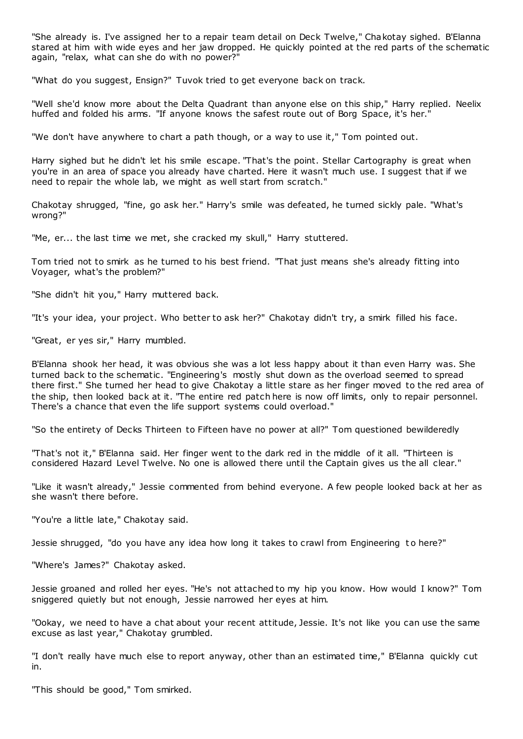"She already is. I've assigned her to a repair team detail on Deck Twelve," Chakotay sighed. B'Elanna stared at him with wide eyes and her jaw dropped. He quickly pointed at the red parts of the schematic again, "relax, what can she do with no power?"

"What do you suggest, Ensign?" Tuvok tried to get everyone back on track.

"Well she'd know more about the Delta Quadrant than anyone else on this ship," Harry replied. Neelix huffed and folded his arms. "If anyone knows the safest route out of Borg Space, it's her."

"We don't have anywhere to chart a path though, or a way to use it," Tom pointed out.

Harry sighed but he didn't let his smile escape. "That's the point. Stellar Cartography is great when you're in an area of space you already have charted. Here it wasn't much use. I suggest that if we need to repair the whole lab, we might as well start from scratch."

Chakotay shrugged, "fine, go ask her." Harry's smile was defeated, he turned sickly pale. "What's wrong?"

"Me, er... the last time we met, she cracked my skull," Harry stuttered.

Tom tried not to smirk as he turned to his best friend. "That just means she's already fitting into Voyager, what's the problem?"

"She didn't hit you," Harry muttered back.

"It's your idea, your project. Who better to ask her?" Chakotay didn't try, a smirk filled his face.

"Great, er yes sir," Harry mumbled.

B'Elanna shook her head, it was obvious she was a lot less happy about it than even Harry was. She turned back to the schematic . "Engineering's mostly shut down as the overload seemed to spread there first." She turned her head to give Chakotay a little stare as her finger moved to the red area of the ship, then looked back at it. "The entire red patch here is now off limits, only to repair personnel. There's a chance that even the life support systems could overload."

"So the entirety of Decks Thirteen to Fifteen have no power at all?" Tom questioned bewilderedly

"That's not it," B'Elanna said. Her finger went to the dark red in the middle of it all. "Thirteen is considered Hazard Level Twelve. No one is allowed there until the Captain gives us the all clear."

"Like it wasn't already," Jessie commented from behind everyone. A few people looked back at her as she wasn't there before.

"You're a little late," Chakotay said.

Jessie shrugged, "do you have any idea how long it takes to crawl from Engineering to here?"

"Where's James?" Chakotay asked.

Jessie groaned and rolled her eyes. "He's not attached to my hip you know. How would I know?" Tom sniggered quietly but not enough, Jessie narrowed her eyes at him.

"Ookay, we need to have a chat about your recent attitude, Jessie. It's not like you can use the same excuse as last year," Chakotay grumbled.

"I don't really have much else to report anyway, other than an estimated time," B'Elanna quickly cut in.

"This should be good," Tom smirked.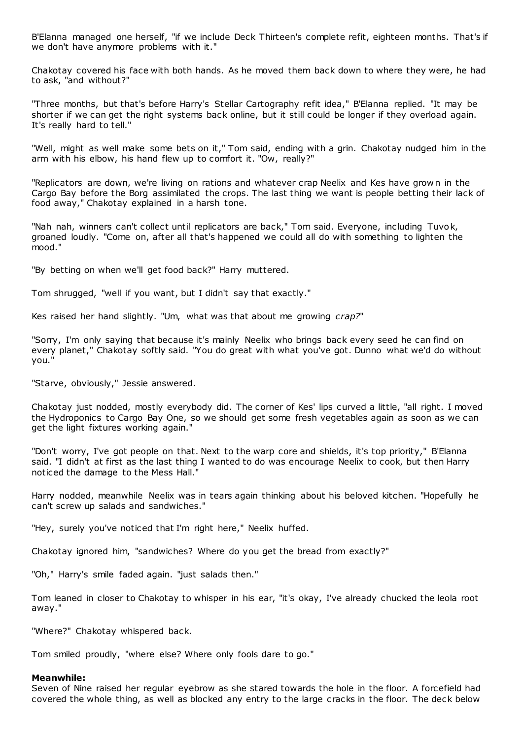B'Elanna managed one herself, "if we include Deck Thirteen's complete refit, eighteen months. That's if we don't have anymore problems with it."

Chakotay covered his face with both hands. As he moved them back down to where they were, he had to ask, "and without?"

"Three months, but that's before Harry's Stellar Cartography refit idea," B'Elanna replied. "It may be shorter if we can get the right systems back online, but it still could be longer if they overload again. It's really hard to tell."

"Well, might as well make some bets on it," Tom said, ending with a grin. Chakotay nudged him in the arm with his elbow, his hand flew up to comfort it. "Ow, really?"

"Replicators are down, we're living on rations and whatever crap Neelix and Kes have grow n in the Cargo Bay before the Borg assimilated the crops. The last thing we want is people betting their lack of food away," Chakotay explained in a harsh tone.

"Nah nah, winners can't collect until replicators are back," Tom said. Everyone, including Tuvok, groaned loudly. "Come on, after all that's happened we could all do with something to lighten the mood."

"By betting on when we'll get food back?" Harry muttered.

Tom shrugged, "well if you want, but I didn't say that exactly."

Kes raised her hand slightly. "Um, what was that about me growing *crap?*"

"Sorry, I'm only saying that because it's mainly Neelix who brings back every seed he can find on every planet," Chakotay softly said. "You do great with what you've got. Dunno what we'd do without you."

"Starve, obviously," Jessie answered.

Chakotay just nodded, mostly everybody did. The corner of Kes' lips curved a little, "all right. I moved the Hydroponics to Cargo Bay One, so we should get some fresh vegetables again as soon as we can get the light fixtures working again."

"Don't worry, I've got people on that. Next to the warp core and shields, it's top priority," B'Elanna said. "I didn't at first as the last thing I wanted to do was encourage Neelix to cook, but then Harry noticed the damage to the Mess Hall."

Harry nodded, meanwhile Neelix was in tears again thinking about his beloved kitchen. "Hopefully he can't screw up salads and sandwiches."

"Hey, surely you've noticed that I'm right here," Neelix huffed.

Chakotay ignored him, "sandwiches? Where do you get the bread from exactly?"

"Oh," Harry's smile faded again. "just salads then."

Tom leaned in closer to Chakotay to whisper in his ear, "it's okay, I've already chucked the leola root away."

"Where?" Chakotay whispered back.

Tom smiled proudly, "where else? Where only fools dare to go."

#### **Meanwhile:**

Seven of Nine raised her regular eyebrow as she stared towards the hole in the floor. A forcefield had covered the whole thing, as well as blocked any entry to the large cracks in the floor. The deck below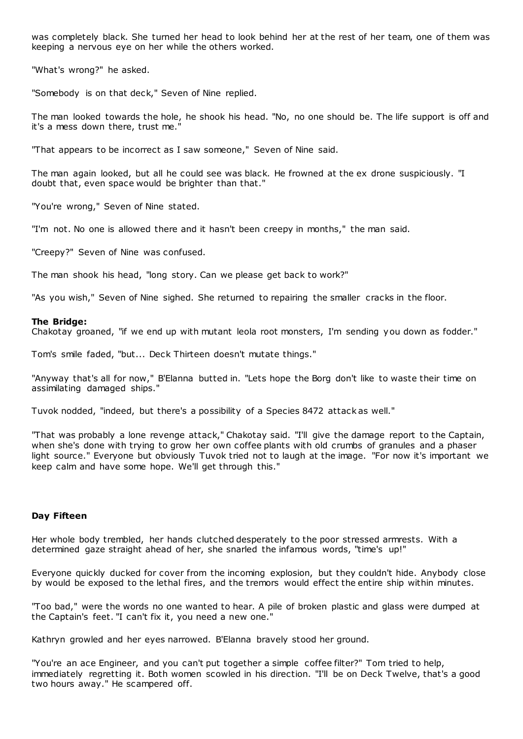was completely black. She turned her head to look behind her at the rest of her team, one of them was keeping a nervous eye on her while the others worked.

"What's wrong?" he asked.

"Somebody is on that deck," Seven of Nine replied.

The man looked towards the hole, he shook his head. "No, no one should be. The life support is off and it's a mess down there, trust me."

"That appears to be incorrect as I saw someone," Seven of Nine said.

The man again looked, but all he could see was black. He frowned at the ex drone suspiciously. "I doubt that, even space would be brighter than that."

"You're wrong," Seven of Nine stated.

"I'm not. No one is allowed there and it hasn't been creepy in months," the man said.

"Creepy?" Seven of Nine was confused.

The man shook his head, "long story. Can we please get back to work?"

"As you wish," Seven of Nine sighed. She returned to repairing the smaller cracks in the floor.

#### **The Bridge:**

Chakotay groaned, "if we end up with mutant leola root monsters, I'm sending you down as fodder."

Tom's smile faded, "but... Deck Thirteen doesn't mutate things."

"Anyway that's all for now," B'Elanna butted in. "Lets hope the Borg don't like to waste their time on assimilating damaged ships."

Tuvok nodded, "indeed, but there's a possibility of a Species 8472 attack as well."

"That was probably a lone revenge attack," Chakotay said. "I'll give the damage report to the Captain, when she's done with trying to grow her own coffee plants with old crumbs of granules and a phaser light source." Everyone but obviously Tuvok tried not to laugh at the image. "For now it's important we keep calm and have some hope. We'll get through this."

## **Day Fifteen**

Her whole body trembled, her hands clutched desperately to the poor stressed armrests. With a determined gaze straight ahead of her, she snarled the infamous words, "time's up!"

Everyone quickly ducked for cover from the incoming explosion, but they couldn't hide. Anybody close by would be exposed to the lethal fires, and the tremors would effect the entire ship within minutes.

"Too bad," were the words no one wanted to hear. A pile of broken plastic and glass were dumped at the Captain's feet. "I can't fix it, you need a new one."

Kathryn growled and her eyes narrowed. B'Elanna bravely stood her ground.

"You're an ace Engineer, and you can't put together a simple coffee filter?" Tom tried to help, immediately regretting it. Both women scowled in his direction. "I'll be on Deck Twelve, that's a good two hours away." He scampered off.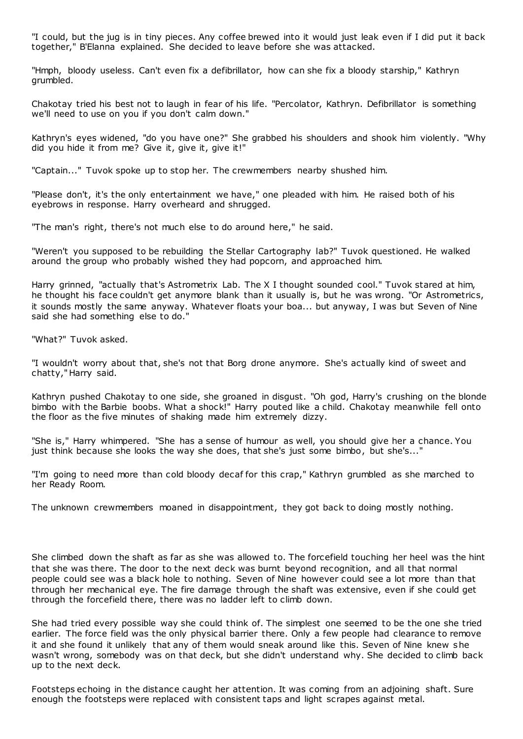"I could, but the jug is in tiny pieces. Any coffee brewed into it would just leak even if I did put it back together," B'Elanna explained. She decided to leave before she was attacked.

"Hmph, bloody useless. Can't even fix a defibrillator, how can she fix a bloody starship," Kathryn grumbled.

Chakotay tried his best not to laugh in fear of his life. "Percolator, Kathryn. Defibrillator is something we'll need to use on you if you don't calm down."

Kathryn's eyes widened, "do you have one?" She grabbed his shoulders and shook him violently. "Why did you hide it from me? Give it, give it, give it!"

"Captain..." Tuvok spoke up to stop her. The crewmembers nearby shushed him.

"Please don't, it's the only entertainment we have," one pleaded with him. He raised both of his eyebrows in response. Harry overheard and shrugged.

"The man's right, there's not much else to do around here," he said.

"Weren't you supposed to be rebuilding the Stellar Cartography lab?" Tuvok questioned. He walked around the group who probably wished they had popcorn, and approached him.

Harry grinned, "actually that's Astrometrix Lab. The X I thought sounded cool." Tuvok stared at him, he thought his face couldn't get anymore blank than it usually is, but he was wrong. "Or Astrometrics, it sounds mostly the same anyway. Whatever floats your boa... but anyway, I was but Seven of Nine said she had something else to do."

"What?" Tuvok asked.

"I wouldn't worry about that, she's not that Borg drone anymore. She's actually kind of sweet and chatty," Harry said.

Kathryn pushed Chakotay to one side, she groaned in disgust. "Oh god, Harry's crushing on the blonde bimbo with the Barbie boobs. What a shock!" Harry pouted like a child. Chakotay meanwhile fell onto the floor as the five minutes of shaking made him extremely dizzy.

"She is," Harry whimpered. "She has a sense of humour as well, you should give her a chance. You just think because she looks the way she does, that she's just some bimbo, but she's..."

"I'm going to need more than cold bloody decaf for this crap," Kathryn grumbled as she marched to her Ready Room.

The unknown crewmembers moaned in disappointment, they got back to doing mostly nothing.

She climbed down the shaft as far as she was allowed to. The forcefield touching her heel was the hint that she was there. The door to the next deck was burnt beyond recognition, and all that normal people could see was a black hole to nothing. Seven of Nine however could see a lot more than that through her mechanical eye. The fire damage through the shaft was extensive, even if she could get through the forcefield there, there was no ladder left to climb down.

She had tried every possible way she could think of. The simplest one seemed to be the one she tried earlier. The force field was the only physical barrier there. Only a few people had clearance to remove it and she found it unlikely that any of them would sneak around like this. Seven of Nine knew she wasn't wrong, somebody was on that deck, but she didn't understand why. She decided to climb back up to the next deck.

Footsteps echoing in the distance caught her attention. It was coming from an adjoining shaft. Sure enough the footsteps were replaced with consistent taps and light scrapes against metal.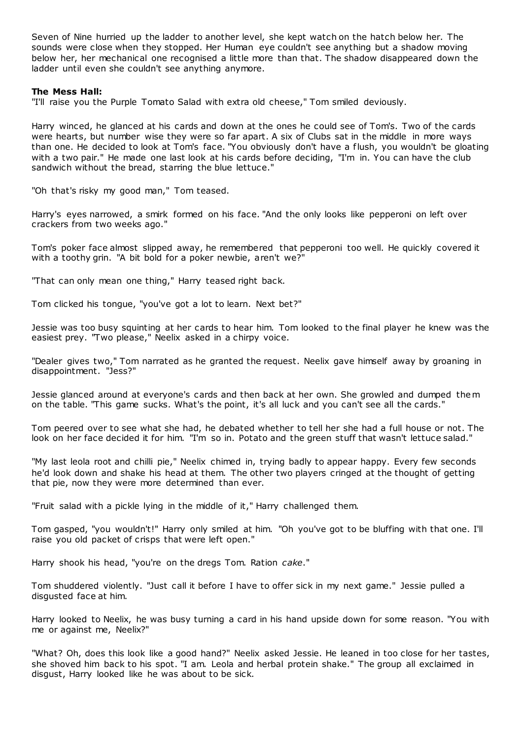Seven of Nine hurried up the ladder to another level, she kept watch on the hatch below her. The sounds were close when they stopped. Her Human eye couldn't see anything but a shadow moving below her, her mechanical one recognised a little more than that. The shadow disappeared down the ladder until even she couldn't see anything anymore.

# **The Mess Hall:**

"I'll raise you the Purple Tomato Salad with extra old cheese," Tom smiled deviously.

Harry winced, he glanced at his cards and down at the ones he could see of Tom's. Two of the cards were hearts, but number wise they were so far apart. A six of Clubs sat in the middle in more ways than one. He decided to look at Tom's face. "You obviously don't have a flush, you wouldn't be gloating with a two pair." He made one last look at his cards before deciding, "I'm in. You can have the club sandwich without the bread, starring the blue lettuce."

"Oh that's risky my good man," Tom teased.

Harry's eyes narrowed, a smirk formed on his face. "And the only looks like pepperoni on left over crackers from two weeks ago."

Tom's poker face almost slipped away, he remembered that pepperoni too well. He quickly covered it with a toothy grin. "A bit bold for a poker newbie, aren't we?"

"That can only mean one thing," Harry teased right back.

Tom clicked his tongue, "you've got a lot to learn. Next bet?"

Jessie was too busy squinting at her cards to hear him. Tom looked to the final player he knew was the easiest prey. "Two please," Neelix asked in a chirpy voice.

"Dealer gives two," Tom narrated as he granted the request. Neelix gave himself away by groaning in disappointment. "Jess?"

Jessie glanced around at everyone's cards and then back at her own. She growled and dumped them on the table. "This game sucks. What's the point, it's all luck and you can't see all the cards."

Tom peered over to see what she had, he debated whether to tell her she had a full house or not. The look on her face decided it for him. "I'm so in. Potato and the green stuff that wasn't lettuce salad."

"My last leola root and chilli pie," Neelix chimed in, trying badly to appear happy. Every few seconds he'd look down and shake his head at them. The other two players cringed at the thought of getting that pie, now they were more determined than ever.

"Fruit salad with a pickle lying in the middle of it," Harry challenged them.

Tom gasped, "you wouldn't!" Harry only smiled at him. "Oh you've got to be bluffing with that one. I'll raise you old packet of crisps that were left open."

Harry shook his head, "you're on the dregs Tom. Ration *cake*."

Tom shuddered violently. "Just call it before I have to offer sick in my next game." Jessie pulled a disgusted face at him.

Harry looked to Neelix, he was busy turning a card in his hand upside down for some reason. "You with me or against me, Neelix?"

"What? Oh, does this look like a good hand?" Neelix asked Jessie. He leaned in too close for her tastes, she shoved him back to his spot. "I am. Leola and herbal protein shake." The group all exclaimed in disgust, Harry looked like he was about to be sick.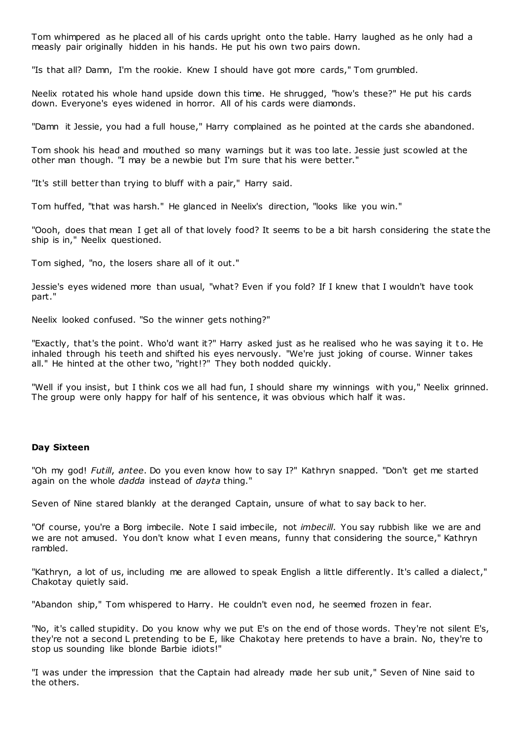Tom whimpered as he placed all of his cards upright onto the table. Harry laughed as he only had a measly pair originally hidden in his hands. He put his own two pairs down.

"Is that all? Damn, I'm the rookie. Knew I should have got more cards," Tom grumbled.

Neelix rotated his whole hand upside down this time. He shrugged, "how's these?" He put his cards down. Everyone's eyes widened in horror. All of his cards were diamonds.

"Damn it Jessie, you had a full house," Harry complained as he pointed at the cards she abandoned.

Tom shook his head and mouthed so many warnings but it was too late. Jessie just scowled at the other man though. "I may be a newbie but I'm sure that his were better."

"It's still better than trying to bluff with a pair," Harry said.

Tom huffed, "that was harsh." He glanced in Neelix's direction, "looks like you win."

"Oooh, does that mean I get all of that lovely food? It seems to be a bit harsh considering the state the ship is in," Neelix questioned.

Tom sighed, "no, the losers share all of it out."

Jessie's eyes widened more than usual, "what? Even if you fold? If I knew that I wouldn't have took part."

Neelix looked confused. "So the winner gets nothing?"

"Exactly, that's the point. Who'd want it?" Harry asked just as he realised who he was saying it to. He inhaled through his teeth and shifted his eyes nervously. "We're just joking of course. Winner takes all." He hinted at the other two, "right!?" They both nodded quickly.

"Well if you insist, but I think cos we all had fun, I should share my winnings with you," Neelix grinned. The group were only happy for half of his sentence, it was obvious which half it was.

## **Day Sixteen**

"Oh my god! *Futill*, *antee*. Do you even know how to say I?" Kathryn snapped. "Don't get me started again on the whole *dadda* instead of *dayta* thing."

Seven of Nine stared blankly at the deranged Captain, unsure of what to say back to her.

"Of course, you're a Borg imbecile. Note I said imbecile, not *imbecill*. You say rubbish like we are and we are not amused. You don't know what I even means, funny that considering the source," Kathryn rambled.

"Kathryn, a lot of us, including me are allowed to speak English a little differently. It's called a dialect," Chakotay quietly said.

"Abandon ship," Tom whispered to Harry. He couldn't even nod, he seemed frozen in fear.

"No, it's called stupidity. Do you know why we put E's on the end of those words. They're not silent E's, they're not a second L pretending to be E, like Chakotay here pretends to have a brain. No, they're to stop us sounding like blonde Barbie idiots!"

"I was under the impression that the Captain had already made her sub unit," Seven of Nine said to the others.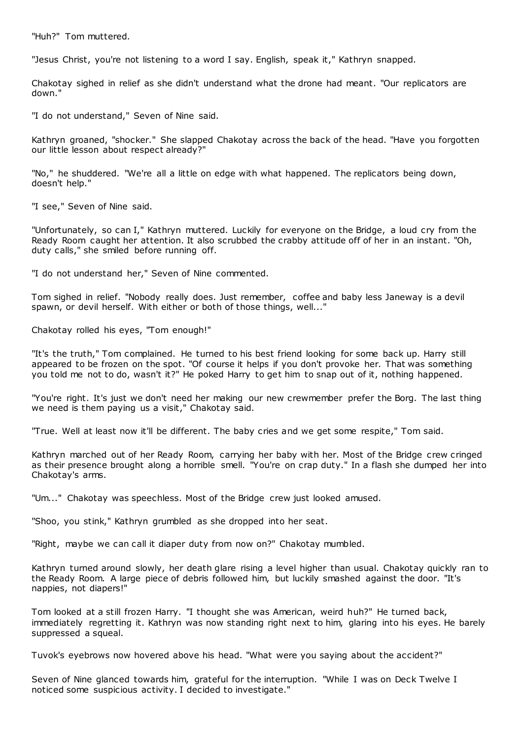"Huh?" Tom muttered.

"Jesus Christ, you're not listening to a word I say. English, speak it," Kathryn snapped.

Chakotay sighed in relief as she didn't understand what the drone had meant. "Our replicators are down."

"I do not understand," Seven of Nine said.

Kathryn groaned, "shocker." She slapped Chakotay across the back of the head. "Have you forgotten our little lesson about respect already?"

"No," he shuddered. "We're all a little on edge with what happened. The replicators being down, doesn't help."

"I see," Seven of Nine said.

"Unfortunately, so can I," Kathryn muttered. Luckily for everyone on the Bridge, a loud cry from the Ready Room caught her attention. It also scrubbed the crabby attitude off of her in an instant. "Oh, duty calls," she smiled before running off.

"I do not understand her," Seven of Nine commented.

Tom sighed in relief. "Nobody really does. Just remember, coffee and baby less Janeway is a devil spawn, or devil herself. With either or both of those things, well..."

Chakotay rolled his eyes, "Tom enough!"

"It's the truth," Tom complained. He turned to his best friend looking for some back up. Harry still appeared to be frozen on the spot. "Of course it helps if you don't provoke her. That was something you told me not to do, wasn't it?" He poked Harry to get him to snap out of it, nothing happened.

"You're right. It's just we don't need her making our new crewmember prefer the Borg. The last thing we need is them paying us a visit," Chakotay said.

"True. Well at least now it'll be different. The baby cries and we get some respite," Tom said.

Kathryn marched out of her Ready Room, carrying her baby with her. Most of the Bridge crew cringed as their presence brought along a horrible smell. "You're on crap duty." In a flash she dumped her into Chakotay's arms.

"Um..." Chakotay was speechless. Most of the Bridge crew just looked amused.

"Shoo, you stink," Kathryn grumbled as she dropped into her seat.

"Right, maybe we can call it diaper duty from now on?" Chakotay mumbled.

Kathryn turned around slowly, her death glare rising a level higher than usual. Chakotay quickly ran to the Ready Room. A large piece of debris followed him, but luckily smashed against the door. "It's nappies, not diapers!"

Tom looked at a still frozen Harry. "I thought she was American, weird huh?" He turned back, immediately regretting it. Kathryn was now standing right next to him, glaring into his eyes. He barely suppressed a squeal.

Tuvok's eyebrows now hovered above his head. "What were you saying about the accident?"

Seven of Nine glanced towards him, grateful for the interruption. "While I was on Deck Twelve I noticed some suspicious activity. I decided to investigate."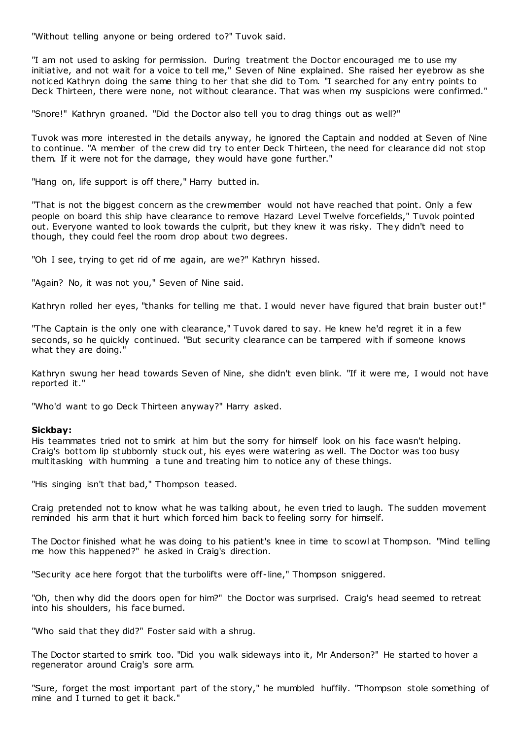"Without telling anyone or being ordered to?" Tuvok said.

"I am not used to asking for permission. During treatment the Doctor encouraged me to use my initiative, and not wait for a voice to tell me," Seven of Nine explained. She raised her eyebrow as she noticed Kathryn doing the same thing to her that she did to Tom. "I searched for any entry points to Deck Thirteen, there were none, not without clearance. That was when my suspicions were confirmed."

"Snore!" Kathryn groaned. "Did the Doctor also tell you to drag things out as well?"

Tuvok was more interested in the details anyway, he ignored the Captain and nodded at Seven of Nine to continue. "A member of the crew did try to enter Deck Thirteen, the need for clearance did not stop them. If it were not for the damage, they would have gone further."

"Hang on, life support is off there," Harry butted in.

"That is not the biggest concern as the crewmember would not have reached that point. Only a few people on board this ship have clearance to remove Hazard Level Twelve forcefields," Tuvok pointed out. Everyone wanted to look towards the culprit, but they knew it was risky. They didn't need to though, they could feel the room drop about two degrees.

"Oh I see, trying to get rid of me again, are we?" Kathryn hissed.

"Again? No, it was not you," Seven of Nine said.

Kathryn rolled her eyes, "thanks for telling me that. I would never have figured that brain buster out!"

"The Captain is the only one with clearance," Tuvok dared to say. He knew he'd regret it in a few seconds, so he quickly continued. "But security clearance can be tampered with if someone knows what they are doing.'

Kathryn swung her head towards Seven of Nine, she didn't even blink. "If it were me, I would not have reported it."

"Who'd want to go Deck Thirteen anyway?" Harry asked.

## **Sickbay:**

His teammates tried not to smirk at him but the sorry for himself look on his face wasn't helping. Craig's bottom lip stubbornly stuck out, his eyes were watering as well. The Doctor was too busy multitasking with humming a tune and treating him to notice any of these things.

"His singing isn't that bad," Thompson teased.

Craig pretended not to know what he was talking about, he even tried to laugh. The sudden movement reminded his arm that it hurt which forced him back to feeling sorry for himself.

The Doctor finished what he was doing to his patient's knee in time to scowl at Thompson. "Mind telling me how this happened?" he asked in Craig's direction.

"Security ace here forgot that the turbolifts were off-line," Thompson sniggered.

"Oh, then why did the doors open for him?" the Doctor was surprised. Craig's head seemed to retreat into his shoulders, his face burned.

"Who said that they did?" Foster said with a shrug.

The Doctor started to smirk too. "Did you walk sideways into it, Mr Anderson?" He started to hover a regenerator around Craig's sore arm.

"Sure, forget the most important part of the story," he mumbled huffily. "Thompson stole something of mine and I turned to get it back."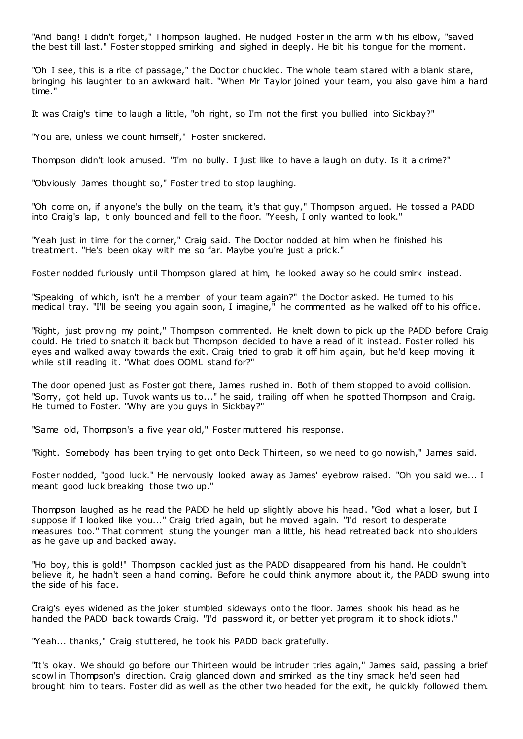"And bang! I didn't forget," Thompson laughed. He nudged Foster in the arm with his elbow, "saved the best till last." Foster stopped smirking and sighed in deeply. He bit his tongue for the moment.

"Oh I see, this is a rite of passage," the Doctor chuckled. The whole team stared with a blank stare, bringing his laughter to an awkward halt. "When Mr Taylor joined your team, you also gave him a hard time."

It was Craig's time to laugh a little, "oh right, so I'm not the first you bullied into Sickbay?"

"You are, unless we count himself," Foster snickered.

Thompson didn't look amused. "I'm no bully. I just like to have a laugh on duty. Is it a crime?"

"Obviously James thought so," Foster tried to stop laughing.

"Oh come on, if anyone's the bully on the team, it's that guy," Thompson argued. He tossed a PADD into Craig's lap, it only bounced and fell to the floor. "Yeesh, I only wanted to look."

"Yeah just in time for the corner," Craig said. The Doctor nodded at him when he finished his treatment. "He's been okay with me so far. Maybe you're just a prick."

Foster nodded furiously until Thompson glared at him, he looked away so he could smirk instead.

"Speaking of which, isn't he a member of your team again?" the Doctor asked. He turned to his medical tray. "I'll be seeing you again soon, I imagine," he commented as he walked off to his office.

"Right, just proving my point," Thompson commented. He knelt down to pick up the PADD before Craig could. He tried to snatch it back but Thompson decided to have a read of it instead. Foster rolled his eyes and walked away towards the exit. Craig tried to grab it off him again, but he'd keep moving it while still reading it. "What does OOML stand for?"

The door opened just as Foster got there, James rushed in. Both of them stopped to avoid collision. "Sorry, got held up. Tuvok wants us to..." he said, trailing off when he spotted Thompson and Craig. He turned to Foster. "Why are you guys in Sickbay?"

"Same old, Thompson's a five year old," Foster muttered his response.

"Right. Somebody has been trying to get onto Deck Thirteen, so we need to go nowish," James said.

Foster nodded, "good luck." He nervously looked away as James' eyebrow raised. "Oh you said we... I meant good luck breaking those two up."

Thompson laughed as he read the PADD he held up slightly above his head. "God what a loser, but I suppose if I looked like you..." Craig tried again, but he moved again. "I'd resort to desperate measures too." That comment stung the younger man a little, his head retreated back into shoulders as he gave up and backed away.

"Ho boy, this is gold!" Thompson cackled just as the PADD disappeared from his hand. He couldn't believe it, he hadn't seen a hand coming. Before he could think anymore about it, the PADD swung into the side of his face.

Craig's eyes widened as the joker stumbled sideways onto the floor. James shook his head as he handed the PADD back towards Craig. "I'd password it, or better yet program it to shock idiots."

"Yeah... thanks," Craig stuttered, he took his PADD back gratefully.

"It's okay. We should go before our Thirteen would be intruder tries again," James said, passing a brief scowl in Thompson's direction. Craig glanced down and smirked as the tiny smack he'd seen had brought him to tears. Foster did as well as the other two headed for the exit, he quickly followed them.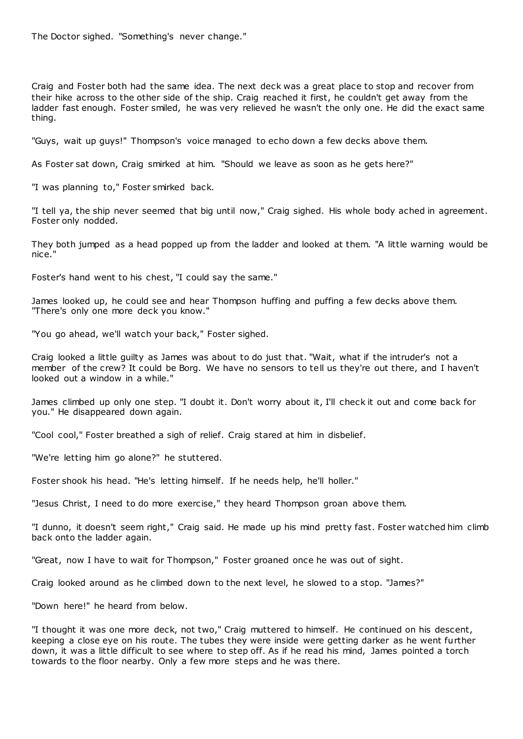The Doctor sighed. "Something's never change."

Craig and Foster both had the same idea. The next deck was a great place to stop and recover from their hike across to the other side of the ship. Craig reached it first, he couldn't get away from the ladder fast enough. Foster smiled, he was very relieved he wasn't the only one. He did the exact same thing.

"Guys, wait up guys!" Thompson's voice managed to echo down a few decks above them.

As Foster sat down, Craig smirked at him. "Should we leave as soon as he gets here?"

"I was planning to," Foster smirked back.

"I tell ya, the ship never seemed that big until now," Craig sighed. His whole body ached in agreement. Foster only nodded.

They both jumped as a head popped up from the ladder and looked at them. "A little warning would be nice."

Foster's hand went to his chest, "I could say the same."

James looked up, he could see and hear Thompson huffing and puffing a few decks above them. "There's only one more deck you know."

"You go ahead, we'll watch your back," Foster sighed.

Craig looked a little guilty as James was about to do just that. "Wait, what if the intruder's not a member of the crew? It could be Borg. We have no sensors to tell us they're out there, and I haven't looked out a window in a while."

James climbed up only one step. "I doubt it. Don't worry about it, I'll check it out and come back for you." He disappeared down again.

"Cool cool," Foster breathed a sigh of relief. Craig stared at him in disbelief.

"We're letting him go alone?" he stuttered.

Foster shook his head. "He's letting himself. If he needs help, he'll holler."

"Jesus Christ, I need to do more exercise," they heard Thompson groan above them.

"I dunno, it doesn't seem right," Craig said. He made up his mind pretty fast. Foster watched him climb back onto the ladder again.

"Great, now I have to wait for Thompson," Foster groaned once he was out of sight.

Craig looked around as he climbed down to the next level, he slowed to a stop. "James?"

"Down here!" he heard from below.

"I thought it was one more deck, not two," Craig muttered to himself. He continued on his descent, keeping a close eye on his route. The tubes they were inside were getting darker as he went further down, it was a little difficult to see where to step off. As if he read his mind, James pointed a torch towards to the floor nearby. Only a few more steps and he was there.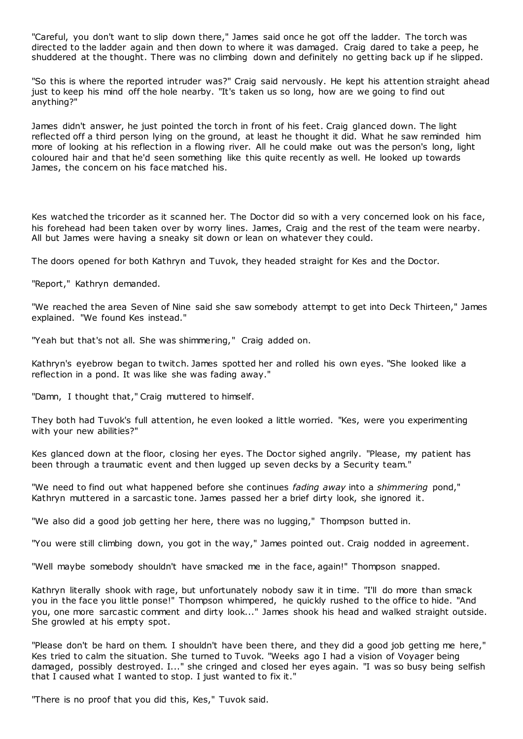"Careful, you don't want to slip down there," James said once he got off the ladder. The torch was directed to the ladder again and then down to where it was damaged. Craig dared to take a peep, he shuddered at the thought. There was no climbing down and definitely no getting back up if he slipped.

"So this is where the reported intruder was?" Craig said nervously. He kept his attention straight ahead just to keep his mind off the hole nearby. "It's taken us so long, how are we going to find out anything?"

James didn't answer, he just pointed the torch in front of his feet. Craig glanced down. The light reflected off a third person lying on the ground, at least he thought it did. What he saw reminded him more of looking at his reflection in a flowing river. All he could make out was the person's long, light coloured hair and that he'd seen something like this quite recently as well. He looked up towards James, the concern on his face matched his.

Kes watched the tricorder as it scanned her. The Doctor did so with a very concerned look on his face, his forehead had been taken over by worry lines. James, Craig and the rest of the team were nearby. All but James were having a sneaky sit down or lean on whatever they could.

The doors opened for both Kathryn and Tuvok, they headed straight for Kes and the Doctor.

"Report," Kathryn demanded.

"We reached the area Seven of Nine said she saw somebody attempt to get into Deck Thirteen," James explained. "We found Kes instead."

"Yeah but that's not all. She was shimmering," Craig added on.

Kathryn's eyebrow began to twitch. James spotted her and rolled his own eyes. "She looked like a reflection in a pond. It was like she was fading away."

"Damn, I thought that," Craig muttered to himself.

They both had Tuvok's full attention, he even looked a little worried. "Kes, were you experimenting with your new abilities?"

Kes glanced down at the floor, closing her eyes. The Doctor sighed angrily. "Please, my patient has been through a traumatic event and then lugged up seven decks by a Security team."

"We need to find out what happened before she continues *fading away* into a *shimmering* pond," Kathryn muttered in a sarcastic tone. James passed her a brief dirty look, she ignored it.

"We also did a good job getting her here, there was no lugging," Thompson butted in.

"You were still climbing down, you got in the way," James pointed out. Craig nodded in agreement.

"Well maybe somebody shouldn't have smacked me in the face, again!" Thompson snapped.

Kathryn literally shook with rage, but unfortunately nobody saw it in time. "I'll do more than smack you in the face you little ponse!" Thompson whimpered, he quickly rushed to the office to hide. "And you, one more sarcastic comment and dirty look..." James shook his head and walked straight outside. She growled at his empty spot.

"Please don't be hard on them. I shouldn't have been there, and they did a good job getting me here," Kes tried to calm the situation. She turned to Tuvok. "Weeks ago I had a vision of Voyager being damaged, possibly destroyed. I..." she cringed and closed her eyes again. "I was so busy being selfish that I caused what I wanted to stop. I just wanted to fix it."

"There is no proof that you did this, Kes," Tuvok said.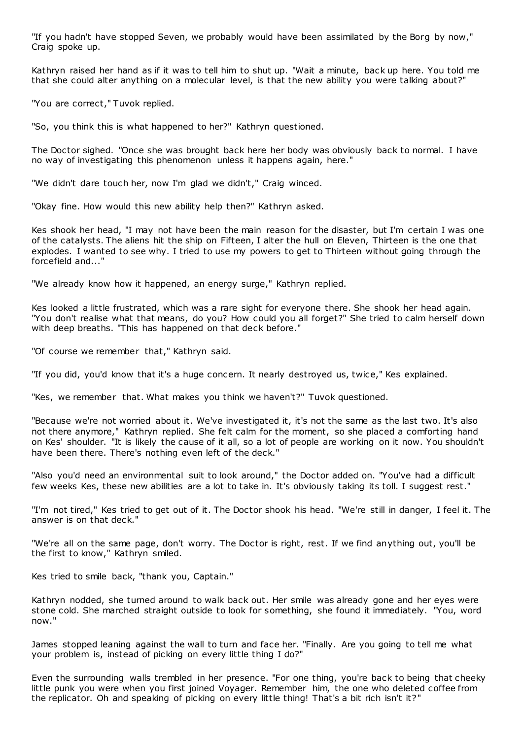"If you hadn't have stopped Seven, we probably would have been assimilated by the Borg by now," Craig spoke up.

Kathryn raised her hand as if it was to tell him to shut up. "Wait a minute, back up here. You told me that she could alter anything on a molecular level, is that the new ability you were talking about?"

"You are correct," Tuvok replied.

"So, you think this is what happened to her?" Kathryn questioned.

The Doctor sighed. "Once she was brought back here her body was obviously back to normal. I have no way of investigating this phenomenon unless it happens again, here."

"We didn't dare touch her, now I'm glad we didn't," Craig winced.

"Okay fine. How would this new ability help then?" Kathryn asked.

Kes shook her head, "I may not have been the main reason for the disaster, but I'm certain I was one of the catalysts. The aliens hit the ship on Fifteen, I alter the hull on Eleven, Thirteen is the one that explodes. I wanted to see why. I tried to use my powers to get to Thirteen without going through the forcefield and..."

"We already know how it happened, an energy surge," Kathryn replied.

Kes looked a little frustrated, which was a rare sight for everyone there. She shook her head again. "You don't realise what that means, do you? How could you all forget?" She tried to calm herself down with deep breaths. "This has happened on that deck before."

"Of course we remember that," Kathryn said.

"If you did, you'd know that it's a huge concern. It nearly destroyed us, twice," Kes explained.

"Kes, we remember that. What makes you think we haven't?" Tuvok questioned.

"Because we're not worried about it. We've investigated it, it's not the same as the last two. It's also not there anymore," Kathryn replied. She felt calm for the moment, so she placed a comforting hand on Kes' shoulder. "It is likely the cause of it all, so a lot of people are working on it now. You shouldn't have been there. There's nothing even left of the deck."

"Also you'd need an environmental suit to look around," the Doctor added on. "You've had a difficult few weeks Kes, these new abilities are a lot to take in. It's obviously taking its toll. I suggest rest."

"I'm not tired," Kes tried to get out of it. The Doctor shook his head. "We're still in danger, I feel it. The answer is on that deck."

"We're all on the same page, don't worry. The Doctor is right, rest. If we find anything out, you'll be the first to know," Kathryn smiled.

Kes tried to smile back, "thank you, Captain."

Kathryn nodded, she turned around to walk back out. Her smile was already gone and her eyes were stone cold. She marched straight outside to look for something, she found it immediately. "You, word now."

James stopped leaning against the wall to turn and face her. "Finally. Are you going to tell me what your problem is, instead of picking on every little thing I do?"

Even the surrounding walls trembled in her presence. "For one thing, you're back to being that cheeky little punk you were when you first joined Voyager. Remember him, the one who deleted coffee from the replicator. Oh and speaking of picking on every little thing! That's a bit rich isn't it?"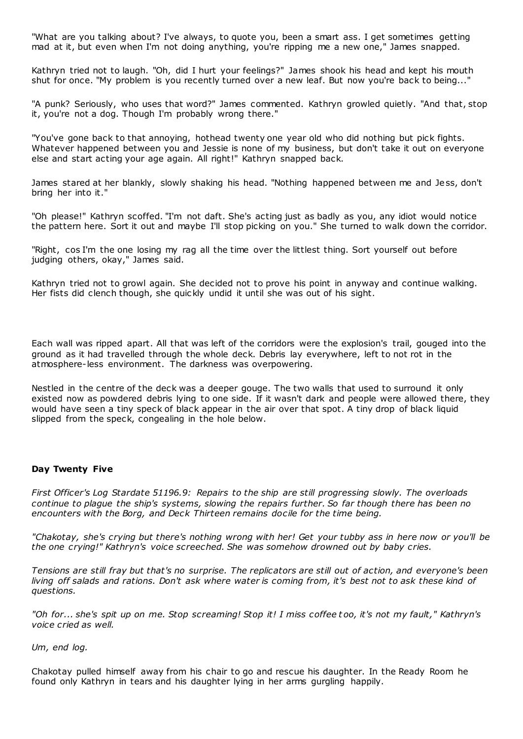"What are you talking about? I've always, to quote you, been a smart ass. I get sometimes getting mad at it, but even when I'm not doing anything, you're ripping me a new one," James snapped.

Kathryn tried not to laugh. "Oh, did I hurt your feelings?" James shook his head and kept his mouth shut for once. "My problem is you recently turned over a new leaf. But now you're back to being..."

"A punk? Seriously, who uses that word?" James commented. Kathryn growled quietly. "And that, stop it, you're not a dog. Though I'm probably wrong there."

"You've gone back to that annoying, hothead twenty one year old who did nothing but pick fights. Whatever happened between you and Jessie is none of my business, but don't take it out on everyone else and start acting your age again. All right!" Kathryn snapped back.

James stared at her blankly, slowly shaking his head. "Nothing happened between me and Jess, don't bring her into it."

"Oh please!" Kathryn scoffed. "I'm not daft. She's acting just as badly as you, any idiot would notice the pattern here. Sort it out and maybe I'll stop picking on you." She turned to walk down the corridor.

"Right, cos I'm the one losing my rag all the time over the littlest thing. Sort yourself out before judging others, okay," James said.

Kathryn tried not to growl again. She decided not to prove his point in anyway and continue walking. Her fists did clench though, she quickly undid it until she was out of his sight.

Each wall was ripped apart. All that was left of the corridors were the explosion's trail, gouged into the ground as it had travelled through the whole deck. Debris lay everywhere, left to not rot in the atmosphere-less environment. The darkness was overpowering.

Nestled in the centre of the deck was a deeper gouge. The two walls that used to surround it only existed now as powdered debris lying to one side. If it wasn't dark and people were allowed there, they would have seen a tiny speck of black appear in the air over that spot. A tiny drop of black liquid slipped from the speck, congealing in the hole below.

## **Day Twenty Five**

*First Officer's Log Stardate 51196.9: Repairs to the ship are still progressing slowly. The overloads continue to plague the ship's systems, slowing the repairs further. So far though there has been no encounters with the Borg, and Deck Thirteen remains docile for the time being.*

*"Chakotay, she's crying but there's nothing wrong with her! Get your tubby ass in here now or you'll be the one crying!" Kathryn's voice screeched. She was somehow drowned out by baby cries.*

*Tensions are still fray but that's no surprise. The replicators are still out of action, and everyone's been living off salads and rations. Don't ask where water is coming from, it's best not to ask these kind of questions.*

*"Oh for... she's spit up on me. Stop screaming! Stop it! I miss coffee t oo, it's not my fault," Kathryn's voice cried as well.*

*Um, end log.*

Chakotay pulled himself away from his chair to go and rescue his daughter. In the Ready Room he found only Kathryn in tears and his daughter lying in her arms gurgling happily.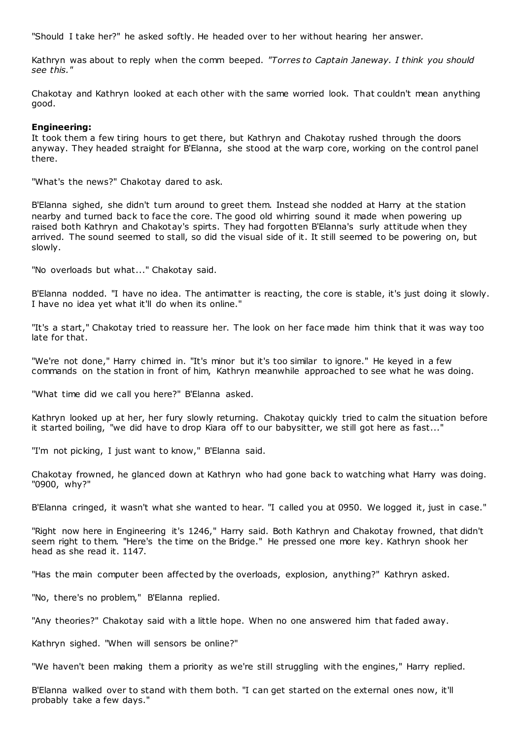"Should I take her?" he asked softly. He headed over to her without hearing her answer.

Kathryn was about to reply when the comm beeped. *"Torres to Captain Janeway. I think you should see this."*

Chakotay and Kathryn looked at each other with the same worried look. That couldn't mean anything good.

## **Engineering:**

It took them a few tiring hours to get there, but Kathryn and Chakotay rushed through the doors anyway. They headed straight for B'Elanna, she stood at the warp core, working on the control panel there.

"What's the news?" Chakotay dared to ask.

B'Elanna sighed, she didn't turn around to greet them. Instead she nodded at Harry at the station nearby and turned back to face the core. The good old whirring sound it made when powering up raised both Kathryn and Chakotay's spirts. They had forgotten B'Elanna's surly attitude when they arrived. The sound seemed to stall, so did the visual side of it. It still seemed to be powering on, but slowly.

"No overloads but what..." Chakotay said.

B'Elanna nodded. "I have no idea. The antimatter is reacting, the core is stable, it's just doing it slowly. I have no idea yet what it'll do when its online."

"It's a start," Chakotay tried to reassure her. The look on her face made him think that it was way too late for that.

"We're not done," Harry chimed in. "It's minor but it's too similar to ignore." He keyed in a few commands on the station in front of him, Kathryn meanwhile approached to see what he was doing.

"What time did we call you here?" B'Elanna asked.

Kathryn looked up at her, her fury slowly returning. Chakotay quickly tried to calm the situation before it started boiling, "we did have to drop Kiara off to our babysitter, we still got here as fast..."

"I'm not picking, I just want to know," B'Elanna said.

Chakotay frowned, he glanced down at Kathryn who had gone back to watching what Harry was doing. "0900, why?"

B'Elanna cringed, it wasn't what she wanted to hear. "I called you at 0950. We logged it, just in case."

"Right now here in Engineering it's 1246," Harry said. Both Kathryn and Chakotay frowned, that didn't seem right to them. "Here's the time on the Bridge." He pressed one more key. Kathryn shook her head as she read it. 1147.

"Has the main computer been affected by the overloads, explosion, anything?" Kathryn asked.

"No, there's no problem," B'Elanna replied.

"Any theories?" Chakotay said with a little hope. When no one answered him that faded away.

Kathryn sighed. "When will sensors be online?"

"We haven't been making them a priority as we're still struggling with the engines," Harry replied.

B'Elanna walked over to stand with them both. "I can get started on the external ones now, it'll probably take a few days."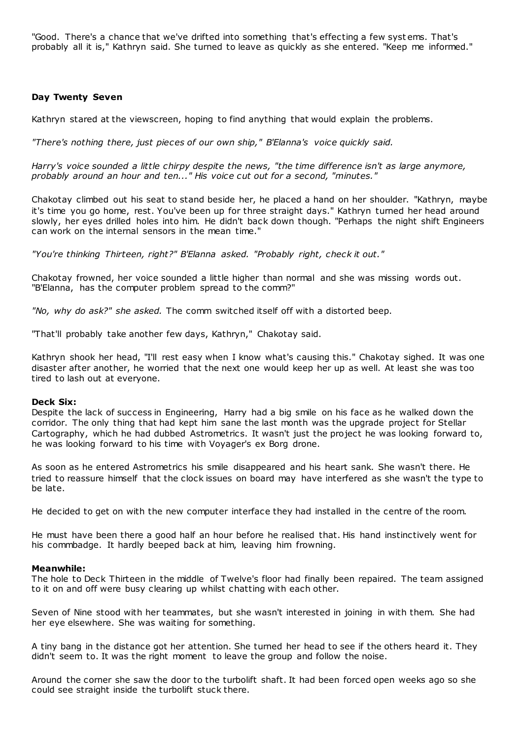"Good. There's a chance that we've drifted into something that's effecting a few syst ems. That's probably all it is," Kathryn said. She turned to leave as quickly as she entered. "Keep me informed."

## **Day Twenty Seven**

Kathryn stared at the viewscreen, hoping to find anything that would explain the problems.

*"There's nothing there, just pieces of our own ship," B'Elanna's voice quickly said.*

*Harry's voice sounded a little chirpy despite the news, "the time difference isn't as large anymore, probably around an hour and ten..." His voice cut out for a second, "minutes."*

Chakotay climbed out his seat to stand beside her, he placed a hand on her shoulder. "Kathryn, maybe it's time you go home, rest. You've been up for three straight days." Kathryn turned her head around slowly, her eyes drilled holes into him. He didn't back down though. "Perhaps the night shift Engineers can work on the internal sensors in the mean time."

*"You're thinking Thirteen, right?" B'Elanna asked. "Probably right, check it out."*

Chakotay frowned, her voice sounded a little higher than normal and she was missing words out. "B'Elanna, has the computer problem spread to the comm?"

*"No, why do ask?" she asked.* The comm switched itself off with a distorted beep.

"That'll probably take another few days, Kathryn," Chakotay said.

Kathryn shook her head, "I'll rest easy when I know what's causing this." Chakotay sighed. It was one disaster after another, he worried that the next one would keep her up as well. At least she was too tired to lash out at everyone.

## **Deck Six:**

Despite the lack of success in Engineering, Harry had a big smile on his face as he walked down the corridor. The only thing that had kept him sane the last month was the upgrade project for Stellar Cartography, which he had dubbed Astrometrics. It wasn't just the project he was looking forward to, he was looking forward to his time with Voyager's ex Borg drone.

As soon as he entered Astrometrics his smile disappeared and his heart sank. She wasn't there. He tried to reassure himself that the clock issues on board may have interfered as she wasn't the type to be late.

He decided to get on with the new computer interface they had installed in the centre of the room.

He must have been there a good half an hour before he realised that. His hand instinctively went for his commbadge. It hardly beeped back at him, leaving him frowning.

## **Meanwhile:**

The hole to Deck Thirteen in the middle of Twelve's floor had finally been repaired. The team assigned to it on and off were busy clearing up whilst chatting with each other.

Seven of Nine stood with her teammates, but she wasn't interested in joining in with them. She had her eye elsewhere. She was waiting for something.

A tiny bang in the distance got her attention. She turned her head to see if the others heard it. They didn't seem to. It was the right moment to leave the group and follow the noise.

Around the corner she saw the door to the turbolift shaft. It had been forced open weeks ago so she could see straight inside the turbolift stuck there.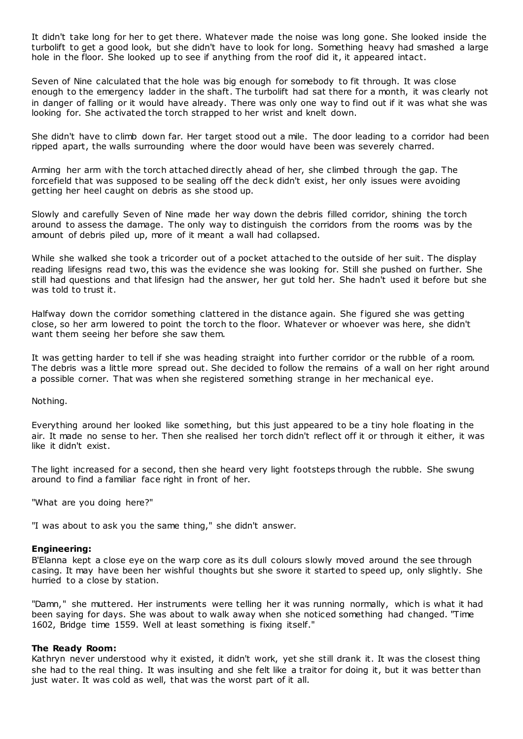It didn't take long for her to get there. Whatever made the noise was long gone. She looked inside the turbolift to get a good look, but she didn't have to look for long. Something heavy had smashed a large hole in the floor. She looked up to see if anything from the roof did it, it appeared intact.

Seven of Nine calculated that the hole was big enough for somebody to fit through. It was close enough to the emergency ladder in the shaft. The turbolift had sat there for a month, it was clearly not in danger of falling or it would have already. There was only one way to find out if it was what she was looking for. She activated the torch strapped to her wrist and knelt down.

She didn't have to climb down far. Her target stood out a mile. The door leading to a corridor had been ripped apart, the walls surrounding where the door would have been was severely charred.

Arming her arm with the torch attached directly ahead of her, she climbed through the gap. The forcefield that was supposed to be sealing off the dec k didn't exist, her only issues were avoiding getting her heel caught on debris as she stood up.

Slowly and carefully Seven of Nine made her way down the debris filled corridor, shining the torch around to assess the damage. The only way to distinguish the corridors from the rooms was by the amount of debris piled up, more of it meant a wall had collapsed.

While she walked she took a tricorder out of a pocket attached to the outside of her suit. The display reading lifesigns read two, this was the evidence she was looking for. Still she pushed on further. She still had questions and that lifesign had the answer, her gut told her. She hadn't used it before but she was told to trust it.

Halfway down the corridor something clattered in the distance again. She figured she was getting close, so her arm lowered to point the torch to the floor. Whatever or whoever was here, she didn't want them seeing her before she saw them.

It was getting harder to tell if she was heading straight into further corridor or the rubble of a room. The debris was a little more spread out. She decided to follow the remains of a wall on her right around a possible corner. That was when she registered something strange in her mechanical eye.

## Nothing.

Everything around her looked like something, but this just appeared to be a tiny hole floating in the air. It made no sense to her. Then she realised her torch didn't reflect off it or through it either, it was like it didn't exist.

The light increased for a second, then she heard very light footsteps through the rubble. She swung around to find a familiar face right in front of her.

"What are you doing here?"

"I was about to ask you the same thing," she didn't answer.

## **Engineering:**

B'Elanna kept a close eye on the warp core as its dull colours slowly moved around the see through casing. It may have been her wishful thoughts but she swore it started to speed up, only slightly. She hurried to a close by station.

"Damn," she muttered. Her instruments were telling her it was running normally, which is what it had been saying for days. She was about to walk away when she noticed something had changed. "Time 1602, Bridge time 1559. Well at least something is fixing itself."

## **The Ready Room:**

Kathryn never understood why it existed, it didn't work, yet she still drank it. It was the closest thing she had to the real thing. It was insulting and she felt like a traitor for doing it, but it was better than just water. It was cold as well, that was the worst part of it all.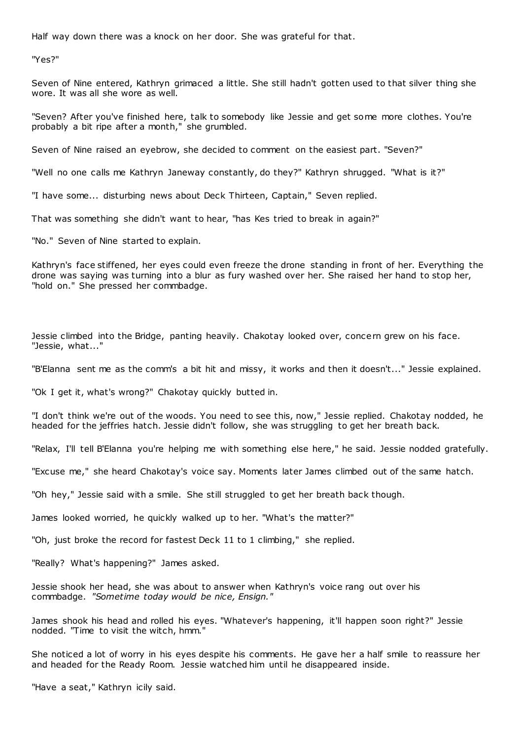Half way down there was a knock on her door. She was grateful for that.

"Yes?"

Seven of Nine entered, Kathryn grimaced a little. She still hadn't gotten used to that silver thing she wore. It was all she wore as well.

"Seven? After you've finished here, talk to somebody like Jessie and get some more clothes. You're probably a bit ripe after a month," she grumbled.

Seven of Nine raised an eyebrow, she decided to comment on the easiest part. "Seven?"

"Well no one calls me Kathryn Janeway constantly, do they?" Kathryn shrugged. "What is it?"

"I have some... disturbing news about Deck Thirteen, Captain," Seven replied.

That was something she didn't want to hear, "has Kes tried to break in again?"

"No." Seven of Nine started to explain.

Kathryn's face stiffened, her eyes could even freeze the drone standing in front of her. Everything the drone was saying was turning into a blur as fury washed over her. She raised her hand to stop her, "hold on." She pressed her commbadge.

Jessie climbed into the Bridge, panting heavily. Chakotay looked over, concern grew on his face. "Jessie, what..."

"B'Elanna sent me as the comm's a bit hit and missy, it works and then it doesn't..." Jessie explained.

"Ok I get it, what's wrong?" Chakotay quickly butted in.

"I don't think we're out of the woods. You need to see this, now," Jessie replied. Chakotay nodded, he headed for the jeffries hatch. Jessie didn't follow, she was struggling to get her breath back.

"Relax, I'll tell B'Elanna you're helping me with something else here," he said. Jessie nodded gratefully.

"Excuse me," she heard Chakotay's voice say. Moments later James climbed out of the same hatch.

"Oh hey," Jessie said with a smile. She still struggled to get her breath back though.

James looked worried, he quickly walked up to her. "What's the matter?"

"Oh, just broke the record for fastest Deck 11 to 1 climbing," she replied.

"Really? What's happening?" James asked.

Jessie shook her head, she was about to answer when Kathryn's voice rang out over his commbadge. *"Sometime today would be nice, Ensign."*

James shook his head and rolled his eyes. "Whatever's happening, it'll happen soon right?" Jessie nodded. "Time to visit the witch, hmm."

She noticed a lot of worry in his eyes despite his comments. He gave her a half smile to reassure her and headed for the Ready Room. Jessie watched him until he disappeared inside.

"Have a seat," Kathryn icily said.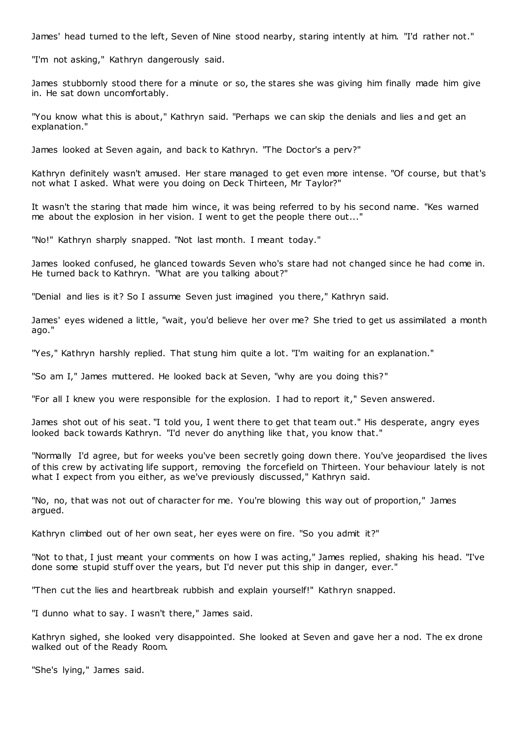James' head turned to the left, Seven of Nine stood nearby, staring intently at him. "I'd rather not."

"I'm not asking," Kathryn dangerously said.

James stubbornly stood there for a minute or so, the stares she was giving him finally made him give in. He sat down uncomfortably.

"You know what this is about," Kathryn said. "Perhaps we can skip the denials and lies and get an explanation."

James looked at Seven again, and back to Kathryn. "The Doctor's a perv?"

Kathryn definitely wasn't amused. Her stare managed to get even more intense. "Of course, but that's not what I asked. What were you doing on Deck Thirteen, Mr Taylor?"

It wasn't the staring that made him wince, it was being referred to by his second name. "Kes warned me about the explosion in her vision. I went to get the people there out..."

"No!" Kathryn sharply snapped. "Not last month. I meant today."

James looked confused, he glanced towards Seven who's stare had not changed since he had come in. He turned back to Kathryn. "What are you talking about?"

"Denial and lies is it? So I assume Seven just imagined you there," Kathryn said.

James' eyes widened a little, "wait, you'd believe her over me? She tried to get us assimilated a month ago."

"Yes," Kathryn harshly replied. That stung him quite a lot. "I'm waiting for an explanation."

"So am I," James muttered. He looked back at Seven, "why are you doing this?"

"For all I knew you were responsible for the explosion. I had to report it," Seven answered.

James shot out of his seat. "I told you, I went there to get that team out." His desperate, angry eyes looked back towards Kathryn. "I'd never do anything like that, you know that."

"Normally I'd agree, but for weeks you've been secretly going down there. You've jeopardised the lives of this crew by activating life support, removing the forcefield on Thirteen. Your behaviour lately is not what I expect from you either, as we've previously discussed," Kathryn said.

"No, no, that was not out of character for me. You're blowing this way out of proportion," James argued.

Kathryn climbed out of her own seat, her eyes were on fire. "So you admit it?"

"Not to that, I just meant your comments on how I was acting," James replied, shaking his head. "I've done some stupid stuff over the years, but I'd never put this ship in danger, ever."

"Then cut the lies and heartbreak rubbish and explain yourself!" Kathryn snapped.

"I dunno what to say. I wasn't there," James said.

Kathryn sighed, she looked very disappointed. She looked at Seven and gave her a nod. The ex drone walked out of the Ready Room.

"She's lying," James said.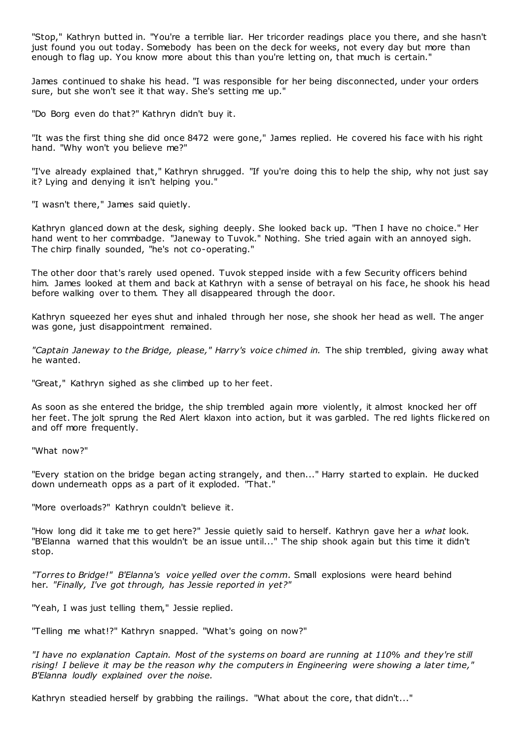"Stop," Kathryn butted in. "You're a terrible liar. Her tricorder readings place you there, and she hasn't just found you out today. Somebody has been on the deck for weeks, not every day but more than enough to flag up. You know more about this than you're letting on, that much is certain."

James continued to shake his head. "I was responsible for her being disconnected, under your orders sure, but she won't see it that way. She's setting me up."

"Do Borg even do that?" Kathryn didn't buy it.

"It was the first thing she did once 8472 were gone," James replied. He covered his face with his right hand. "Why won't you believe me?"

"I've already explained that," Kathryn shrugged. "If you're doing this to help the ship, why not just say it? Lying and denying it isn't helping you."

"I wasn't there," James said quietly.

Kathryn glanced down at the desk, sighing deeply. She looked back up. "Then I have no choice." Her hand went to her commbadge. "Janeway to Tuvok." Nothing. She tried again with an annoyed sigh. The chirp finally sounded, "he's not co-operating."

The other door that's rarely used opened. Tuvok stepped inside with a few Security officers behind him. James looked at them and back at Kathryn with a sense of betrayal on his face, he shook his head before walking over to them. They all disappeared through the door.

Kathryn squeezed her eyes shut and inhaled through her nose, she shook her head as well. The anger was gone, just disappointment remained.

*"Captain Janeway to the Bridge, please," Harry's voice chimed in.* The ship trembled, giving away what he wanted.

"Great," Kathryn sighed as she climbed up to her feet.

As soon as she entered the bridge, the ship trembled again more violently, it almost knocked her off her feet. The jolt sprung the Red Alert klaxon into action, but it was garbled. The red lights flickered on and off more frequently.

"What now?"

"Every station on the bridge began acting strangely, and then..." Harry started to explain. He ducked down underneath opps as a part of it exploded. "That."

"More overloads?" Kathryn couldn't believe it.

"How long did it take me to get here?" Jessie quietly said to herself. Kathryn gave her a *what* look. "B'Elanna warned that this wouldn't be an issue until..." The ship shook again but this time it didn't stop.

*"Torres to Bridge!" B'Elanna's voice yelled over the comm.* Small explosions were heard behind her. *"Finally, I've got through, has Jessie reported in yet?"*

"Yeah, I was just telling them," Jessie replied.

"Telling me what!?" Kathryn snapped. "What's going on now?"

*"I have no explanation Captain. Most of the systems on board are running at 110% and they're still rising! I believe it may be the reason why the computers in Engineering were showing a later time," B'Elanna loudly explained over the noise.*

Kathryn steadied herself by grabbing the railings. "What about the core, that didn't..."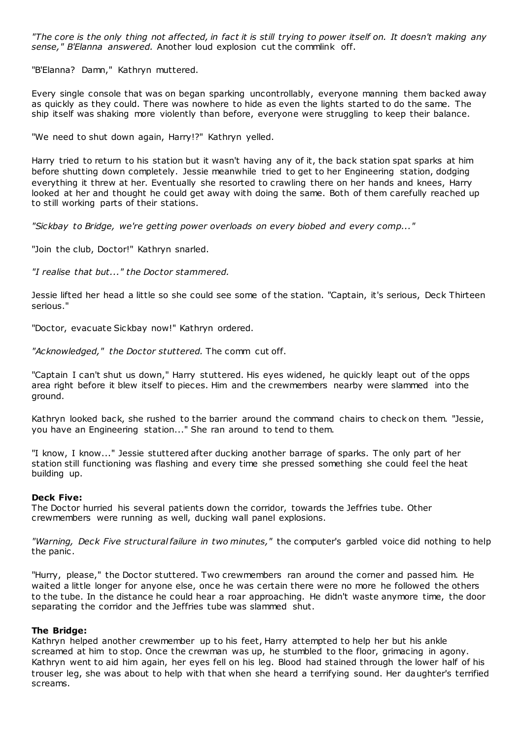*"The core is the only thing not affected, in fact it is still trying to power itself on. It doesn't making any sense," B'Elanna answered.* Another loud explosion cut the commlink off.

"B'Elanna? Damn," Kathryn muttered.

Every single console that was on began sparking uncontrollably, everyone manning them backed away as quickly as they could. There was nowhere to hide as even the lights started to do the same. The ship itself was shaking more violently than before, everyone were struggling to keep their balance.

"We need to shut down again, Harry!?" Kathryn yelled.

Harry tried to return to his station but it wasn't having any of it, the back station spat sparks at him before shutting down completely. Jessie meanwhile tried to get to her Engineering station, dodging everything it threw at her. Eventually she resorted to crawling there on her hands and knees, Harry looked at her and thought he could get away with doing the same. Both of them carefully reached up to still working parts of their stations.

*"Sickbay to Bridge, we're getting power overloads on every biobed and every comp..."*

"Join the club, Doctor!" Kathryn snarled.

*"I realise that but..." the Doctor stammered.*

Jessie lifted her head a little so she could see some of the station. "Captain, it's serious, Deck Thirteen serious."

"Doctor, evacuate Sickbay now!" Kathryn ordered.

*"Acknowledged," the Doctor stuttered.* The comm cut off.

"Captain I can't shut us down," Harry stuttered. His eyes widened, he quickly leapt out of the opps area right before it blew itself to pieces. Him and the crewmembers nearby were slammed into the ground.

Kathryn looked back, she rushed to the barrier around the command chairs to check on them. "Jessie, you have an Engineering station..." She ran around to tend to them.

"I know, I know..." Jessie stuttered after ducking another barrage of sparks. The only part of her station still functioning was flashing and every time she pressed something she could feel the heat building up.

## **Deck Five:**

The Doctor hurried his several patients down the corridor, towards the Jeffries tube. Other crewmembers were running as well, ducking wall panel explosions.

*"Warning, Deck Five structural failure in two minutes,"* the computer's garbled voice did nothing to help the panic.

"Hurry, please," the Doctor stuttered. Two crewmembers ran around the corner and passed him. He waited a little longer for anyone else, once he was certain there were no more he followed the others to the tube. In the distance he could hear a roar approaching. He didn't waste anymore time, the door separating the corridor and the Jeffries tube was slammed shut.

## **The Bridge:**

Kathryn helped another crewmember up to his feet, Harry attempted to help her but his ankle screamed at him to stop. Once the crewman was up, he stumbled to the floor, grimacing in agony. Kathryn went to aid him again, her eyes fell on his leg. Blood had stained through the lower half of his trouser leg, she was about to help with that when she heard a terrifying sound. Her daughter's terrified screams.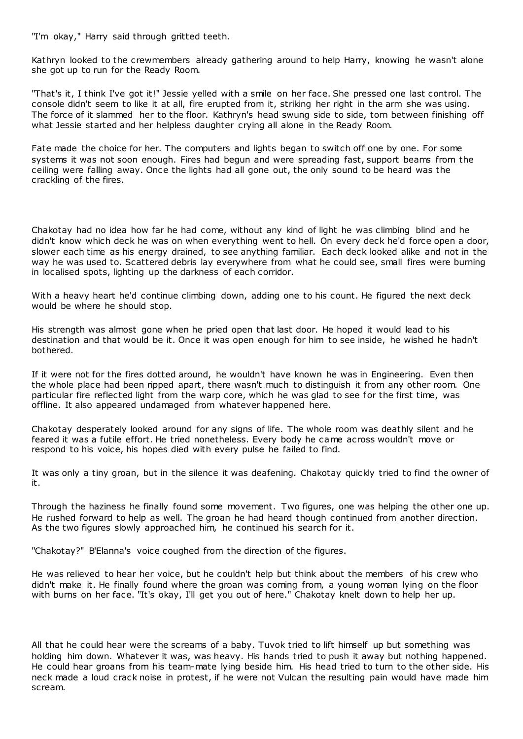"I'm okay," Harry said through gritted teeth.

Kathryn looked to the crewmembers already gathering around to help Harry, knowing he wasn't alone she got up to run for the Ready Room.

"That's it, I think I've got it!" Jessie yelled with a smile on her face. She pressed one last control. The console didn't seem to like it at all, fire erupted from it, striking her right in the arm she was using. The force of it slammed her to the floor. Kathryn's head swung side to side, torn between finishing off what Jessie started and her helpless daughter crying all alone in the Ready Room.

Fate made the choice for her. The computers and lights began to switch off one by one. For some systems it was not soon enough. Fires had begun and were spreading fast, support beams from the ceiling were falling away. Once the lights had all gone out, the only sound to be heard was the crackling of the fires.

Chakotay had no idea how far he had come, without any kind of light he was climbing blind and he didn't know which deck he was on when everything went to hell. On every deck he'd force open a door, slower each time as his energy drained, to see anything familiar. Each deck looked alike and not in the way he was used to. Scattered debris lay everywhere from what he could see, small fires were burning in localised spots, lighting up the darkness of each corridor.

With a heavy heart he'd continue climbing down, adding one to his count. He figured the next deck would be where he should stop.

His strength was almost gone when he pried open that last door. He hoped it would lead to his destination and that would be it. Once it was open enough for him to see inside, he wished he hadn't bothered.

If it were not for the fires dotted around, he wouldn't have known he was in Engineering. Even then the whole place had been ripped apart, there wasn't much to distinguish it from any other room. One particular fire reflected light from the warp core, which he was glad to see for the first time, was offline. It also appeared undamaged from whatever happened here.

Chakotay desperately looked around for any signs of life. The whole room was deathly silent and he feared it was a futile effort. He tried nonetheless. Every body he came across wouldn't move or respond to his voice, his hopes died with every pulse he failed to find.

It was only a tiny groan, but in the silence it was deafening. Chakotay quickly tried to find the owner of it.

Through the haziness he finally found some movement. Two figures, one was helping the other one up. He rushed forward to help as well. The groan he had heard though continued from another direction. As the two figures slowly approached him, he continued his search for it.

"Chakotay?" B'Elanna's voice coughed from the direction of the figures.

He was relieved to hear her voice, but he couldn't help but think about the members of his crew who didn't make it. He finally found where the groan was coming from, a young woman lying on the floor with burns on her face. "It's okay, I'll get you out of here." Chakotay knelt down to help her up.

All that he could hear were the screams of a baby. Tuvok tried to lift himself up but something was holding him down. Whatever it was, was heavy. His hands tried to push it away but nothing happened. He could hear groans from his team-mate lying beside him. His head tried to turn to the other side. His neck made a loud crack noise in protest, if he were not Vulcan the resulting pain would have made him scream.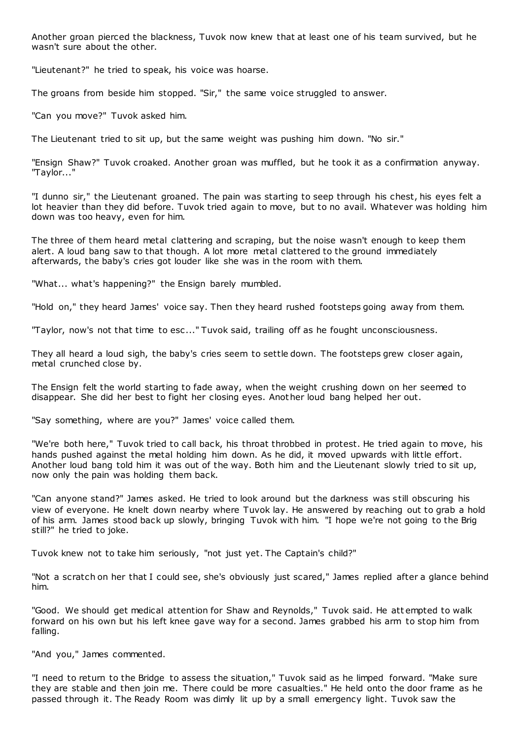Another groan pierced the blackness, Tuvok now knew that at least one of his team survived, but he wasn't sure about the other.

"Lieutenant?" he tried to speak, his voice was hoarse.

The groans from beside him stopped. "Sir," the same voice struggled to answer.

"Can you move?" Tuvok asked him.

The Lieutenant tried to sit up, but the same weight was pushing him down. "No sir."

"Ensign Shaw?" Tuvok croaked. Another groan was muffled, but he took it as a confirmation anyway. "Taylor..."

"I dunno sir," the Lieutenant groaned. The pain was starting to seep through his chest, his eyes felt a lot heavier than they did before. Tuvok tried again to move, but to no avail. Whatever was holding him down was too heavy, even for him.

The three of them heard metal clattering and scraping, but the noise wasn't enough to keep them alert. A loud bang saw to that though. A lot more metal clattered to the ground immediately afterwards, the baby's cries got louder like she was in the room with them.

"What... what's happening?" the Ensign barely mumbled.

"Hold on," they heard James' voice say. Then they heard rushed footsteps going away from them.

"Taylor, now's not that time to esc ..." Tuvok said, trailing off as he fought unconsciousness.

They all heard a loud sigh, the baby's cries seem to settle down. The footsteps grew closer again, metal crunched close by.

The Ensign felt the world starting to fade away, when the weight crushing down on her seemed to disappear. She did her best to fight her closing eyes. Another loud bang helped her out.

"Say something, where are you?" James' voice called them.

"We're both here," Tuvok tried to call back, his throat throbbed in protest. He tried again to move, his hands pushed against the metal holding him down. As he did, it moved upwards with little effort. Another loud bang told him it was out of the way. Both him and the Lieutenant slowly tried to sit up, now only the pain was holding them back.

"Can anyone stand?" James asked. He tried to look around but the darkness was still obscuring his view of everyone. He knelt down nearby where Tuvok lay. He answered by reaching out to grab a hold of his arm. James stood back up slowly, bringing Tuvok with him. "I hope we're not going to the Brig still?" he tried to joke.

Tuvok knew not to take him seriously, "not just yet. The Captain's child?"

"Not a scratch on her that I could see, she's obviously just scared," James replied after a glance behind him.

"Good. We should get medical attention for Shaw and Reynolds," Tuvok said. He att empted to walk forward on his own but his left knee gave way for a second. James grabbed his arm to stop him from falling.

"And you," James commented.

"I need to return to the Bridge to assess the situation," Tuvok said as he limped forward. "Make sure they are stable and then join me. There could be more casualties." He held onto the door frame as he passed through it. The Ready Room was dimly lit up by a small emergency light. Tuvok saw the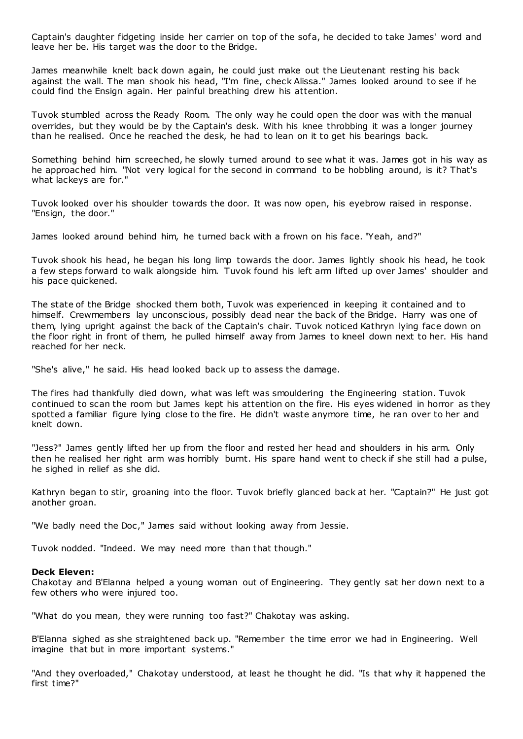Captain's daughter fidgeting inside her carrier on top of the sofa, he decided to take James' word and leave her be. His target was the door to the Bridge.

James meanwhile knelt back down again, he could just make out the Lieutenant resting his back against the wall. The man shook his head, "I'm fine, check Alissa." James looked around to see if he could find the Ensign again. Her painful breathing drew his attention.

Tuvok stumbled across the Ready Room. The only way he could open the door was with the manual overrides, but they would be by the Captain's desk. With his knee throbbing it was a longer journey than he realised. Once he reached the desk, he had to lean on it to get his bearings back.

Something behind him screeched, he slowly turned around to see what it was. James got in his way as he approached him. "Not very logical for the second in command to be hobbling around, is it? That's what lackeys are for."

Tuvok looked over his shoulder towards the door. It was now open, his eyebrow raised in response. "Ensign, the door."

James looked around behind him, he turned back with a frown on his face. "Yeah, and?"

Tuvok shook his head, he began his long limp towards the door. James lightly shook his head, he took a few steps forward to walk alongside him. Tuvok found his left arm lifted up over James' shoulder and his pace quickened.

The state of the Bridge shocked them both, Tuvok was experienced in keeping it contained and to himself. Crewmembers lay unconscious, possibly dead near the back of the Bridge. Harry was one of them, lying upright against the back of the Captain's chair. Tuvok noticed Kathryn lying face down on the floor right in front of them, he pulled himself away from James to kneel down next to her. His hand reached for her neck.

"She's alive," he said. His head looked back up to assess the damage.

The fires had thankfully died down, what was left was smouldering the Engineering station. Tuvok continued to scan the room but James kept his attention on the fire. His eyes widened in horror as they spotted a familiar figure lying close to the fire. He didn't waste anymore time, he ran over to her and knelt down.

"Jess?" James gently lifted her up from the floor and rested her head and shoulders in his arm. Only then he realised her right arm was horribly burnt. His spare hand went to check if she still had a pulse, he sighed in relief as she did.

Kathryn began to stir, groaning into the floor. Tuvok briefly glanced back at her. "Captain?" He just got another groan.

"We badly need the Doc," James said without looking away from Jessie.

Tuvok nodded. "Indeed. We may need more than that though."

#### **Deck Eleven:**

Chakotay and B'Elanna helped a young woman out of Engineering. They gently sat her down next to a few others who were injured too.

"What do you mean, they were running too fast?" Chakotay was asking.

B'Elanna sighed as she straightened back up. "Remember the time error we had in Engineering. Well imagine that but in more important systems."

"And they overloaded," Chakotay understood, at least he thought he did. "Is that why it happened the first time?"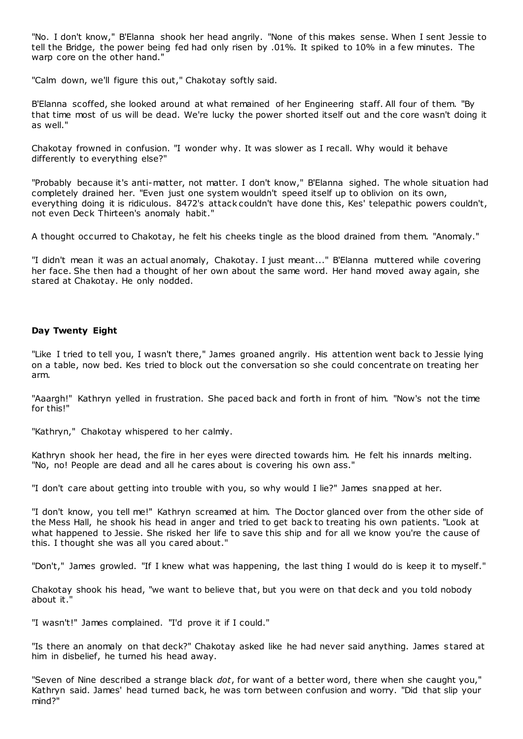"No. I don't know," B'Elanna shook her head angrily. "None of this makes sense. When I sent Jessie to tell the Bridge, the power being fed had only risen by .01%. It spiked to 10% in a few minutes. The warp core on the other hand."

"Calm down, we'll figure this out," Chakotay softly said.

B'Elanna scoffed, she looked around at what remained of her Engineering staff. All four of them. "By that time most of us will be dead. We're lucky the power shorted itself out and the core wasn't doing it as well."

Chakotay frowned in confusion. "I wonder why. It was slower as I recall. Why would it behave differently to everything else?"

"Probably because it's anti-matter, not matter. I don't know," B'Elanna sighed. The whole situation had completely drained her. "Even just one system wouldn't speed itself up to oblivion on its own, everything doing it is ridiculous. 8472's attack couldn't have done this, Kes' telepathic powers couldn't, not even Deck Thirteen's anomaly habit."

A thought occurred to Chakotay, he felt his cheeks tingle as the blood drained from them. "Anomaly."

"I didn't mean it was an actual anomaly, Chakotay. I just meant..." B'Elanna muttered while covering her face. She then had a thought of her own about the same word. Her hand moved away again, she stared at Chakotay. He only nodded.

# **Day Twenty Eight**

"Like I tried to tell you, I wasn't there," James groaned angrily. His attention went back to Jessie lying on a table, now bed. Kes tried to block out the conversation so she could concentrate on treating her arm.

"Aaargh!" Kathryn yelled in frustration. She paced back and forth in front of him. "Now's not the time for this!"

"Kathryn," Chakotay whispered to her calmly.

Kathryn shook her head, the fire in her eyes were directed towards him. He felt his innards melting. "No, no! People are dead and all he cares about is covering his own ass."

"I don't care about getting into trouble with you, so why would I lie?" James snapped at her.

"I don't know, you tell me!" Kathryn screamed at him. The Doctor glanced over from the other side of the Mess Hall, he shook his head in anger and tried to get back to treating his own patients. "Look at what happened to Jessie. She risked her life to save this ship and for all we know you're the cause of this. I thought she was all you cared about."

"Don't," James growled. "If I knew what was happening, the last thing I would do is keep it to myself."

Chakotay shook his head, "we want to believe that, but you were on that deck and you told nobody about it."

"I wasn't!" James complained. "I'd prove it if I could."

"Is there an anomaly on that deck?" Chakotay asked like he had never said anything. James s tared at him in disbelief, he turned his head away.

"Seven of Nine described a strange black *dot*, for want of a better word, there when she caught you," Kathryn said. James' head turned back, he was torn between confusion and worry. "Did that slip your mind?"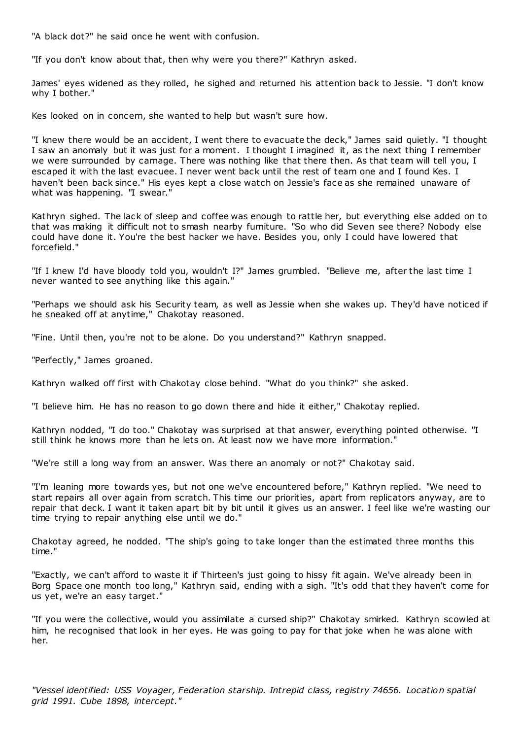"A black dot?" he said once he went with confusion.

"If you don't know about that, then why were you there?" Kathryn asked.

James' eyes widened as they rolled, he sighed and returned his attention back to Jessie. "I don't know why I bother."

Kes looked on in concern, she wanted to help but wasn't sure how.

"I knew there would be an accident, I went there to evacuate the deck," James said quietly. "I thought I saw an anomaly but it was just for a moment. I thought I imagined it, as the next thing I remember we were surrounded by carnage. There was nothing like that there then. As that team will tell you, I escaped it with the last evacuee. I never went back until the rest of team one and I found Kes. I haven't been back since." His eyes kept a close watch on Jessie's face as she remained unaware of what was happening. "I swear.'

Kathryn sighed. The lack of sleep and coffee was enough to rattle her, but everything else added on to that was making it difficult not to smash nearby furniture. "So who did Seven see there? Nobody else could have done it. You're the best hacker we have. Besides you, only I could have lowered that forcefield."

"If I knew I'd have bloody told you, wouldn't I?" James grumbled. "Believe me, after the last time I never wanted to see anything like this again."

"Perhaps we should ask his Security team, as well as Jessie when she wakes up. They'd have noticed if he sneaked off at anytime," Chakotay reasoned.

"Fine. Until then, you're not to be alone. Do you understand?" Kathryn snapped.

"Perfectly," James groaned.

Kathryn walked off first with Chakotay close behind. "What do you think?" she asked.

"I believe him. He has no reason to go down there and hide it either," Chakotay replied.

Kathryn nodded, "I do too." Chakotay was surprised at that answer, everything pointed otherwise. "I still think he knows more than he lets on. At least now we have more information."

"We're still a long way from an answer. Was there an anomaly or not?" Chakotay said.

"I'm leaning more towards yes, but not one we've encountered before," Kathryn replied. "We need to start repairs all over again from scratch. This time our priorities, apart from replicators anyway, are to repair that deck. I want it taken apart bit by bit until it gives us an answer. I feel like we're wasting our time trying to repair anything else until we do."

Chakotay agreed, he nodded. "The ship's going to take longer than the estimated three months this time."

"Exactly, we can't afford to waste it if Thirteen's just going to hissy fit again. We've already been in Borg Space one month too long," Kathryn said, ending with a sigh. "It's odd that they haven't come for us yet, we're an easy target."

"If you were the collective, would you assimilate a cursed ship?" Chakotay smirked. Kathryn scowled at him, he recognised that look in her eyes. He was going to pay for that joke when he was alone with her.

*"Vessel identified: USS Voyager, Federation starship. Intrepid class, registry 74656. Location spatial grid 1991. Cube 1898, intercept."*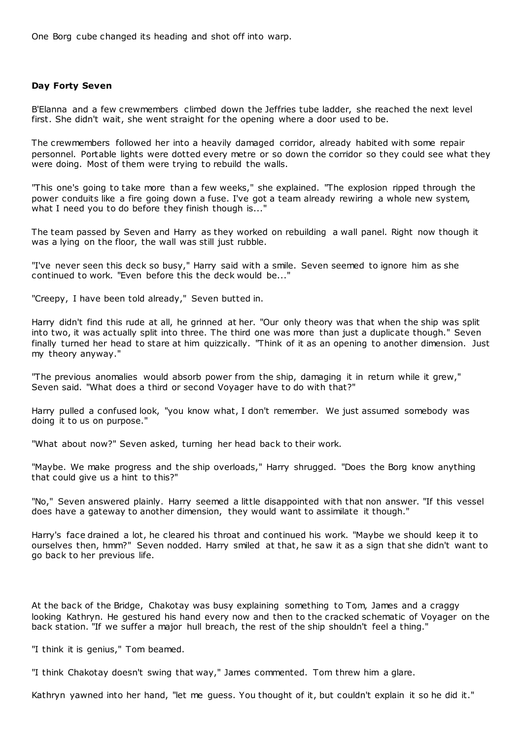One Borg cube changed its heading and shot off into warp.

# **Day Forty Seven**

B'Elanna and a few crewmembers climbed down the Jeffries tube ladder, she reached the next level first. She didn't wait, she went straight for the opening where a door used to be.

The crewmembers followed her into a heavily damaged corridor, already habited with some repair personnel. Portable lights were dotted every metre or so down the corridor so they could see what they were doing. Most of them were trying to rebuild the walls.

"This one's going to take more than a few weeks," she explained. "The explosion ripped through the power conduits like a fire going down a fuse. I've got a team already rewiring a whole new system, what I need you to do before they finish though is..."

The team passed by Seven and Harry as they worked on rebuilding a wall panel. Right now though it was a lying on the floor, the wall was still just rubble.

"I've never seen this deck so busy," Harry said with a smile. Seven seemed to ignore him as she continued to work. "Even before this the deck would be..."

"Creepy, I have been told already," Seven butted in.

Harry didn't find this rude at all, he grinned at her. "Our only theory was that when the ship was split into two, it was actually split into three. The third one was more than just a duplicate though." Seven finally turned her head to stare at him quizzically. "Think of it as an opening to another dimension. Just my theory anyway."

"The previous anomalies would absorb power from the ship, damaging it in return while it grew," Seven said. "What does a third or second Voyager have to do with that?"

Harry pulled a confused look, "you know what, I don't remember. We just assumed somebody was doing it to us on purpose."

"What about now?" Seven asked, turning her head back to their work.

"Maybe. We make progress and the ship overloads," Harry shrugged. "Does the Borg know anything that could give us a hint to this?"

"No," Seven answered plainly. Harry seemed a little disappointed with that non answer. "If this vessel does have a gateway to another dimension, they would want to assimilate it though."

Harry's face drained a lot, he cleared his throat and continued his work. "Maybe we should keep it to ourselves then, hmm?" Seven nodded. Harry smiled at that, he saw it as a sign that she didn't want to go back to her previous life.

At the back of the Bridge, Chakotay was busy explaining something to Tom, James and a craggy looking Kathryn. He gestured his hand every now and then to the cracked schematic of Voyager on the back station. "If we suffer a major hull breach, the rest of the ship shouldn't feel a thing."

"I think it is genius," Tom beamed.

"I think Chakotay doesn't swing that way," James commented. Tom threw him a glare.

Kathryn yawned into her hand, "let me guess. You thought of it, but couldn't explain it so he did it."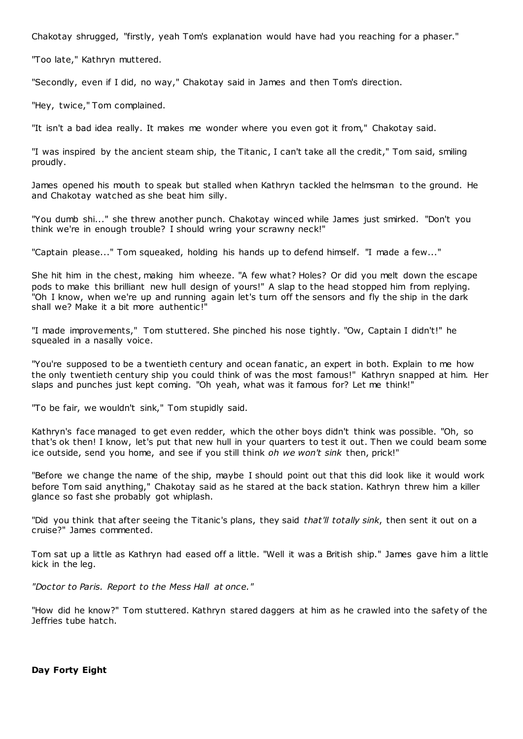Chakotay shrugged, "firstly, yeah Tom's explanation would have had you reaching for a phaser."

"Too late," Kathryn muttered.

"Secondly, even if I did, no way," Chakotay said in James and then Tom's direction.

"Hey, twice," Tom complained.

"It isn't a bad idea really. It makes me wonder where you even got it from," Chakotay said.

"I was inspired by the ancient steam ship, the Titanic , I can't take all the credit," Tom said, smiling proudly.

James opened his mouth to speak but stalled when Kathryn tackled the helmsman to the ground. He and Chakotay watched as she beat him silly.

"You dumb shi..." she threw another punch. Chakotay winced while James just smirked. "Don't you think we're in enough trouble? I should wring your scrawny neck!"

"Captain please..." Tom squeaked, holding his hands up to defend himself. "I made a few..."

She hit him in the chest, making him wheeze. "A few what? Holes? Or did you melt down the escape pods to make this brilliant new hull design of yours!" A slap to the head stopped him from replying. "Oh I know, when we're up and running again let's turn off the sensors and fly the ship in the dark shall we? Make it a bit more authentic!"

"I made improvements," Tom stuttered. She pinched his nose tightly. "Ow, Captain I didn't!" he squealed in a nasally voice.

"You're supposed to be a twentieth century and ocean fanatic , an expert in both. Explain to me how the only twentieth century ship you could think of was the most famous!" Kathryn snapped at him. Her slaps and punches just kept coming. "Oh yeah, what was it famous for? Let me think!"

"To be fair, we wouldn't sink," Tom stupidly said.

Kathryn's face managed to get even redder, which the other boys didn't think was possible. "Oh, so that's ok then! I know, let's put that new hull in your quarters to test it out. Then we could beam some ice outside, send you home, and see if you still think *oh we won't sink* then, prick!"

"Before we change the name of the ship, maybe I should point out that this did look like it would work before Tom said anything," Chakotay said as he stared at the back station. Kathryn threw him a killer glance so fast she probably got whiplash.

"Did you think that after seeing the Titanic's plans, they said *that'll totally sink*, then sent it out on a cruise?" James commented.

Tom sat up a little as Kathryn had eased off a little. "Well it was a British ship." James gave him a little kick in the leg.

*"Doctor to Paris. Report to the Mess Hall at once."*

"How did he know?" Tom stuttered. Kathryn stared daggers at him as he crawled into the safety of the Jeffries tube hatch.

**Day Forty Eight**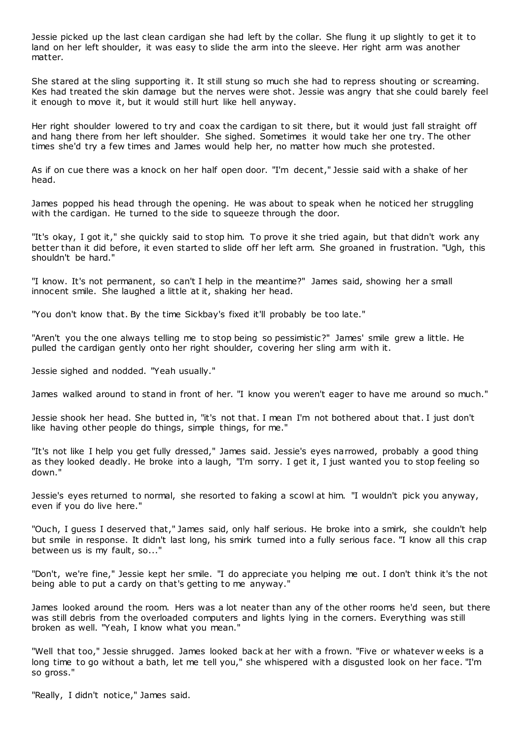Jessie picked up the last clean cardigan she had left by the collar. She flung it up slightly to get it to land on her left shoulder, it was easy to slide the arm into the sleeve. Her right arm was another matter.

She stared at the sling supporting it. It still stung so much she had to repress shouting or screaming. Kes had treated the skin damage but the nerves were shot. Jessie was angry that she could barely feel it enough to move it, but it would still hurt like hell anyway.

Her right shoulder lowered to try and coax the cardigan to sit there, but it would just fall straight off and hang there from her left shoulder. She sighed. Sometimes it would take her one try. The other times she'd try a few times and James would help her, no matter how much she protested.

As if on cue there was a knock on her half open door. "I'm decent," Jessie said with a shake of her head.

James popped his head through the opening. He was about to speak when he noticed her struggling with the cardigan. He turned to the side to squeeze through the door.

"It's okay, I got it," she quickly said to stop him. To prove it she tried again, but that didn't work any better than it did before, it even started to slide off her left arm. She groaned in frustration. "Ugh, this shouldn't be hard."

"I know. It's not permanent, so can't I help in the meantime?" James said, showing her a small innocent smile. She laughed a little at it, shaking her head.

"You don't know that. By the time Sickbay's fixed it'll probably be too late."

"Aren't you the one always telling me to stop being so pessimistic?" James' smile grew a little. He pulled the cardigan gently onto her right shoulder, covering her sling arm with it.

Jessie sighed and nodded. "Yeah usually."

James walked around to stand in front of her. "I know you weren't eager to have me around so much."

Jessie shook her head. She butted in, "it's not that. I mean I'm not bothered about that. I just don't like having other people do things, simple things, for me."

"It's not like I help you get fully dressed," James said. Jessie's eyes narrowed, probably a good thing as they looked deadly. He broke into a laugh, "I'm sorry. I get it, I just wanted you to stop feeling so down."

Jessie's eyes returned to normal, she resorted to faking a scowl at him. "I wouldn't pick you anyway, even if you do live here."

"Ouch, I guess I deserved that," James said, only half serious. He broke into a smirk, she couldn't help but smile in response. It didn't last long, his smirk turned into a fully serious face. "I know all this crap between us is my fault, so..."

"Don't, we're fine," Jessie kept her smile. "I do appreciate you helping me out. I don't think it's the not being able to put a cardy on that's getting to me anyway."

James looked around the room. Hers was a lot neater than any of the other rooms he'd seen, but there was still debris from the overloaded computers and lights lying in the corners. Everything was still broken as well. "Yeah, I know what you mean."

"Well that too," Jessie shrugged. James looked back at her with a frown. "Five or whatever w eeks is a long time to go without a bath, let me tell you," she whispered with a disgusted look on her face. "I'm so gross."

"Really, I didn't notice," James said.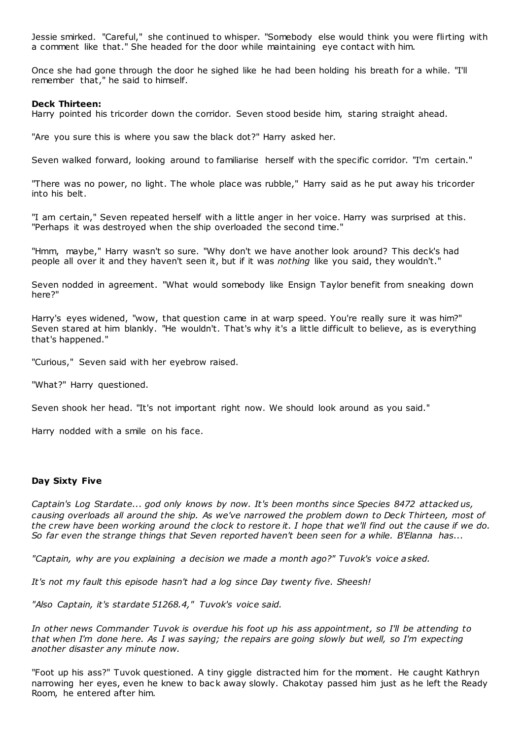Jessie smirked. "Careful," she continued to whisper. "Somebody else would think you were flirting with a comment like that." She headed for the door while maintaining eye contact with him.

Once she had gone through the door he sighed like he had been holding his breath for a while. "I'll remember that," he said to himself.

#### **Deck Thirteen:**

Harry pointed his tricorder down the corridor. Seven stood beside him, staring straight ahead.

"Are you sure this is where you saw the black dot?" Harry asked her.

Seven walked forward, looking around to familiarise herself with the specific corridor. "I'm certain."

"There was no power, no light. The whole place was rubble," Harry said as he put away his tricorder into his belt.

"I am certain," Seven repeated herself with a little anger in her voice. Harry was surprised at this. "Perhaps it was destroyed when the ship overloaded the second time."

"Hmm, maybe," Harry wasn't so sure. "Why don't we have another look around? This deck's had people all over it and they haven't seen it, but if it was *nothing* like you said, they wouldn't."

Seven nodded in agreement. "What would somebody like Ensign Taylor benefit from sneaking down here?"

Harry's eyes widened, "wow, that question came in at warp speed. You're really sure it was him?" Seven stared at him blankly. "He wouldn't. That's why it's a little difficult to believe, as is everything that's happened."

"Curious," Seven said with her eyebrow raised.

"What?" Harry questioned.

Seven shook her head. "It's not important right now. We should look around as you said."

Harry nodded with a smile on his face.

## **Day Sixty Five**

*Captain's Log Stardate... god only knows by now. It's been months since Species 8472 attacked us, causing overloads all around the ship. As we've narrowed the problem down to Deck Thirteen, most of the crew have been working around the clock to restore it. I hope that we'll find out the cause if we do. So far even the strange things that Seven reported haven't been seen for a while. B'Elanna has...*

*"Captain, why are you explaining a decision we made a month ago?" Tuvok's voice asked.*

*It's not my fault this episode hasn't had a log since Day twenty five. Sheesh!*

*"Also Captain, it's stardate 51268.4," Tuvok's voice said.*

*In other news Commander Tuvok is overdue his foot up his ass appointment, so I'll be attending to that when I'm done here. As I was saying; the repairs are going slowly but well, so I'm expecting another disaster any minute now.*

"Foot up his ass?" Tuvok questioned. A tiny giggle distracted him for the moment. He caught Kathryn narrowing her eyes, even he knew to back away slowly. Chakotay passed him just as he left the Ready Room, he entered after him.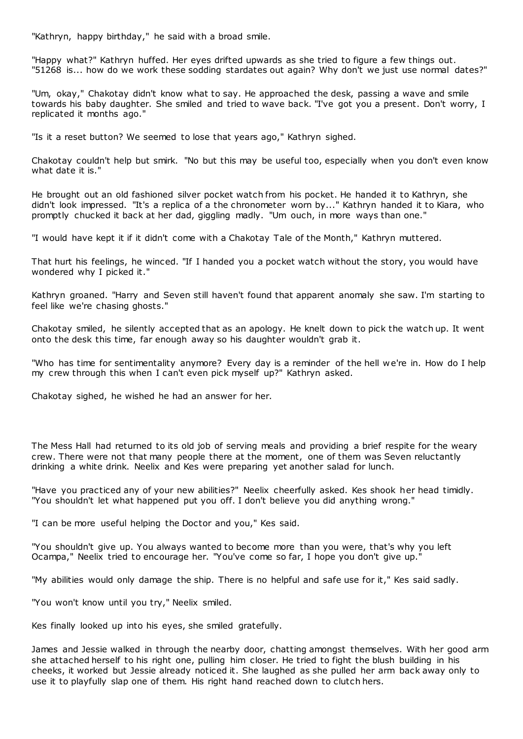"Kathryn, happy birthday," he said with a broad smile.

"Happy what?" Kathryn huffed. Her eyes drifted upwards as she tried to figure a few things out. "51268 is... how do we work these sodding stardates out again? Why don't we just use normal dates?"

"Um, okay," Chakotay didn't know what to say. He approached the desk, passing a wave and smile towards his baby daughter. She smiled and tried to wave back. "I've got you a present. Don't worry, I replicated it months ago."

"Is it a reset button? We seemed to lose that years ago," Kathryn sighed.

Chakotay couldn't help but smirk. "No but this may be useful too, especially when you don't even know what date it is."

He brought out an old fashioned silver pocket watch from his pocket. He handed it to Kathryn, she didn't look impressed. "It's a replica of a the chronometer worn by..." Kathryn handed it to Kiara, who promptly chucked it back at her dad, giggling madly. "Um ouch, in more ways than one."

"I would have kept it if it didn't come with a Chakotay Tale of the Month," Kathryn muttered.

That hurt his feelings, he winced. "If I handed you a pocket watch without the story, you would have wondered why I picked it."

Kathryn groaned. "Harry and Seven still haven't found that apparent anomaly she saw. I'm starting to feel like we're chasing ghosts."

Chakotay smiled, he silently accepted that as an apology. He knelt down to pick the watch up. It went onto the desk this time, far enough away so his daughter wouldn't grab it.

"Who has time for sentimentality anymore? Every day is a reminder of the hell we're in. How do I help my crew through this when I can't even pick myself up?" Kathryn asked.

Chakotay sighed, he wished he had an answer for her.

The Mess Hall had returned to its old job of serving meals and providing a brief respite for the weary crew. There were not that many people there at the moment, one of them was Seven reluctantly drinking a white drink. Neelix and Kes were preparing yet another salad for lunch.

"Have you practiced any of your new abilities?" Neelix cheerfully asked. Kes shook her head timidly. "You shouldn't let what happened put you off. I don't believe you did anything wrong."

"I can be more useful helping the Doctor and you," Kes said.

"You shouldn't give up. You always wanted to become more than you were, that's why you left Ocampa," Neelix tried to encourage her. "You've come so far, I hope you don't give up."

"My abilities would only damage the ship. There is no helpful and safe use for it," Kes said sadly.

"You won't know until you try," Neelix smiled.

Kes finally looked up into his eyes, she smiled gratefully.

James and Jessie walked in through the nearby door, chatting amongst themselves. With her good arm she attached herself to his right one, pulling him closer. He tried to fight the blush building in his cheeks, it worked but Jessie already noticed it. She laughed as she pulled her arm back away only to use it to playfully slap one of them. His right hand reached down to clutch hers.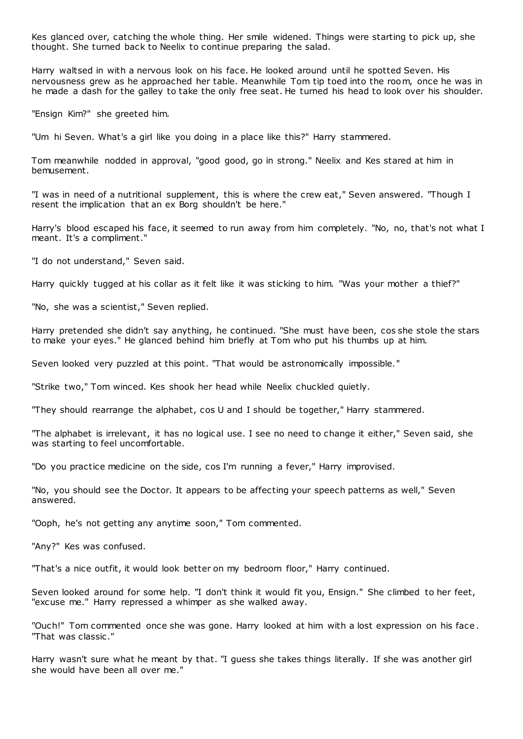Kes glanced over, catching the whole thing. Her smile widened. Things were starting to pick up, she thought. She turned back to Neelix to continue preparing the salad.

Harry waltsed in with a nervous look on his face. He looked around until he spotted Seven. His nervousness grew as he approached her table. Meanwhile Tom tip toed into the room, once he was in he made a dash for the galley to take the only free seat. He turned his head to look over his shoulder.

"Ensign Kim?" she greeted him.

"Um hi Seven. What's a girl like you doing in a place like this?" Harry stammered.

Tom meanwhile nodded in approval, "good good, go in strong." Neelix and Kes stared at him in bemusement.

"I was in need of a nutritional supplement, this is where the crew eat," Seven answered. "Though I resent the implication that an ex Borg shouldn't be here."

Harry's blood escaped his face, it seemed to run away from him completely. "No, no, that's not what I meant. It's a compliment."

"I do not understand," Seven said.

Harry quickly tugged at his collar as it felt like it was sticking to him. "Was your mother a thief?"

"No, she was a scientist," Seven replied.

Harry pretended she didn't say anything, he continued. "She must have been, cos she stole the stars to make your eyes." He glanced behind him briefly at Tom who put his thumbs up at him.

Seven looked very puzzled at this point. "That would be astronomically impossible."

"Strike two," Tom winced. Kes shook her head while Neelix chuckled quietly.

"They should rearrange the alphabet, cos U and I should be together," Harry stammered.

"The alphabet is irrelevant, it has no logical use. I see no need to change it either," Seven said, she was starting to feel uncomfortable.

"Do you practice medicine on the side, cos I'm running a fever," Harry improvised.

"No, you should see the Doctor. It appears to be affecting your speech patterns as well," Seven answered.

"Ooph, he's not getting any anytime soon," Tom commented.

"Any?" Kes was confused.

"That's a nice outfit, it would look better on my bedroom floor," Harry continued.

Seven looked around for some help. "I don't think it would fit you, Ensign." She climbed to her feet, "excuse me." Harry repressed a whimper as she walked away.

"Ouch!" Tom commented once she was gone. Harry looked at him with a lost expression on his face . "That was classic ."

Harry wasn't sure what he meant by that. "I guess she takes things literally. If she was another girl she would have been all over me."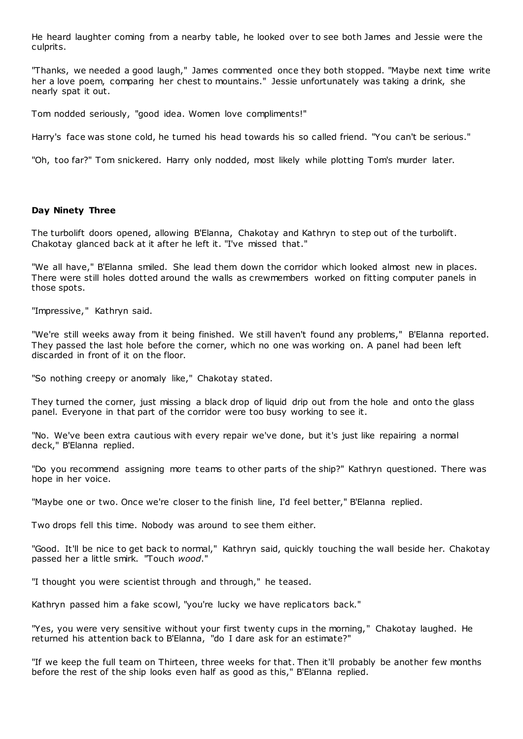He heard laughter coming from a nearby table, he looked over to see both James and Jessie were the culprits.

"Thanks, we needed a good laugh," James commented once they both stopped. "Maybe next time write her a love poem, comparing her chest to mountains." Jessie unfortunately was taking a drink, she nearly spat it out.

Tom nodded seriously, "good idea. Women love compliments!"

Harry's face was stone cold, he turned his head towards his so called friend. "You can't be serious."

"Oh, too far?" Tom snickered. Harry only nodded, most likely while plotting Tom's murder later.

#### **Day Ninety Three**

The turbolift doors opened, allowing B'Elanna, Chakotay and Kathryn to step out of the turbolift. Chakotay glanced back at it after he left it. "I've missed that."

"We all have," B'Elanna smiled. She lead them down the corridor which looked almost new in places. There were still holes dotted around the walls as crewmembers worked on fitting computer panels in those spots.

"Impressive," Kathryn said.

"We're still weeks away from it being finished. We still haven't found any problems," B'Elanna reported. They passed the last hole before the corner, which no one was working on. A panel had been left discarded in front of it on the floor.

"So nothing creepy or anomaly like," Chakotay stated.

They turned the corner, just missing a black drop of liquid drip out from the hole and onto the glass panel. Everyone in that part of the corridor were too busy working to see it.

"No. We've been extra cautious with every repair we've done, but it's just like repairing a normal deck," B'Elanna replied.

"Do you recommend assigning more teams to other parts of the ship?" Kathryn questioned. There was hope in her voice.

"Maybe one or two. Once we're closer to the finish line, I'd feel better," B'Elanna replied.

Two drops fell this time. Nobody was around to see them either.

"Good. It'll be nice to get back to normal," Kathryn said, quickly touching the wall beside her. Chakotay passed her a little smirk. "Touch *wood*."

"I thought you were scientist through and through," he teased.

Kathryn passed him a fake scowl, "you're lucky we have replicators back."

"Yes, you were very sensitive without your first twenty cups in the morning," Chakotay laughed. He returned his attention back to B'Elanna, "do I dare ask for an estimate?"

"If we keep the full team on Thirteen, three weeks for that. Then it'll probably be another few months before the rest of the ship looks even half as good as this," B'Elanna replied.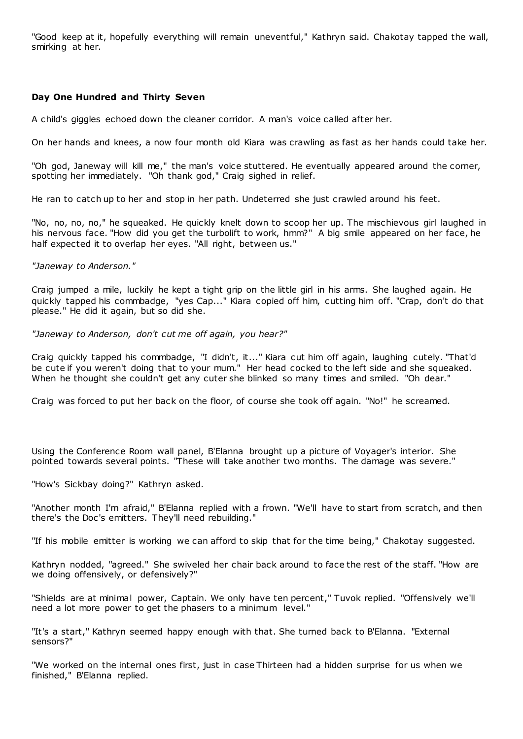"Good keep at it, hopefully everything will remain uneventful," Kathryn said. Chakotay tapped the wall, smirking at her.

## **Day One Hundred and Thirty Seven**

A child's giggles echoed down the cleaner corridor. A man's voice called after her.

On her hands and knees, a now four month old Kiara was crawling as fast as her hands could take her.

"Oh god, Janeway will kill me," the man's voice stuttered. He eventually appeared around the corner, spotting her immediately. "Oh thank god," Craig sighed in relief.

He ran to catch up to her and stop in her path. Undeterred she just crawled around his feet.

"No, no, no, no," he squeaked. He quickly knelt down to scoop her up. The mischievous girl laughed in his nervous face. "How did you get the turbolift to work, hmm?" A big smile appeared on her face, he half expected it to overlap her eyes. "All right, between us."

#### *"Janeway to Anderson."*

Craig jumped a mile, luckily he kept a tight grip on the little girl in his arms. She laughed again. He quickly tapped his commbadge, "yes Cap..." Kiara copied off him, cutting him off. "Crap, don't do that please." He did it again, but so did she.

*"Janeway to Anderson, don't cut me off again, you hear?"*

Craig quickly tapped his commbadge, "I didn't, it..." Kiara cut him off again, laughing cutely. "That'd be cute if you weren't doing that to your mum." Her head cocked to the left side and she squeaked. When he thought she couldn't get any cuter she blinked so many times and smiled. "Oh dear."

Craig was forced to put her back on the floor, of course she took off again. "No!" he screamed.

Using the Conference Room wall panel, B'Elanna brought up a picture of Voyager's interior. She pointed towards several points. "These will take another two months. The damage was severe."

"How's Sickbay doing?" Kathryn asked.

"Another month I'm afraid," B'Elanna replied with a frown. "We'll have to start from scratch, and then there's the Doc's emitters. They'll need rebuilding."

"If his mobile emitter is working we can afford to skip that for the time being," Chakotay suggested.

Kathryn nodded, "agreed." She swiveled her chair back around to face the rest of the staff. "How are we doing offensively, or defensively?"

"Shields are at minimal power, Captain. We only have ten percent," Tuvok replied. "Offensively we'll need a lot more power to get the phasers to a minimum level."

"It's a start," Kathryn seemed happy enough with that. She turned back to B'Elanna. "External sensors?"

"We worked on the internal ones first, just in case Thirteen had a hidden surprise for us when we finished," B'Elanna replied.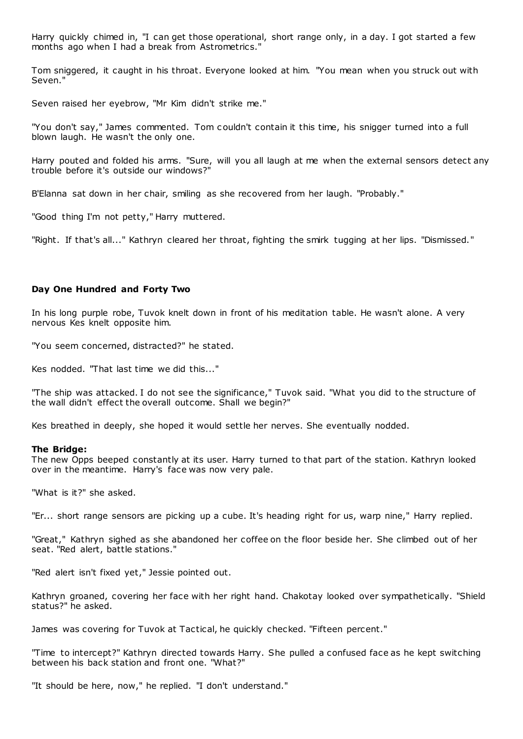Harry quickly chimed in, "I can get those operational, short range only, in a day. I got started a few months ago when I had a break from Astrometrics."

Tom sniggered, it caught in his throat. Everyone looked at him. "You mean when you struck out with Seven."

Seven raised her eyebrow, "Mr Kim didn't strike me."

"You don't say," James commented. Tom c ouldn't contain it this time, his snigger turned into a full blown laugh. He wasn't the only one.

Harry pouted and folded his arms. "Sure, will you all laugh at me when the external sensors detect any trouble before it's outside our windows?"

B'Elanna sat down in her chair, smiling as she recovered from her laugh. "Probably."

"Good thing I'm not petty," Harry muttered.

"Right. If that's all..." Kathryn cleared her throat, fighting the smirk tugging at her lips. "Dismissed."

## **Day One Hundred and Forty Two**

In his long purple robe, Tuvok knelt down in front of his meditation table. He wasn't alone. A very nervous Kes knelt opposite him.

"You seem concerned, distracted?" he stated.

Kes nodded. "That last time we did this..."

"The ship was attacked. I do not see the significance," Tuvok said. "What you did to the structure of the wall didn't effect the overall outcome. Shall we begin?"

Kes breathed in deeply, she hoped it would settle her nerves. She eventually nodded.

#### **The Bridge:**

The new Opps beeped constantly at its user. Harry turned to that part of the station. Kathryn looked over in the meantime. Harry's face was now very pale.

"What is it?" she asked.

"Er... short range sensors are picking up a cube. It's heading right for us, warp nine," Harry replied.

"Great," Kathryn sighed as she abandoned her coffee on the floor beside her. She climbed out of her seat. "Red alert, battle stations."

"Red alert isn't fixed yet," Jessie pointed out.

Kathryn groaned, covering her face with her right hand. Chakotay looked over sympathetically. "Shield status?" he asked.

James was covering for Tuvok at Tactical, he quickly checked. "Fifteen percent."

"Time to intercept?" Kathryn directed towards Harry. She pulled a confused face as he kept switching between his back station and front one. "What?"

"It should be here, now," he replied. "I don't understand."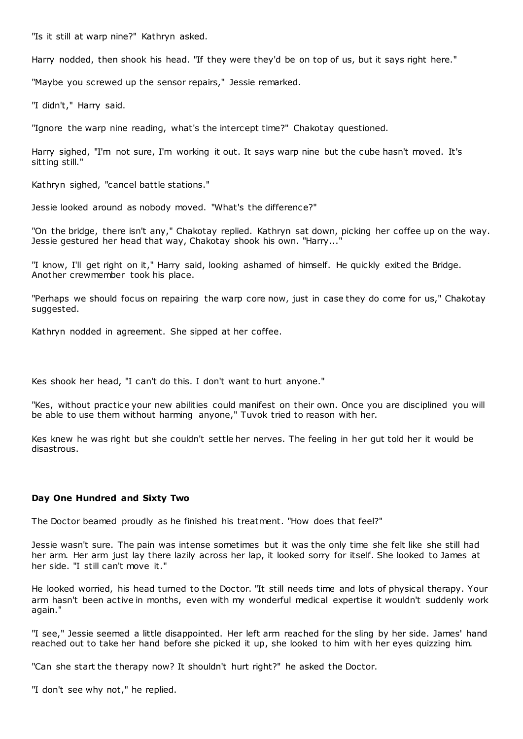"Is it still at warp nine?" Kathryn asked.

Harry nodded, then shook his head. "If they were they'd be on top of us, but it says right here."

"Maybe you screwed up the sensor repairs," Jessie remarked.

"I didn't," Harry said.

"Ignore the warp nine reading, what's the intercept time?" Chakotay questioned.

Harry sighed, "I'm not sure, I'm working it out. It says warp nine but the cube hasn't moved. It's sitting still."

Kathryn sighed, "cancel battle stations."

Jessie looked around as nobody moved. "What's the difference?"

"On the bridge, there isn't any," Chakotay replied. Kathryn sat down, picking her coffee up on the way. Jessie gestured her head that way, Chakotay shook his own. "Harry..."

"I know, I'll get right on it," Harry said, looking ashamed of himself. He quickly exited the Bridge. Another crewmember took his place.

"Perhaps we should focus on repairing the warp core now, just in case they do come for us," Chakotay suggested.

Kathryn nodded in agreement. She sipped at her coffee.

Kes shook her head, "I can't do this. I don't want to hurt anyone."

"Kes, without practice your new abilities could manifest on their own. Once you are disciplined you will be able to use them without harming anyone," Tuvok tried to reason with her.

Kes knew he was right but she couldn't settle her nerves. The feeling in her gut told her it would be disastrous.

# **Day One Hundred and Sixty Two**

The Doctor beamed proudly as he finished his treatment. "How does that feel?"

Jessie wasn't sure. The pain was intense sometimes but it was the only time she felt like she still had her arm. Her arm just lay there lazily across her lap, it looked sorry for itself. She looked to James at her side. "I still can't move it."

He looked worried, his head turned to the Doctor. "It still needs time and lots of physical therapy. Your arm hasn't been active in months, even with my wonderful medical expertise it wouldn't suddenly work again."

"I see," Jessie seemed a little disappointed. Her left arm reached for the sling by her side. James' hand reached out to take her hand before she picked it up, she looked to him with her eyes quizzing him.

"Can she start the therapy now? It shouldn't hurt right?" he asked the Doctor.

"I don't see why not," he replied.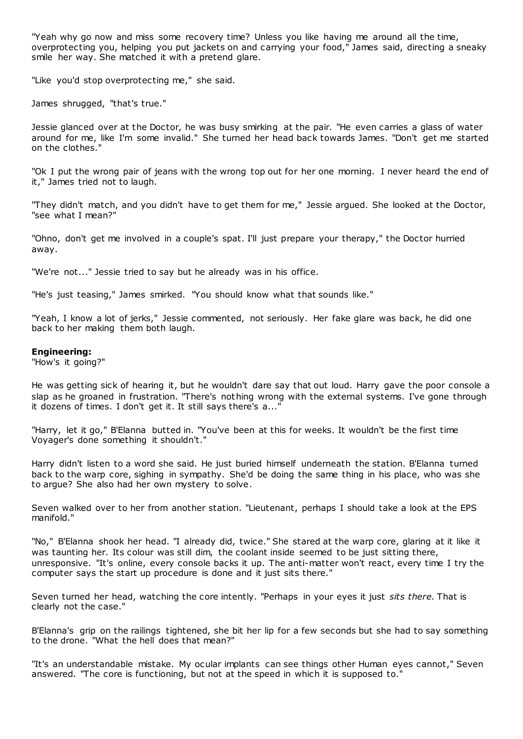"Yeah why go now and miss some recovery time? Unless you like having me around all the time, overprotecting you, helping you put jackets on and carrying your food," James said, directing a sneaky smile her way. She matched it with a pretend glare.

"Like you'd stop overprotecting me," she said.

James shrugged, "that's true."

Jessie glanced over at the Doctor, he was busy smirking at the pair. "He even carries a glass of water around for me, like I'm some invalid." She turned her head back towards James. "Don't get me started on the clothes."

"Ok I put the wrong pair of jeans with the wrong top out for her one morning. I never heard the end of it," James tried not to laugh.

"They didn't match, and you didn't have to get them for me," Jessie argued. She looked at the Doctor, "see what I mean?"

"Ohno, don't get me involved in a couple's spat. I'll just prepare your therapy," the Doctor hurried away.

"We're not..." Jessie tried to say but he already was in his office.

"He's just teasing," James smirked. "You should know what that sounds like."

"Yeah, I know a lot of jerks," Jessie commented, not seriously. Her fake glare was back, he did one back to her making them both laugh.

#### **Engineering:**

"How's it going?"

He was getting sick of hearing it, but he wouldn't dare say that out loud. Harry gave the poor console a slap as he groaned in frustration. "There's nothing wrong with the external systems. I've gone through it dozens of times. I don't get it. It still says there's a..."

"Harry, let it go," B'Elanna butted in. "You've been at this for weeks. It wouldn't be the first time Voyager's done something it shouldn't."

Harry didn't listen to a word she said. He just buried himself underneath the station. B'Elanna turned back to the warp core, sighing in sympathy. She'd be doing the same thing in his place, who was she to argue? She also had her own mystery to solve.

Seven walked over to her from another station. "Lieutenant, perhaps I should take a look at the EPS manifold."

"No," B'Elanna shook her head. "I already did, twice." She stared at the warp core, glaring at it like it was taunting her. Its colour was still dim, the coolant inside seemed to be just sitting there, unresponsive. "It's online, every console backs it up. The anti-matter won't react, every time I try the computer says the start up procedure is done and it just sits there."

Seven turned her head, watching the core intently. "Perhaps in your eyes it just *sits there.* That is clearly not the case."

B'Elanna's grip on the railings tightened, she bit her lip for a few seconds but she had to say something to the drone. "What the hell does that mean?"

"It's an understandable mistake. My ocular implants can see things other Human eyes cannot," Seven answered. "The core is functioning, but not at the speed in which it is supposed to."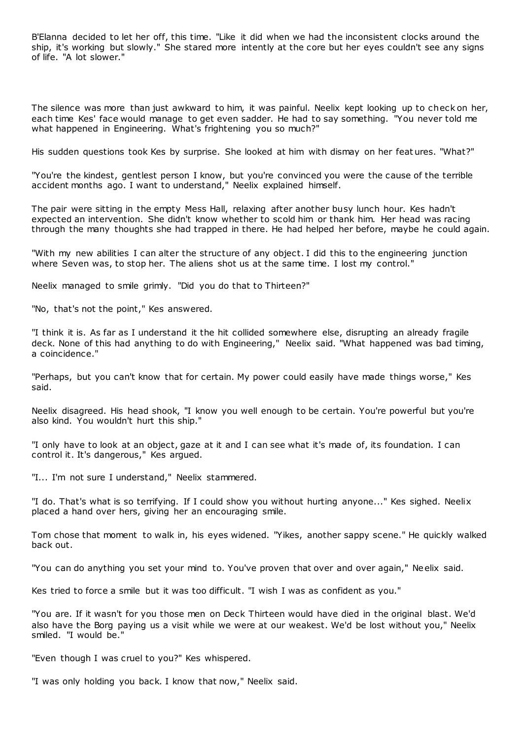B'Elanna decided to let her off, this time. "Like it did when we had the inconsistent clocks around the ship, it's working but slowly." She stared more intently at the core but her eyes couldn't see any signs of life. "A lot slower."

The silence was more than just awkward to him, it was painful. Neelix kept looking up to check on her, each time Kes' face would manage to get even sadder. He had to say something. "You never told me what happened in Engineering. What's frightening you so much?"

His sudden questions took Kes by surprise. She looked at him with dismay on her feat ures. "What?"

"You're the kindest, gentlest person I know, but you're convinced you were the cause of the terrible accident months ago. I want to understand," Neelix explained himself.

The pair were sitting in the empty Mess Hall, relaxing after another busy lunch hour. Kes hadn't expected an intervention. She didn't know whether to scold him or thank him. Her head was racing through the many thoughts she had trapped in there. He had helped her before, maybe he could again.

"With my new abilities I can alter the structure of any object. I did this to the engineering junction where Seven was, to stop her. The aliens shot us at the same time. I lost my control."

Neelix managed to smile grimly. "Did you do that to Thirteen?"

"No, that's not the point," Kes answered.

"I think it is. As far as I understand it the hit collided somewhere else, disrupting an already fragile deck. None of this had anything to do with Engineering," Neelix said. "What happened was bad timing, a coincidence."

"Perhaps, but you can't know that for certain. My power could easily have made things worse," Kes said.

Neelix disagreed. His head shook, "I know you well enough to be certain. You're powerful but you're also kind. You wouldn't hurt this ship."

"I only have to look at an object, gaze at it and I can see what it's made of, its foundation. I can control it. It's dangerous," Kes argued.

"I... I'm not sure I understand," Neelix stammered.

"I do. That's what is so terrifying. If I could show you without hurting anyone..." Kes sighed. Neelix placed a hand over hers, giving her an encouraging smile.

Tom chose that moment to walk in, his eyes widened. "Yikes, another sappy scene." He quickly walked back out.

"You can do anything you set your mind to. You've proven that over and over again," Neelix said.

Kes tried to force a smile but it was too difficult. "I wish I was as confident as you."

"You are. If it wasn't for you those men on Deck Thirteen would have died in the original blast. We'd also have the Borg paying us a visit while we were at our weakest. We'd be lost without you," Neelix smiled. "I would be."

"Even though I was cruel to you?" Kes whispered.

"I was only holding you back. I know that now," Neelix said.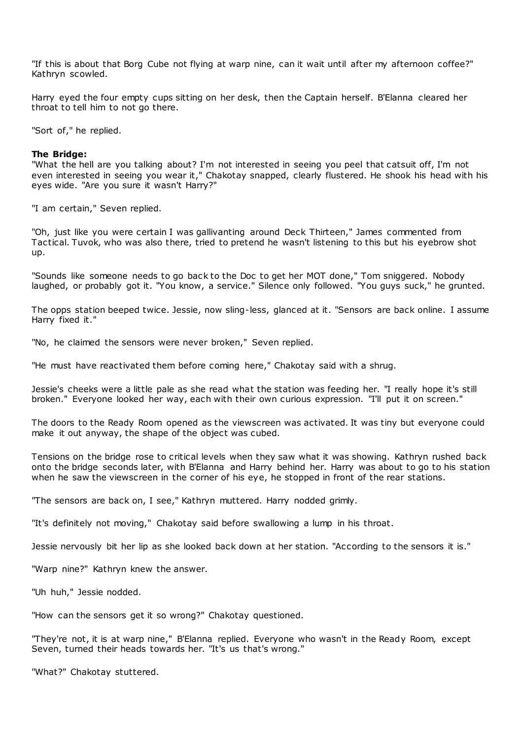"If this is about that Borg Cube not flying at warp nine, can it wait until after my afternoon coffee?" Kathryn scowled.

Harry eyed the four empty cups sitting on her desk, then the Captain herself. B'Elanna cleared her throat to tell him to not go there.

"Sort of," he replied.

#### **The Bridge:**

"What the hell are you talking about? I'm not interested in seeing you peel that catsuit off, I'm not even interested in seeing you wear it," Chakotay snapped, clearly flustered. He shook his head with his eyes wide. "Are you sure it wasn't Harry?"

"I am certain," Seven replied.

"Oh, just like you were certain I was gallivanting around Deck Thirteen," James commented from Tactical. Tuvok, who was also there, tried to pretend he wasn't listening to this but his eyebrow shot up.

"Sounds like someone needs to go back to the Doc to get her MOT done," Tom sniggered. Nobody laughed, or probably got it. "You know, a service." Silence only followed. "You guys suck," he grunted.

The opps station beeped twice. Jessie, now sling-less, glanced at it. "Sensors are back online. I assume Harry fixed it."

"No, he claimed the sensors were never broken," Seven replied.

"He must have reactivated them before coming here," Chakotay said with a shrug.

Jessie's cheeks were a little pale as she read what the station was feeding her. "I really hope it's still broken." Everyone looked her way, each with their own curious expression. "I'll put it on screen."

The doors to the Ready Room opened as the viewscreen was activated. It was tiny but everyone could make it out anyway, the shape of the object was cubed.

Tensions on the bridge rose to critical levels when they saw what it was showing. Kathryn rushed back onto the bridge seconds later, with B'Elanna and Harry behind her. Harry was about to go to his station when he saw the viewscreen in the corner of his eye, he stopped in front of the rear stations.

"The sensors are back on, I see," Kathryn muttered. Harry nodded grimly.

"It's definitely not moving," Chakotay said before swallowing a lump in his throat.

Jessie nervously bit her lip as she looked back down at her station. "According to the sensors it is."

"Warp nine?" Kathryn knew the answer.

"Uh huh," Jessie nodded.

"How can the sensors get it so wrong?" Chakotay questioned.

"They're not, it is at warp nine," B'Elanna replied. Everyone who wasn't in the Ready Room, except Seven, turned their heads towards her. "It's us that's wrong."

"What?" Chakotay stuttered.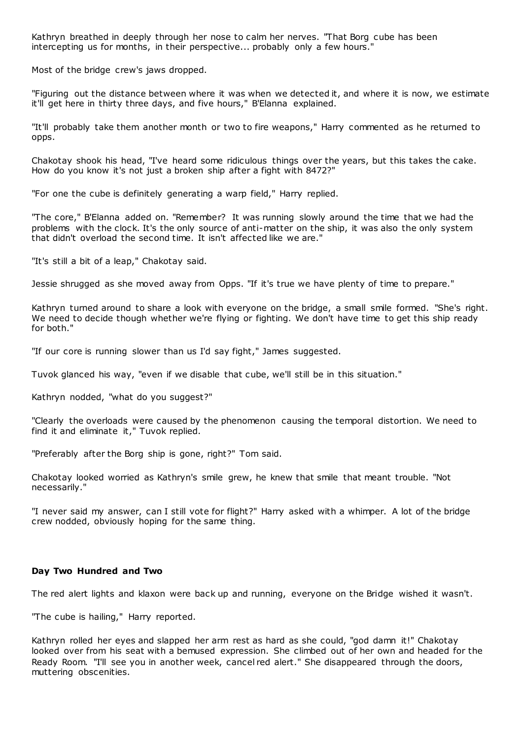Kathryn breathed in deeply through her nose to calm her nerves. "That Borg cube has been intercepting us for months, in their perspective... probably only a few hours."

Most of the bridge crew's jaws dropped.

"Figuring out the distance between where it was when we detected it, and where it is now, we estimate it'll get here in thirty three days, and five hours," B'Elanna explained.

"It'll probably take them another month or two to fire weapons," Harry commented as he returned to opps.

Chakotay shook his head, "I've heard some ridiculous things over the years, but this takes the cake. How do you know it's not just a broken ship after a fight with 8472?"

"For one the cube is definitely generating a warp field," Harry replied.

"The core," B'Elanna added on. "Remember? It was running slowly around the time that we had the problems with the clock. It's the only source of anti-matter on the ship, it was also the only system that didn't overload the second time. It isn't affected like we are."

"It's still a bit of a leap," Chakotay said.

Jessie shrugged as she moved away from Opps. "If it's true we have plenty of time to prepare."

Kathryn turned around to share a look with everyone on the bridge, a small smile formed. "She's right. We need to decide though whether we're flying or fighting. We don't have time to get this ship ready for both."

"If our core is running slower than us I'd say fight," James suggested.

Tuvok glanced his way, "even if we disable that cube, we'll still be in this situation."

Kathryn nodded, "what do you suggest?"

"Clearly the overloads were caused by the phenomenon causing the temporal distortion. We need to find it and eliminate it," Tuvok replied.

"Preferably after the Borg ship is gone, right?" Tom said.

Chakotay looked worried as Kathryn's smile grew, he knew that smile that meant trouble. "Not necessarily."

"I never said my answer, can I still vote for flight?" Harry asked with a whimper. A lot of the bridge crew nodded, obviously hoping for the same thing.

## **Day Two Hundred and Two**

The red alert lights and klaxon were back up and running, everyone on the Bridge wished it wasn't.

"The cube is hailing," Harry reported.

Kathryn rolled her eyes and slapped her arm rest as hard as she could, "god damn it!" Chakotay looked over from his seat with a bemused expression. She climbed out of her own and headed for the Ready Room. "I'll see you in another week, cancel red alert." She disappeared through the doors, muttering obscenities.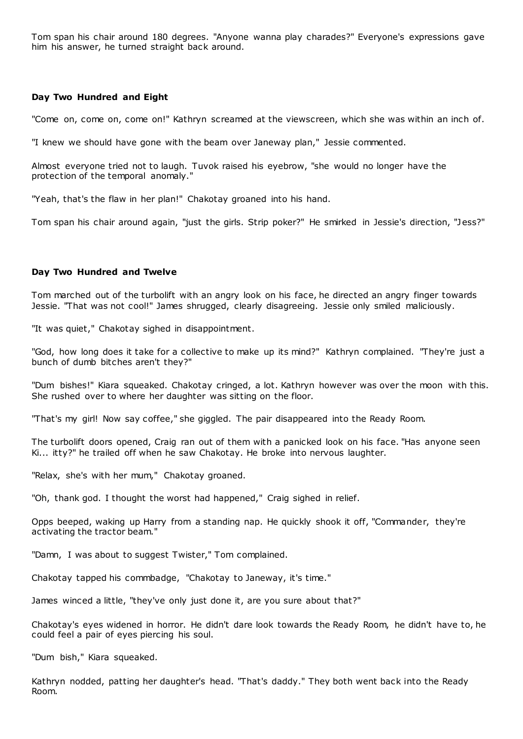Tom span his chair around 180 degrees. "Anyone wanna play charades?" Everyone's expressions gave him his answer, he turned straight back around.

# **Day Two Hundred and Eight**

"Come on, come on, come on!" Kathryn screamed at the viewscreen, which she was within an inch of.

"I knew we should have gone with the beam over Janeway plan," Jessie commented.

Almost everyone tried not to laugh. Tuvok raised his eyebrow, "she would no longer have the protection of the temporal anomaly."

"Yeah, that's the flaw in her plan!" Chakotay groaned into his hand.

Tom span his chair around again, "just the girls. Strip poker?" He smirked in Jessie's direction, "Jess?"

## **Day Two Hundred and Twelve**

Tom marched out of the turbolift with an angry look on his face, he directed an angry finger towards Jessie. "That was not cool!" James shrugged, clearly disagreeing. Jessie only smiled maliciously.

"It was quiet," Chakotay sighed in disappointment.

"God, how long does it take for a collective to make up its mind?" Kathryn complained. "They're just a bunch of dumb bitches aren't they?"

"Dum bishes!" Kiara squeaked. Chakotay cringed, a lot. Kathryn however was over the moon with this. She rushed over to where her daughter was sitting on the floor.

"That's my girl! Now say coffee," she giggled. The pair disappeared into the Ready Room.

The turbolift doors opened, Craig ran out of them with a panicked look on his face. "Has anyone seen Ki... itty?" he trailed off when he saw Chakotay. He broke into nervous laughter.

"Relax, she's with her mum," Chakotay groaned.

"Oh, thank god. I thought the worst had happened," Craig sighed in relief.

Opps beeped, waking up Harry from a standing nap. He quickly shook it off, "Commander, they're activating the tractor beam."

"Damn, I was about to suggest Twister," Tom complained.

Chakotay tapped his commbadge, "Chakotay to Janeway, it's time."

James winced a little, "they've only just done it, are you sure about that?"

Chakotay's eyes widened in horror. He didn't dare look towards the Ready Room, he didn't have to, he could feel a pair of eyes piercing his soul.

"Dum bish," Kiara squeaked.

Kathryn nodded, patting her daughter's head. "That's daddy." They both went back into the Ready Room.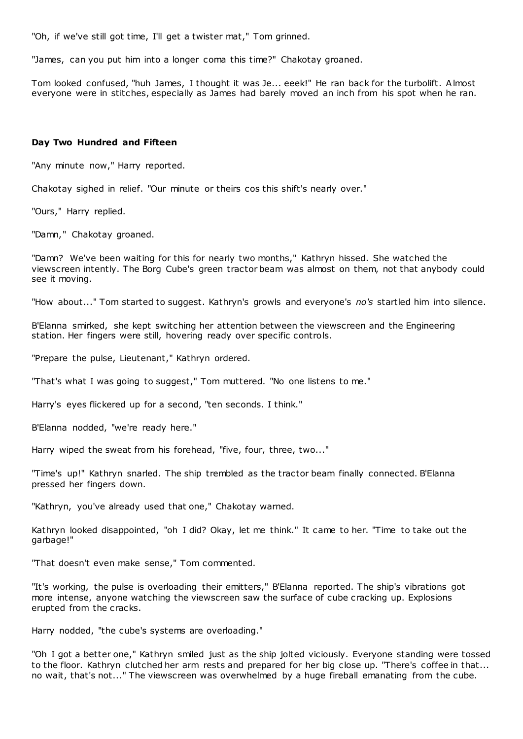"Oh, if we've still got time, I'll get a twister mat," Tom grinned.

"James, can you put him into a longer coma this time?" Chakotay groaned.

Tom looked confused, "huh James, I thought it was Je... eeek!" He ran back for the turbolift. Almost everyone were in stitches, especially as James had barely moved an inch from his spot when he ran.

## **Day Two Hundred and Fifteen**

"Any minute now," Harry reported.

Chakotay sighed in relief. "Our minute or theirs cos this shift's nearly over."

"Ours," Harry replied.

"Damn," Chakotay groaned.

"Damn? We've been waiting for this for nearly two months," Kathryn hissed. She watched the viewscreen intently. The Borg Cube's green tractor beam was almost on them, not that anybody could see it moving.

"How about..." Tom started to suggest. Kathryn's growls and everyone's *no's* startled him into silence.

B'Elanna smirked, she kept switching her attention between the viewscreen and the Engineering station. Her fingers were still, hovering ready over specific controls.

"Prepare the pulse, Lieutenant," Kathryn ordered.

"That's what I was going to suggest," Tom muttered. "No one listens to me."

Harry's eyes flickered up for a second, "ten seconds. I think."

B'Elanna nodded, "we're ready here."

Harry wiped the sweat from his forehead, "five, four, three, two..."

"Time's up!" Kathryn snarled. The ship trembled as the tractor beam finally connected. B'Elanna pressed her fingers down.

"Kathryn, you've already used that one," Chakotay warned.

Kathryn looked disappointed, "oh I did? Okay, let me think." It came to her. "Time to take out the garbage!"

"That doesn't even make sense," Tom commented.

"It's working, the pulse is overloading their emitters," B'Elanna reported. The ship's vibrations got more intense, anyone watching the viewscreen saw the surface of cube cracking up. Explosions erupted from the cracks.

Harry nodded, "the cube's systems are overloading."

"Oh I got a better one," Kathryn smiled just as the ship jolted viciously. Everyone standing were tossed to the floor. Kathryn clutched her arm rests and prepared for her big close up. "There's coffee in that... no wait, that's not..." The viewscreen was overwhelmed by a huge fireball emanating from the cube.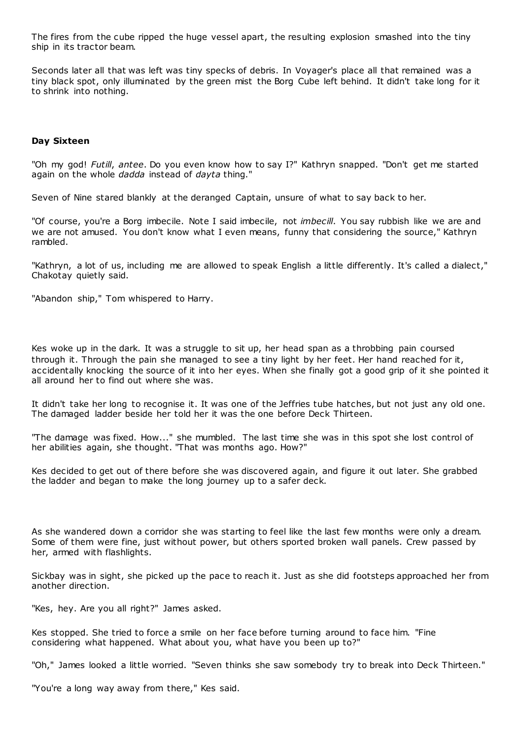The fires from the cube ripped the huge vessel apart, the resulting explosion smashed into the tiny ship in its tractor beam.

Seconds later all that was left was tiny specks of debris. In Voyager's place all that remained was a tiny black spot, only illuminated by the green mist the Borg Cube left behind. It didn't take long for it to shrink into nothing.

#### **Day Sixteen**

"Oh my god! *Futill*, *antee*. Do you even know how to say I?" Kathryn snapped. "Don't get me started again on the whole *dadda* instead of *dayta* thing."

Seven of Nine stared blankly at the deranged Captain, unsure of what to say back to her.

"Of course, you're a Borg imbecile. Note I said imbecile, not *imbecill*. You say rubbish like we are and we are not amused. You don't know what I even means, funny that considering the source," Kathryn rambled.

"Kathryn, a lot of us, including me are allowed to speak English a little differently. It's called a dialect," Chakotay quietly said.

"Abandon ship," Tom whispered to Harry.

Kes woke up in the dark. It was a struggle to sit up, her head span as a throbbing pain coursed through it. Through the pain she managed to see a tiny light by her feet. Her hand reached for it, accidentally knocking the source of it into her eyes. When she finally got a good grip of it she pointed it all around her to find out where she was.

It didn't take her long to recognise it. It was one of the Jeffries tube hatches, but not just any old one. The damaged ladder beside her told her it was the one before Deck Thirteen.

"The damage was fixed. How..." she mumbled. The last time she was in this spot she lost control of her abilities again, she thought. "That was months ago. How?"

Kes decided to get out of there before she was discovered again, and figure it out later. She grabbed the ladder and began to make the long journey up to a safer deck.

As she wandered down a corridor she was starting to feel like the last few months were only a dream. Some of them were fine, just without power, but others sported broken wall panels. Crew passed by her, armed with flashlights.

Sickbay was in sight, she picked up the pace to reach it. Just as she did footsteps approached her from another direction.

"Kes, hey. Are you all right?" James asked.

Kes stopped. She tried to force a smile on her face before turning around to face him. "Fine considering what happened. What about you, what have you been up to?"

"Oh," James looked a little worried. "Seven thinks she saw somebody try to break into Deck Thirteen."

"You're a long way away from there," Kes said.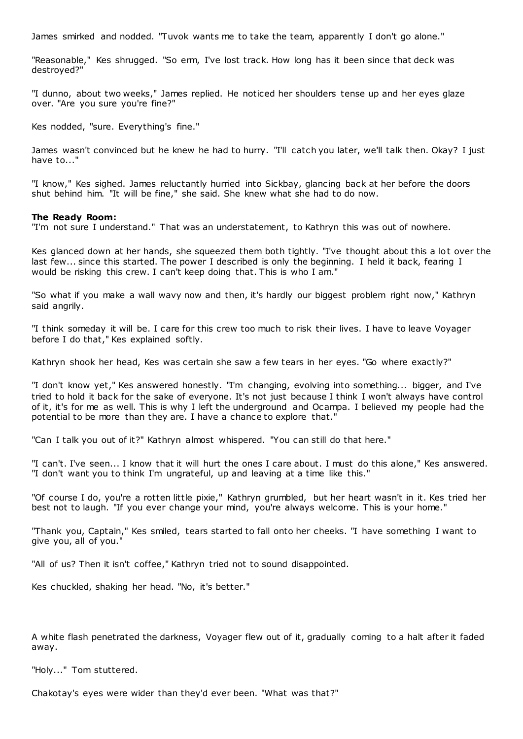James smirked and nodded. "Tuvok wants me to take the team, apparently I don't go alone."

"Reasonable," Kes shrugged. "So erm, I've lost track. How long has it been since that deck was destroyed?"

"I dunno, about two weeks," James replied. He noticed her shoulders tense up and her eyes glaze over. "Are you sure you're fine?"

Kes nodded, "sure. Everything's fine."

James wasn't convinced but he knew he had to hurry. "I'll catch you later, we'll talk then. Okay? I just have to..."

"I know," Kes sighed. James reluctantly hurried into Sickbay, glancing back at her before the doors shut behind him. "It will be fine," she said. She knew what she had to do now.

#### **The Ready Room:**

"I'm not sure I understand." That was an understatement, to Kathryn this was out of nowhere.

Kes glanced down at her hands, she squeezed them both tightly. "I've thought about this a lot over the last few... since this started. The power I described is only the beginning. I held it back, fearing I would be risking this crew. I can't keep doing that. This is who I am."

"So what if you make a wall wavy now and then, it's hardly our biggest problem right now," Kathryn said angrily.

"I think someday it will be. I care for this crew too much to risk their lives. I have to leave Voyager before I do that," Kes explained softly.

Kathryn shook her head, Kes was certain she saw a few tears in her eyes. "Go where exactly?"

"I don't know yet," Kes answered honestly. "I'm changing, evolving into something... bigger, and I've tried to hold it back for the sake of everyone. It's not just because I think I won't always have control of it, it's for me as well. This is why I left the underground and Ocampa. I believed my people had the potential to be more than they are. I have a chance to explore that."

"Can I talk you out of it?" Kathryn almost whispered. "You can still do that here."

"I can't. I've seen... I know that it will hurt the ones I care about. I must do this alone," Kes answered. "I don't want you to think I'm ungrateful, up and leaving at a time like this."

"Of course I do, you're a rotten little pixie," Kathryn grumbled, but her heart wasn't in it. Kes tried her best not to laugh. "If you ever change your mind, you're always welcome. This is your home."

"Thank you, Captain," Kes smiled, tears started to fall onto her cheeks. "I have something I want to give you, all of you."

"All of us? Then it isn't coffee," Kathryn tried not to sound disappointed.

Kes chuckled, shaking her head. "No, it's better."

A white flash penetrated the darkness, Voyager flew out of it, gradually coming to a halt after it faded away.

"Holy..." Tom stuttered.

Chakotay's eyes were wider than they'd ever been. "What was that?"